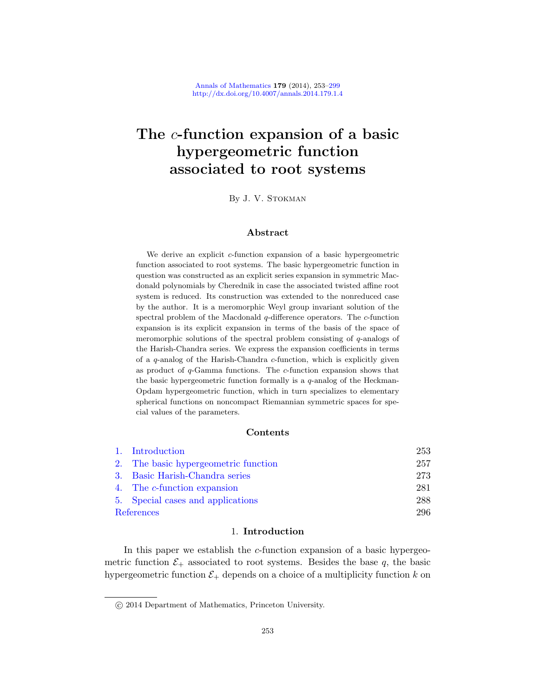# The c-function expansion of a basic hypergeometric function associated to root systems

By J. V. Stokman

## Abstract

We derive an explicit c-function expansion of a basic hypergeometric function associated to root systems. The basic hypergeometric function in question was constructed as an explicit series expansion in symmetric Macdonald polynomials by Cherednik in case the associated twisted affine root system is reduced. Its construction was extended to the nonreduced case by the author. It is a meromorphic Weyl group invariant solution of the spectral problem of the Macdonald q-difference operators. The c-function expansion is its explicit expansion in terms of the basis of the space of meromorphic solutions of the spectral problem consisting of q-analogs of the Harish-Chandra series. We express the expansion coefficients in terms of a q-analog of the Harish-Chandra c-function, which is explicitly given as product of  $q$ -Gamma functions. The  $c$ -function expansion shows that the basic hypergeometric function formally is a  $q$ -analog of the Heckman-[Opdam hype](#page-4-0)rgeometric function, which in turn specializes to elementary [spher](#page-20-0)ical functions on noncompact Riemannian symmetric spaces for spe[cia](#page-28-0)l values of the parameters.

## Contents

|            | 1. Introduction                      | 253 |
|------------|--------------------------------------|-----|
|            | 2. The basic hypergeometric function | 257 |
|            | 3. Basic Harish-Chandra series       | 273 |
|            | 4. The c-function expansion          | 281 |
|            | 5. Special cases and applications    | 288 |
| References |                                      | 296 |

## 1. Introduction

In this paper we establish the  $c$ -function expansion of a basic hypergeometric function  $\mathcal{E}_+$  associated to root systems. Besides the base q, the basic hypergeometric function  $\mathcal{E}_+$  depends on a choice of a multiplicity function k on

c 2014 Department of Mathematics, Princeton University.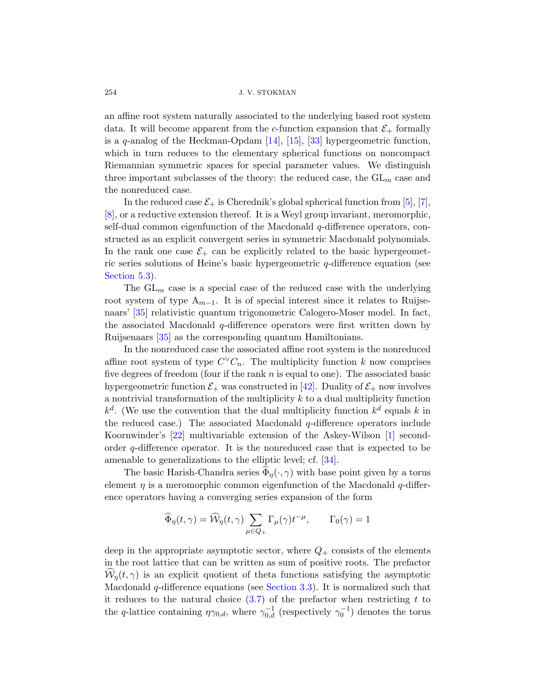an affine root system naturally associated to the underlying based root system data. It will become apparent from the c-functi[on](#page-43-0) e[xp](#page-43-1)ansion that  $\mathcal{E}_+$  formally is a q-analog of the Heckman-Opdam  $[14]$ ,  $[15]$ ,  $[33]$  hypergeometric function, which in turn reduces to the elementary spherical functions on noncompact Riemannian symmetric spaces for special parameter values. We distinguish three important subclasses of the theory: the reduced case, the  $GL_m$  case and the nonreduced case.

In the reduced case  $\mathcal{E}_+$  is Cherednik's global spherical function from [5], [7], [8], or a reductive extension thereof. It is a Weyl group invariant, meromorphic, self-dual common eigenfunction of the Macdonald q-difference operators, constructed as an explicit convergent series in symmetric Macdonald polynomials. In the rank one case  $\mathcal{E}_+$  can be explicitly related to the basic hypergeometric series solutions of Heine's basic hypergeometric  $q$ -difference equation (see Section 5.3).

The  $GL_m$  case is a special case of the reduced case with the underlying root system of type  $A_{m-1}$ . It is of special interest since it relates to Ruijsenaars' [35] relativistic q[uan](#page-46-0)tum trigonometric Calogero-Moser model. In fact, the associated Macdonald  $q$ -difference operators were first written down by Ruijsenaars [35] as the corresponding quantum Hamiltonians.

In the nonreduced case the associated affine root system is the nonreduced affine root system of type  $C^{\vee}C_n$ . The mult[ip](#page-43-2)licity function k now comprises five degrees of freedom (four if the rank  $n$  is equal to one). The associated basic hypergeometric function  $\mathcal{E}_+$  [was](#page-45-0) constructed in [42]. Duality of  $\mathcal{E}_+$  now involves a nontrivial transformation of the multiplicity  $k$  to a dual multiplicity function  $k^d$ . (We use the convention that the dual multiplicity function  $k^d$  equals k in the reduced case.) The associated Macdonald  $q$ -difference operators include Koornwinder's [22] multivariable extension of the Askey-Wilson [1] secondorder q-difference operator. It is the nonreduced case that is expected to be amenable to generalizations to the elliptic level; cf. [34].

The basic Harish-Chandra series  $\Phi_{\eta}(\cdot,\gamma)$  with base point given by a torus element  $\eta$  is a meromorphic common eigenfunction of the Macdonald  $q$ -difference operators having a converging series expansion of the form

$$
\widehat{\Phi}_{\eta}(t,\gamma)=\widehat{\mathcal{W}}_{\eta}(t,\gamma)\sum_{\mu\in Q_+}\Gamma_{\mu}(\gamma)t^{-\mu},\qquad\Gamma_0(\gamma)=1
$$

deep in the appropriate asymptotic sector, where  $Q_{+}$  consists of the elements in the root lattice that can be written as sum of positive roots. The prefactor  $W_n(t, \gamma)$  is an explicit quotient of theta functions satisfying the asymptotic Macdonald  $q$ -difference equations (see Section 3.3). It is normalized such that it reduces to the natural choice  $(3.7)$  of the prefactor when restricting t to the q-lattice containing  $\eta\gamma_{0,d}$ , where  $\gamma_{0,d}^{-1}$  (respectively  $\gamma_0^{-1}$ ) denotes the torus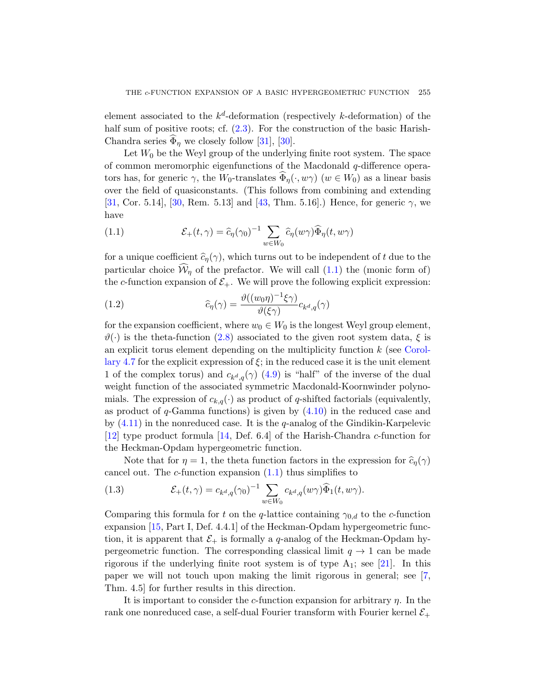element associated to the  $k^d$ -deformation (respectively k-deformation) of the half sum of [posi](#page-46-1)tive roots; cf.  $(2.3)$ . For the construction of the basic Harish-Chandra series  $\Phi_{\eta}$  we closely follow [31], [30].

<span id="page-2-0"></span>Let  $W_0$  be the Weyl group of the underlying finite root system. The space of common meromorphic eigenfunctions of the Macdonald q-difference operators has, for generic  $\gamma$ , the W<sub>0</sub>-translates  $\Phi_{\eta}(\cdot, w\gamma)$  ( $w \in W_0$ ) as a linear basis over the field of quasiconstan[ts.](#page-2-0) (This follows from combining and extending [31, Cor. 5.14], [30, Rem. 5.13] and [43, Thm. 5.16].) Hence, for generic  $\gamma$ , we have

(1.1) 
$$
\mathcal{E}_+(t,\gamma) = \widehat{c}_{\eta}(\gamma_0)^{-1} \sum_{w \in W_0} \widehat{c}_{\eta}(w\gamma) \widehat{\Phi}_{\eta}(t,w\gamma)
$$

for [a un](#page-12-0)ique coefficient  $\widehat{c}_{\eta}(\gamma)$ , which turns out to be independent of t due to the particular choice  $\mathcal{W}_\eta$  of the prefactor. We will [call \(1.1](#page-34-0)) the (monic form of) the c-function expansion of  $\mathcal{E}_+$ . We will prove the following explicit expression:

(1.2) 
$$
\widehat{c}_{\eta}(\gamma) = \frac{\vartheta((w_0 \eta)^{-1} \xi \gamma)}{\vartheta(\xi \gamma)} c_{k^d, q}(\gamma)
$$

for the expansion coefficient, where  $w_0 \in W_0$  is the longest Weyl group element,  $\vartheta(\cdot)$  is the theta-functio[n \(2.8](#page-32-0)) associated to the given root system data,  $\xi$  is an explicit torus element depending on the multiplicity function  $k$  (see Corol-lary [4.7](#page-44-0) for the explicit expression of  $\xi$ ; in the reduced case it is the unit element 1 of the complex torus) and  $c_{k^d,q}(\gamma)$  (4.9) is "half" of the inverse of the dual weight function of the associated symmetric Macdonald-Koornwinder polynomials. The exp[ressi](#page-2-0)on of  $c_{k,q}(\cdot)$  as product of q-shifted factorials (equivalently, as product of  $q$ -Gamma functions) is given by  $(4.10)$  in the reduced case and by  $(4.11)$  in the nonreduced case. It is the q-analog of the Gindikin-Karpelevic [12] type product formula [14, Def. 6.4] of the Harish-Chandra c-function for the Heckman-Opdam hypergeometric function.

Note that for  $\eta = 1$ , the theta function factors in the expression for  $\hat{c}_\eta(\gamma)$ cancel out. The  $c$ -function expansion  $(1.1)$  thus simplifies to

(1.3) 
$$
\mathcal{E}_+(t,\gamma) = c_{k^d,q}(\gamma_0)^{-1} \sum_{w \in W_0} c_{k^d,q}(w\gamma) \widehat{\Phi}_1(t,w\gamma).
$$

Comparing this formula for t on the q-lattice containing  $\gamma_{0,d}$  to the c-function expansion [15, Part I, Def. 4.4.1] of the Heckman-Opdam hypergeometric function, it is apparent that  $\mathcal{E}_+$  is formally a q-analog of the Heckman-Opdam hypergeometric function. The corresponding classical limit  $q \to 1$  can be made rigorous if the underlying finite root system is of type  $A_1$ ; see [21]. In this paper we will not touch upon making the limit rigorous in general; see [7, Thm. 4.5] for further results in this direction.

It is important to consider the c-function expansion for arbitrary  $\eta$ . In the rank one nonreduced case, a self-dual Fourier transform with Fourier kernel  $\mathcal{E}_+$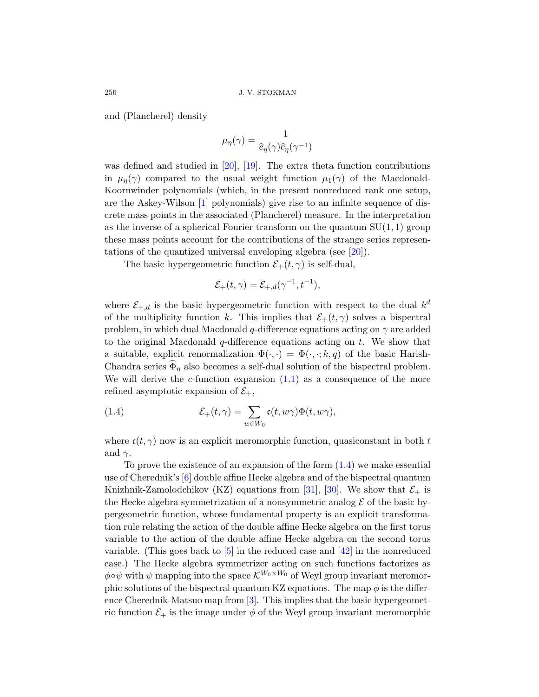and (Plancherel) density

$$
\mu_{\eta}(\gamma) = \frac{1}{\widehat{c}_{\eta}(\gamma)\widehat{c}_{\eta}(\gamma^{-1})}
$$

was defined and studied in [20], [19]. The extra theta function contributions in  $\mu_n(\gamma)$  compared to the usual [weig](#page-44-2)ht function  $\mu_1(\gamma)$  of the Macdonald-Koornwinder polynomials (which, in the present nonreduced rank one setup, are the Askey-Wilson [1] polynomials) give rise to an infinite sequence of discrete mass points in the associated (Plancherel) measure. In the interpretation as the inverse of a spherical Fourier transform on the quantum  $SU(1, 1)$  group these mass points account for the contributions of the strange series representations of the quantized universal enveloping algebra (see [20]).

The basic hypergeometric function  $\mathcal{E}_+(t,\gamma)$  is self-dual,

$$
\mathcal{E}_+(t,\gamma) = \mathcal{E}_{+,d}(\gamma^{-1},t^{-1}),
$$

<span id="page-3-0"></span>where  $\mathcal{E}_{+,d}$  is the [basic](#page-2-0) hypergeometric function with respect to the dual  $k^d$ of the multiplicity function k. This implies that  $\mathcal{E}_+(t,\gamma)$  solves a bispectral problem, in which dual Macdonald q-difference equations acting on  $\gamma$  are added to the original Macdonald  $q$ -difference equations acting on  $t$ . We show that a suitable, explicit renormalization  $\Phi(\cdot, \cdot) = \Phi(\cdot, \cdot; k, q)$  of the basic Harish-Chandra series  $\Phi_{\eta}$  also becomes a self-dual solution of the bispectral problem. We will derive the c-function expansion  $(1.1)$  as a consequence of the more refined asymptotic expansion of  $\mathcal{E}_+$  $\mathcal{E}_+$  $\mathcal{E}_+$ ,

(1.4) 
$$
\mathcal{E}_+(t,\gamma) = \sum_{w \in W_0} \mathfrak{c}(t,w\gamma)\Phi(t,w\gamma),
$$

where  $c(t, \gamma)$  now is an explicit meromorphic function, quasiconstant in both t and  $\gamma$ .

To prove the existence of an expansion of the form  $(1.4)$  we make essential use of [C](#page-43-0)herednik's [6] double affin[e H](#page-46-0)ecke algebra and of the bispectral quantum Knizhnik-Zamolodchikov (KZ) equations from [31], [30]. We show that  $\mathcal{E}_+$  is the Hecke algebra symmetrization of a nonsymmetric analog  $\mathcal E$  of the basic hypergeometric function, whose fundamental property is an explicit transformation rule re[la](#page-43-3)ting the action of the double affine Hecke algebra on the first torus variable to the action of the double affine Hecke algebra on the second torus variable. (This goes back to  $\overline{5}$ ) in the reduced case and  $\overline{42}$ ) in the nonreduced case.) The Hecke algebra symmetrizer acting on such functions factorizes as  $\phi \circ \psi$  with  $\psi$  mapping into the space  $\mathcal{K}^{W_0 \times W_0}$  of Weyl group invariant meromorphic solutions of the bispectral quantum KZ equations. The map  $\phi$  is the difference Cherednik-Matsuo map from [3]. This implies that the basic hypergeometric function  $\mathcal{E}_+$  is the image under  $\phi$  of the Weyl group invariant meromorphic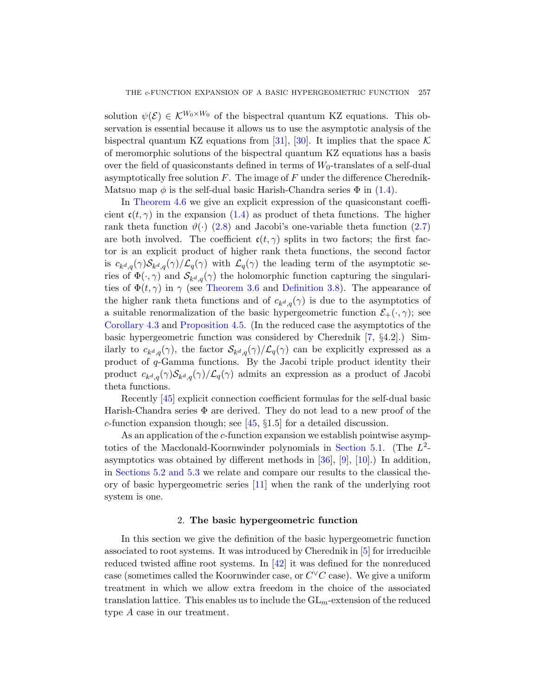solution  $\psi(\mathcal{E}) \in \mathcal{K}^{W_0 \times W_0}$  of the bispectr[al qu](#page-3-0)antum KZ equations. This observation is essential because it allows us to use the asymptotic analysis of the bispect[ral q](#page-3-0)uantum KZ equations from [31], [30]. It implies that the space  $\mathcal K$ of [mero](#page-12-0)morphic solutions of the bispectral quantu[m K](#page-12-1)Z equations has a basis over the field of quasiconstants defined in terms of  $W_0$ -translates of a self-dual asymptotically free solution  $F$ . The image of  $F$  under the difference Cherednik-Matsuo map  $\phi$  is the self-dual basic Harish-Chandra series  $\Phi$  in (1.4).

In Theorem 4.6 we give an explicit expression of the quasiconstant coeffi[cient](#page-24-0)  $c(t, \gamma)$  in the [expansion \(1.4](#page-25-1)) as product of theta functions. The higher rank theta function  $\vartheta(\cdot)$  (2.8) and Jacobi's one-variable theta function (2.7) are both involved. The coefficient  $\mathfrak{c}(t,\gamma)$  splits in two factors; the first fac[tor is an e](#page-33-0)xplicit product of higher rank theta functions, the second factor is  $c_{k^d,q}(\gamma) \mathcal{S}_{k^d,q}(\gamma) / \mathcal{L}_q(\gamma)$  with  $\mathcal{L}_q(\gamma)$  t[he](#page-43-1) leading term of the asymptotic series of  $\Phi(\cdot, \gamma)$  and  $\mathcal{S}_{k^d,q}(\gamma)$  the holomorphic function capturing the singularities of  $\Phi(t, \gamma)$  in  $\gamma$  (see Theorem 3.6 and Definition 3.8). The appearance of the higher rank theta functions and of  $c_{k^d,q}(\gamma)$  is due to the asymptotics of a suitable renormalization of the basic hypergeometric function  $\mathcal{E}_{+}(\cdot, \gamma)$ ; see Corollary 4.3 and Proposition 4.5. (In the reduced case the asymptotics of the basic hypergeometric function was considered by Cherednik [7, §4.2].) Similarly to  $c_{k^d,q}(\gamma)$  $c_{k^d,q}(\gamma)$  $c_{k^d,q}(\gamma)$ , the factor  $\mathcal{S}_{k^d,q}(\gamma)/\mathcal{L}_q(\gamma)$  can be explicitly expressed as a product of q-Gamma functions. By the Jacobi triple product identity their product  $c_{k^d,q}(\gamma) \mathcal{S}_{k^d,q}(\gamma) / \mathcal{L}_q(\gamma)$  [admits an e](#page-35-0)xpression as a product of Jacobi theta functions.

Recently [45] explicit connection coefficient formulas for the self-dual basic Harish-Cha[ndra](#page-43-4) series Φ are derived. They do not lead to a new proof of the c-function expansion though; see  $[45, §1.5]$  for a detailed discussion.

<span id="page-4-0"></span>As an application of the c-function expansion we establish pointwise asymptotics of the Macdonald-Koornwinder polynomials in Section 5.1. (The  $L^2$ asymptotics was obtained by different methods in [36], [9], [10].) In addition, in Sections 5.2 and 5.3 we relate and [com](#page-43-0)pare our results to the classical theory of basic hyp[erge](#page-46-0)ometric series [11] when the rank of the underlying root system is one.

## 2. The basic hypergeometric function

In this section we give the definition of the basic hypergeometric function associated to root systems. It was introduced by Cherednik in [5] for irreducible reduced twisted affine root systems. In [42] it was defined for the nonreduced case (sometimes called the Koornwinder case, or  $C^{\vee}C$  case). We give a uniform treatment in which we allow extra freedom in the choice of the associated translation lattice. This enables us to include the  $GL_m$ -extension of the reduced type A case in our treatment.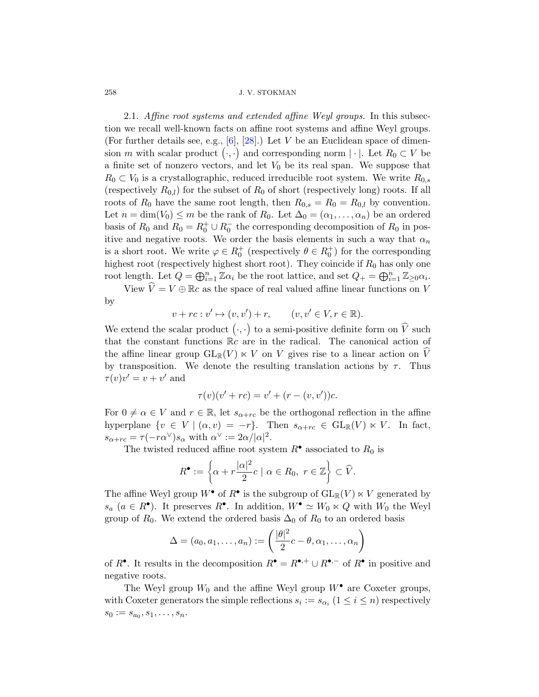2.1. Affine root systems and extended affine Weyl groups. In this subsection we recall well-known facts on affine root systems and affine Weyl groups. (For further details see, e.g.,  $[6]$ ,  $[28]$ .) Let V be an Euclidean space of dimension m with scalar product  $\langle \cdot, \cdot \rangle$  and corresponding norm  $|\cdot|$ . Let  $R_0 \subset V$  be a finite set of nonzero vectors, and let  $V_0$  be its real span. We suppose that  $R_0 \subset V_0$  is a crystallographic, reduced irreducible root system. We write  $R_{0,s}$ (respectively  $R_{0,l}$ ) for the subset of  $R_0$  of short (respectively long) roots. If all roots of  $R_0$  have the same root length, then  $R_{0,s} = R_0 = R_{0,l}$  by convention. Let  $n = \dim(V_0) \leq m$  be the rank of  $R_0$ . Let  $\Delta_0 = (\alpha_1, \ldots, \alpha_n)$  be an ordered basis of  $R_0$  and  $R_0 = R_0^+ \cup R_0^-$  the corresponding decomposition of  $R_0$  in positive and negative roots. We order the basis elements in such a way that  $\alpha_n$ is a short root. We write  $\varphi \in R_0^+$  (respectively  $\theta \in R_0^+$ ) for the corresponding highest root (respectively highest short root). They coincide if  $R_0$  has only one root length. Let  $Q = \bigoplus_{i=1}^n \mathbb{Z} \alpha_i$  be the root lattice, and set  $Q_+ = \bigoplus_{i=1}^n \mathbb{Z}_{\geq 0} \alpha_i$ .

View  $\hat{V} = V \oplus \mathbb{R}c$  as the space of real valued affine linear functions on V by

$$
v + rc : v' \mapsto (v, v') + r, \qquad (v, v' \in V, r \in \mathbb{R}).
$$

We extend the scalar product  $\left(\cdot,\cdot\right)$  to a semi-positive definite form on  $\widehat{V}$  such that the constant functions  $\mathbb{R}c$  are in the radical. The canonical action of the affine linear group  $GL_{\mathbb{R}}(V) \ltimes V$  on V gives rise to a linear action on V by transposition. We denote the resulting translation actions by  $\tau$ . Thus  $\tau(v)v' = v + v'$  and

$$
\tau(v)(v' + rc) = v' + (r - (v, v'))c.
$$

For  $0 \neq \alpha \in V$  and  $r \in \mathbb{R}$ , let  $s_{\alpha+rc}$  be the orthogonal reflection in the affine hyperplane  $\{v \in V \mid (\alpha, v) = -r\}$ . Then  $s_{\alpha + rc} \in GL_{\mathbb{R}}(V) \ltimes V$ . In fact,  $s_{\alpha+rc} = \tau(-r\alpha^{\vee})s_{\alpha}$  with  $\alpha^{\vee} := 2\alpha/|\alpha|^2$ .

The twisted reduced affine root system  $R^{\bullet}$  associated to  $R_0$  is

$$
R^{\bullet} := \left\{ \alpha + r \frac{|\alpha|^2}{2} c \mid \alpha \in R_0, \ r \in \mathbb{Z} \right\} \subset \widehat{V}.
$$

The affine Weyl group  $W^{\bullet}$  of  $R^{\bullet}$  is the subgroup of  $GL_{\mathbb{R}}(V) \ltimes V$  generated by  $s_a$   $(a \in R^{\bullet})$ . It preserves  $R^{\bullet}$ . In addition,  $W^{\bullet} \simeq W_0 \ltimes Q$  with  $W_0$  the Weyl group of  $R_0$ . We extend the ordered basis  $\Delta_0$  of  $R_0$  to an ordered basis

$$
\Delta = (a_0, a_1, \dots, a_n) := \left(\frac{|\theta|^2}{2}c - \theta, \alpha_1, \dots, \alpha_n\right)
$$

of  $R^{\bullet}$ . It results in the decomposition  $R^{\bullet} = R^{\bullet,+} \cup R^{\bullet,-}$  of  $R^{\bullet}$  in positive and negative roots.

The Weyl group  $W_0$  and the affine Weyl group  $W^{\bullet}$  are Coxeter groups, with Coxeter generators the simple reflections  $s_i := s_{\alpha_i}$   $(1 \leq i \leq n)$  respectively  $s_0 := s_{a_0}, s_1, \ldots, s_n.$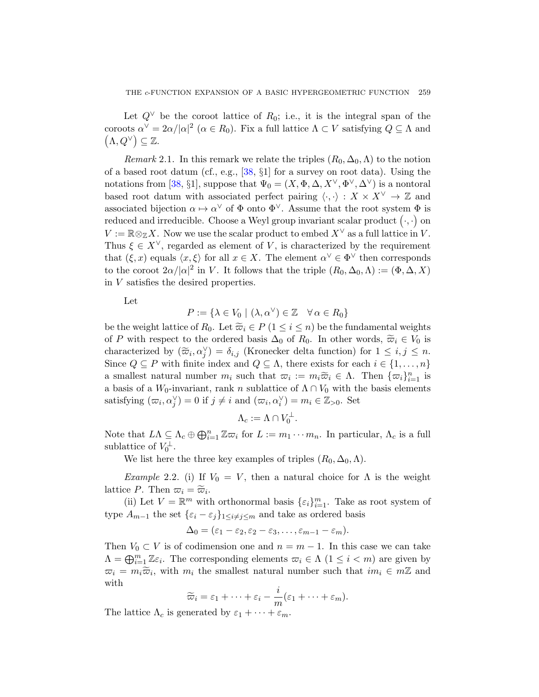Let  $Q^{\vee}$  be the coroot lattice of  $R_0$ ; i.e., it is the integral span of the coroots  $\alpha^{\vee} = 2\alpha/|\alpha|^2$  ( $\alpha \in R_0$ ). Fix a full lattice  $\Lambda \subset V$  satisfying  $Q \subseteq \Lambda$  and  $(\Lambda, Q^{\vee}) \subseteq \mathbb{Z}.$ 

Remark 2.1. In this remark we relate the triples  $(R_0, \Delta_0, \Lambda)$  to the notion of a based root datum (cf., e.g., [38, §1] for a survey on root data). Using the notations from [38, §1], suppose that  $\Psi_0 = (X, \Phi, \Delta, X^{\vee}, \Phi^{\vee}, \Delta^{\vee})$  is a nontoral based root datum with associated perfect pairing  $\langle \cdot, \cdot \rangle : X \times X^{\vee} \to \mathbb{Z}$  and associated bijection  $\alpha \mapsto \alpha^{\vee}$  of  $\Phi$  onto  $\Phi^{\vee}$ . Assume that the root system  $\Phi$  is reduced and irreducible. Choose a Weyl group invariant scalar product  $( \cdot, \cdot )$  on  $V := \mathbb{R} \otimes_{\mathbb{Z}} X$ . Now we use the scalar product to embed  $X^{\vee}$  as a full lattice in V. Thus  $\xi \in X^{\vee}$ , regarded as element of V, is characterized by the requirement that  $(\xi, x)$  equals  $\langle x, \xi \rangle$  for all  $x \in X$ . The element  $\alpha^{\vee} \in \Phi^{\vee}$  then corresponds to the coroot  $2\alpha/|\alpha|^2$  in V. It follows that the triple  $(R_0, \Delta_0, \Lambda) := (\Phi, \Delta, X)$ in V satisfies the desired properties.

Let

$$
P := \{ \lambda \in V_0 \mid (\lambda, \alpha^{\vee}) \in \mathbb{Z} \quad \forall \, \alpha \in R_0 \}
$$

be the weight lattice of  $R_0$ . Let  $\widetilde{\varpi}_i \in P$  ( $1 \leq i \leq n$ ) be the fundamental weights of P with respect to the ordered basis  $\Delta_0$  of  $R_0$ . In other words,  $\widetilde{\varpi}_i \in V_0$  is characterized by  $(\widetilde{\varpi}_i, \alpha_j^{\vee}) = \delta_{i,j}$  (Kronecker delta function) for  $1 \leq i, j \leq n$ . Since  $Q \subseteq P$  with finite index and  $Q \subseteq \Lambda$ , there exists for each  $i \in \{1, \ldots, n\}$ a smallest natural number  $m_i$  such that  $\overline{\omega}_i := m_i \widetilde{\omega}_i \in \Lambda$ . Then  $\{\overline{\omega}_i\}_{i=1}^n$  is a basis of a W<sub>0</sub>-invariant, rank n sublattice of  $\Lambda \cap V_0$  with the basis elements satisfying  $(\varpi_i, \alpha_j^{\vee}) = 0$  if  $j \neq i$  and  $(\varpi_i, \alpha_i^{\vee}) = m_i \in \mathbb{Z}_{>0}$ . Set

$$
\Lambda_c := \Lambda \cap V_0^{\perp}.
$$

<span id="page-6-0"></span>Note that  $L\Lambda \subseteq \Lambda_c \oplus \bigoplus_{i=1}^n \mathbb{Z} \varpi_i$  for  $L := m_1 \cdots m_n$ . In particular,  $\Lambda_c$  is a full sublattice of  $V_0^{\perp}$ .

We list here the three key examples of triples  $(R_0, \Delta_0, \Lambda)$ .

Example 2.2. (i) If  $V_0 = V$ , then a natural choice for  $\Lambda$  is the weight lattice P. Then  $\overline{\omega}_i = \widetilde{\overline{\omega}}_i$ .

(ii) Let  $V = \mathbb{R}^m$  with orthonormal basis  $\{\varepsilon_i\}_{i=1}^m$ . Take as root system of type  $A_{m-1}$  the set  $\{\varepsilon_i - \varepsilon_j\}_{1 \leq i \neq j \leq m}$  and take as ordered basis

$$
\Delta_0=(\varepsilon_1-\varepsilon_2,\varepsilon_2-\varepsilon_3,\ldots,\varepsilon_{m-1}-\varepsilon_m).
$$

Then  $V_0 \subset V$  is of codimension one and  $n = m - 1$ . In this case we can take  $\Lambda = \bigoplus_{i=1}^m \mathbb{Z}\varepsilon_i$ . The corresponding elements  $\varpi_i \in \Lambda$   $(1 \leq i < m)$  are given by  $\overline{\omega}_i = m_i \widetilde{\overline{\omega}}_i$ , with  $m_i$  the smallest natural number such that  $im_i \in m\mathbb{Z}$  and with

$$
\widetilde{\varpi}_i = \varepsilon_1 + \cdots + \varepsilon_i - \frac{i}{m}(\varepsilon_1 + \cdots + \varepsilon_m).
$$

The lattice  $\Lambda_c$  is generated by  $\varepsilon_1 + \cdots + \varepsilon_m$ .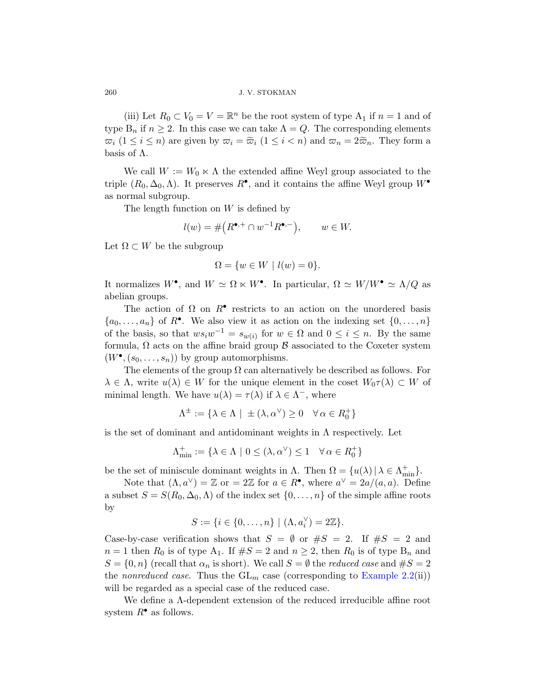(iii) Let  $R_0 \subset V_0 = V = \mathbb{R}^n$  be the root system of type  $A_1$  if  $n = 1$  and of type  $B_n$  if  $n \geq 2$ . In this case we can take  $\Lambda = Q$ . The corresponding elements  $\varpi_i$   $(1 \leq i \leq n)$  are given by  $\varpi_i = \widetilde{\varpi}_i$   $(1 \leq i < n)$  and  $\varpi_n = 2\widetilde{\varpi}_n$ . They form a basis of  $\Lambda$ .

We call  $W := W_0 \times \Lambda$  the extended affine Weyl group associated to the triple  $(R_0, \Delta_0, \Lambda)$ . It preserves  $R^{\bullet}$ , and it contains the affine Weyl group  $W^{\bullet}$ as normal subgroup.

The length function on  $W$  is defined by

$$
l(w) = \# \left( R^{\bullet, +} \cap w^{-1} R^{\bullet, -} \right), \qquad w \in W.
$$

Let  $\Omega \subset W$  be the subgroup

$$
\Omega = \{w \in W \mid l(w) = 0\}.
$$

It normalizes  $W^{\bullet}$ , and  $W \simeq \Omega \ltimes W^{\bullet}$ . In particular,  $\Omega \simeq W/W^{\bullet} \simeq \Lambda/Q$  as abelian groups.

The action of  $\Omega$  on  $R^{\bullet}$  restricts to an action on the unordered basis  $\{a_0, \ldots, a_n\}$  of  $R^{\bullet}$ . We also view it as action on the indexing set  $\{0, \ldots, n\}$ of the basis, so that  $ws_iw^{-1} = s_{w(i)}$  for  $w \in \Omega$  and  $0 \leq i \leq n$ . By the same formula,  $\Omega$  acts on the affine braid group  $\beta$  associated to the Coxeter system  $(W^{\bullet}, (s_0, \ldots, s_n))$  by group automorphisms.

The elements of the group  $\Omega$  can alternatively be described as follows. For  $\lambda \in \Lambda$ , write  $u(\lambda) \in W$  for the unique element in the coset  $W_0\tau(\lambda) \subset W$  of minimal length. We have  $u(\lambda) = \tau(\lambda)$  if  $\lambda \in \Lambda^-$ , where

$$
\Lambda^{\pm} := \{ \lambda \in \Lambda \mid \pm (\lambda, \alpha^{\vee}) \ge 0 \quad \forall \alpha \in R_0^+ \}
$$

is the set of dominant and antidominant weights in  $\Lambda$  respectively. Let

$$
\Lambda_{\min}^+ := \{ \lambda \in \Lambda \mid 0 \leq (\lambda, \alpha^{\vee}) \leq 1 \quad \forall \, \alpha \in R_0^+ \}
$$

be the set of miniscule dominant weights in  $\Lambda$ . Then  $\Omega = \{u(\lambda) | \lambda \in \Lambda_{\min}^+\}$ .

Note that  $(\Lambda, a^{\vee}) = \mathbb{Z}$  or  $= 2\mathbb{Z}$  for  $a \in R^{\bullet}$ , where  $a^{\vee} = 2a/(a, a)$ . Define a subset  $S = S(R_0, \Delta_0, \Lambda)$  of the index set  $\{0, \ldots, n\}$  of the simple affine roots by

$$
S:=\{i\in\{0,\ldots,n\}\ |\ (\Lambda,a_i^\vee)=2\mathbb Z\}.
$$

Case-by-case verification shows that  $S = \emptyset$  or  $\#S = 2$ . If  $\#S = 2$  and  $n = 1$  then  $R_0$  is of type  $A_1$ . If  $\#S = 2$  and  $n \geq 2$ , then  $R_0$  is of type  $B_n$  and  $S = \{0, n\}$  (recall that  $\alpha_n$  is short). We call  $S = \emptyset$  the *reduced case* and  $\#S = 2$ the nonreduced case. Thus the  $GL_m$  case (corresponding to Example 2.2(ii)) will be regarded as a special case of the reduced case.

We define a Λ-dependent extension of the reduced irreducible affine root system  $R^{\bullet}$  as follows.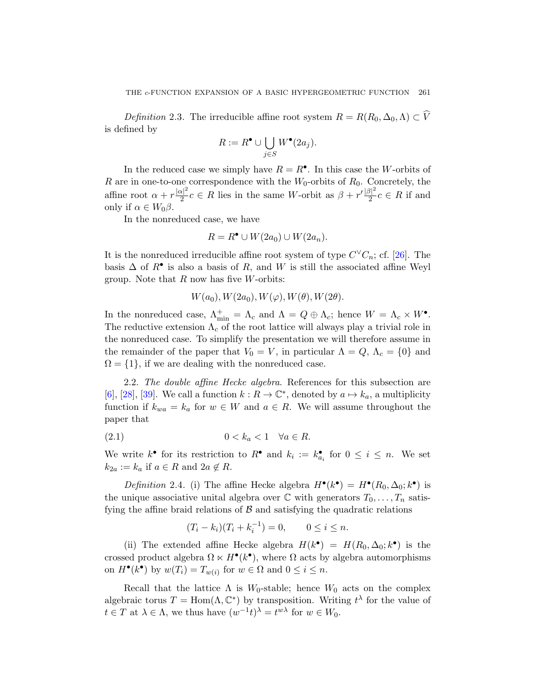Definition 2.3. The irreducible affine root system  $R = R(R_0, \Delta_0, \Lambda) \subset V$ is defined by

$$
R := R^{\bullet} \cup \bigcup_{j \in S} W^{\bullet}(2a_j).
$$

In the reduced case we simply have  $R = R^{\bullet}$ . In this case the W-orbits of R are in one-to-one correspondence with the  $W_0$  $W_0$ -orbits of  $R_0$ . Concretely, the affine root  $\alpha + r \frac{|\alpha|^2}{2}$  $\frac{|\mathcal{X}|^2}{2}c \in R$  lies in the same W-orbit as  $\beta + r' \frac{|\beta|^2}{2}$  $\frac{3}{2}c \in R$  if and only if  $\alpha \in W_0 \beta$ .

In the nonreduced case, we have

$$
R = R^{\bullet} \cup W(2a_0) \cup W(2a_n).
$$

It is the nonreduced irreducible affine root system of type  $C^{\vee}C_n$ ; cf. [26]. The basis  $\Delta$  of  $R^{\bullet}$  is also a basis of  $R$ , and  $W$  is still the associated affine Weyl group. Note that  $R$  now has five  $W$ -orbits:

$$
W(a_0), W(2a_0), W(\varphi), W(\theta), W(2\theta).
$$

In the nonreduced case,  $\Lambda_{\min}^+ = \Lambda_c$  and  $\Lambda = Q \oplus \Lambda_c$ ; hence  $W = \Lambda_c \times W^{\bullet}$ . The reductive extension  $\Lambda_c$  of the root lattice will always play a trivial role in the nonreduced case. To simplify the presentation we will therefore assume in the remainder of the paper that  $V_0 = V$ , in particular  $\Lambda = Q$ ,  $\Lambda_c = \{0\}$  and  $\Omega = \{1\}$ , if we are dealing with the nonreduced case.

2.2. The double affine Hecke algebra. References for this subsection are [6], [28], [39]. We call a function  $k: R \to \mathbb{C}^*$ , denoted by  $a \mapsto k_a$ , a multiplicity function if  $k_{wa} = k_a$  for  $w \in W$  and  $a \in R$ . We will assume throughout the paper that

$$
(2.1) \t\t 0 < k_a < 1 \quad \forall a \in R.
$$

We write  $k^{\bullet}$  for its restriction to  $R^{\bullet}$  and  $k_i := k^{\bullet}_{a_i}$  for  $0 \leq i \leq n$ . We set  $k_{2a} := k_a$  if  $a \in R$  and  $2a \notin R$ .

Definition 2.4. (i) The affine Hecke algebra  $H^{\bullet}(k^{\bullet}) = H^{\bullet}(R_0, \Delta_0; k^{\bullet})$  is the unique associative unital algebra over  $\mathbb C$  with generators  $T_0, \ldots, T_n$  satisfying the affine braid relations of  $\beta$  and satisfying the quadratic relations

$$
(T_i - k_i)(T_i + k_i^{-1}) = 0, \qquad 0 \le i \le n.
$$

(ii) The extended affine Hecke algebra  $H(k^{\bullet}) = H(R_0, \Delta_0; k^{\bullet})$  is the crossed product algebra  $\Omega \ltimes H^{\bullet}(k^{\bullet})$ , where  $\Omega$  acts by algebra automorphisms on  $H^{\bullet}(k^{\bullet})$  by  $w(T_i) = T_{w(i)}$  for  $w \in \Omega$  and  $0 \leq i \leq n$ .

Recall that the lattice  $\Lambda$  is  $W_0$ -stable; hence  $W_0$  acts on the complex algebraic torus  $T = \text{Hom}(\Lambda, \mathbb{C}^*)$  by transposition. Writing  $t^{\lambda}$  for the value of  $t \in T$  at  $\lambda \in \Lambda$ , we thus have  $(w^{-1}t)^{\lambda} = t^{w\lambda}$  for  $w \in W_0$ .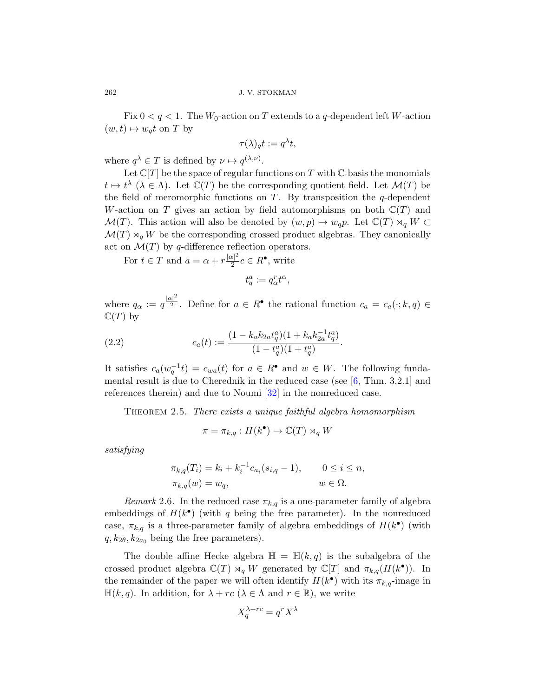Fix  $0 < q < 1$ . The  $W_0$ -action on T extends to a q-dependent left W-action  $(w, t) \mapsto w_q t$  on T by

$$
\tau(\lambda)_{q}t:=q^{\lambda}t,
$$

where  $q^{\lambda} \in T$  is defined by  $\nu \mapsto q^{(\lambda,\nu)}$ .

Let  $\mathbb{C}[T]$  be the space of regular functions on T with  $\mathbb{C}$ -basis the monomials  $t \mapsto t^{\lambda}$  ( $\lambda \in \Lambda$ ). Let  $\mathbb{C}(T)$  be the corresponding quotient field. Let  $\mathcal{M}(T)$  be the field of meromorphic functions on  $T$ . By transposition the q-dependent W-action on T gives an action by field automorphisms on both  $\mathbb{C}(T)$  and  $\mathcal{M}(T)$ . This action will also be denoted by  $(w, p) \mapsto w_q p$ . Let  $\mathbb{C}(T) \rtimes_q W \subset$  $\mathcal{M}(T) \rtimes_q W$  be the corresponding crossed product algebras. They canonically act on  $\mathcal{M}(T)$  by q-difference reflection operators.

For  $t \in T$  and  $a = \alpha + r \frac{|\alpha|^2}{2}$  $\frac{\alpha|^2}{2}c \in R^{\bullet}$ , write

$$
t_{q}^{a}:=q_{\alpha}^{r}t^{\alpha},
$$

where  $q_{\alpha} := q^{\frac{|\alpha|^2}{2}}$ . Define for  $a \in R^{\bullet}$  $a \in R^{\bullet}$  $a \in R^{\bullet}$  the rational function  $c_a = c_a(\cdot; k, q) \in$  $\mathbb{C}(T)$  by

(2.2) 
$$
c_a(t) := \frac{(1 - k_a k_{2a} t_q^a)(1 + k_a k_{2a}^{-1} t_q^a)}{(1 - t_q^a)(1 + t_q^a)}.
$$

It satisfies  $c_a(w_q^{-1}t) = c_{wa}(t)$  for  $a \in R^{\bullet}$  and  $w \in W$ . The following fundamental result is due to Cherednik in the reduced case (see [6, Thm. 3.2.1] and references therein) and due to Noumi [32] in the nonreduced case.

THEOREM 2.5. There exists a unique faithful algebra homomorphism

$$
\pi = \pi_{k,q} : H(k^{\bullet}) \to \mathbb{C}(T) \rtimes_q W
$$

satisfying

$$
\pi_{k,q}(T_i) = k_i + k_i^{-1} c_{a_i}(s_{i,q} - 1), \qquad 0 \le i \le n, \n\pi_{k,q}(w) = w_q, \qquad w \in \Omega.
$$

Remark 2.6. In the reduced case  $\pi_{k,q}$  is a one-parameter family of algebra embeddings of  $H(k^{\bullet})$  (with q being the free parameter). In the nonreduced case,  $\pi_{k,q}$  is a three-parameter family of algebra embeddings of  $H(k^{\bullet})$  (with  $q, k_{2\theta}, k_{2a_0}$  being the free parameters).

The double affine Hecke algebra  $\mathbb{H} = \mathbb{H}(k,q)$  is the subalgebra of the crossed product algebra  $\mathbb{C}(T) \rtimes_q W$  generated by  $\mathbb{C}[T]$  and  $\pi_{k,q}(H(k^{\bullet}))$ . In the remainder of the paper we will often identify  $H(k^{\bullet})$  with its  $\pi_{k,q}$ -image in  $\mathbb{H}(k, q)$ . In addition, for  $\lambda + rc$  ( $\lambda \in \Lambda$  and  $r \in \mathbb{R}$ ), we write

$$
X_q^{\lambda + rc} = q^r X^\lambda
$$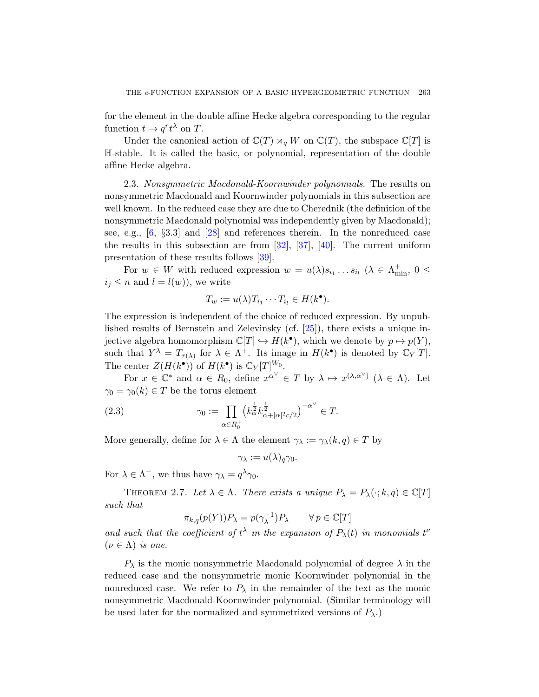for the element in the double affine Hecke algebra corresponding to the regular function  $t \mapsto q^r t^{\lambda}$  on T.

Under the canonical action of  $\mathbb{C}(T) \rtimes_q W$  on  $\mathbb{C}(T)$ , the subspace  $\mathbb{C}[T]$  is H[-st](#page-45-4)able. It is called the basic, or polynomial, representation of the double affine Hecke alge[bra.](#page-45-5)

2.3. Non[sym](#page-46-3)metric Macdonald-Koornwinder polynomials. The results on nonsymmetric Macdonald and Koornwinder polynomials in this subsection are well known. In the reduced case they are due to Cherednik (the definition of the nonsymmetric Macdonald polynomial was independently given by Macdonald); see, e.g., [6, §3.3] and [28] and references therein. In the nonreduced case the results in this subsection are from  $[32]$ ,  $[37]$ ,  $[40]$ . The current uniform presentation of these res[ults](#page-44-4) follows [39].

For  $w \in W$  with reduced expression  $w = u(\lambda)s_{i_1} \ldots s_{i_l}$   $(\lambda \in \Lambda^+_{\min}, 0 \leq$  $i_j \leq n$  and  $l = l(w)$ , we write

$$
T_w := u(\lambda) T_{i_1} \cdots T_{i_l} \in H(k^{\bullet}).
$$

The expression is independent of the choice of reduced expression. By unpublished results of Bernstein and Zelevinsky (cf. [25]), there exists a unique injective algebra homomorphism  $\mathbb{C}[T] \hookrightarrow H(k^{\bullet})$ , which we denote by  $p \mapsto p(Y)$ , such that  $Y^{\lambda} = T_{\tau(\lambda)}$  for  $\lambda \in \Lambda^{+}$ . Its image in  $H(k^{\bullet})$  is denoted by  $\mathbb{C}_Y[T]$ . The center  $Z(H(k^{\bullet}))$  of  $H(k^{\bullet})$  is  $\mathbb{C}_Y[T]^{W_0}$ .

For  $x \in \mathbb{C}^*$  and  $\alpha \in R_0$ , define  $x^{\alpha^{\vee}} \in T$  by  $\lambda \mapsto x^{(\lambda,\alpha^{\vee})}$   $(\lambda \in \Lambda)$ . Let  $\gamma_0 = \gamma_0(k) \in T$  be the torus element

(2.3) 
$$
\gamma_0 := \prod_{\alpha \in R_0^+} \left( k_\alpha^{\frac{1}{2}} k_{\alpha+|\alpha|^2 c/2}^{\frac{1}{2}} \right)^{-\alpha^{\vee}} \in T.
$$

More generally, define for  $\lambda \in \Lambda$  the element  $\gamma_{\lambda} := \gamma_{\lambda}(k, q) \in T$  by

$$
\gamma_{\lambda} := u(\lambda)_{q} \gamma_{0}.
$$

For  $\lambda \in \Lambda^-$ , we thus have  $\gamma_{\lambda} = q^{\lambda} \gamma_0$ .

THEOREM 2.7. Let  $\lambda \in \Lambda$ . There exists a unique  $P_{\lambda} = P_{\lambda}(\cdot; k, q) \in \mathbb{C}[T]$ such that

$$
\pi_{k,q}(p(Y))P_{\lambda} = p(\gamma_{\lambda}^{-1})P_{\lambda} \qquad \forall \, p \in \mathbb{C}[T]
$$

and such that the coefficient of  $t^{\lambda}$  in the expansion of  $P_{\lambda}(t)$  in monomials  $t^{\nu}$  $(\nu \in \Lambda)$  is one.

 $P_{\lambda}$  is the monic nonsymmetric Macdonald polynomial of degree  $\lambda$  in the reduced case and the nonsymmetric monic Koornwinder polynomial in the nonreduced case. We refer to  $P_{\lambda}$  in the remainder of the text as the monic nonsymmetric Macdonald-Koornwinder polynomial. (Similar terminology will be used later for the normalized and symmetrized versions of  $P_{\lambda}$ .)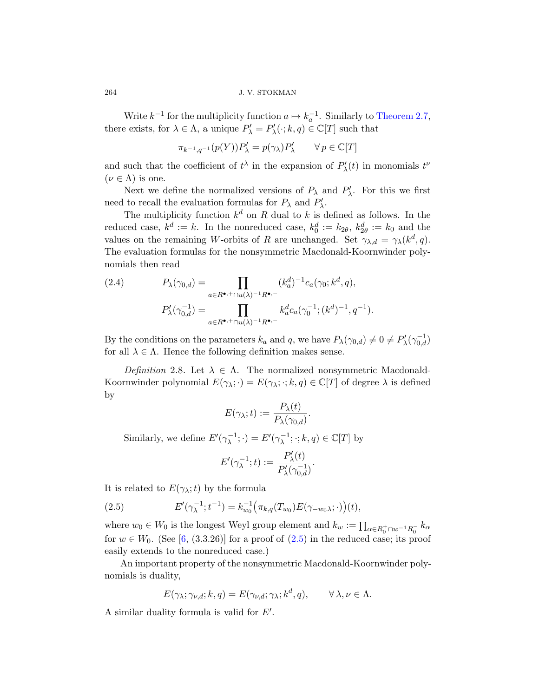Write  $k^{-1}$  for the multiplicity function  $a \mapsto k_a^{-1}$ . Similarly to Theorem 2.7, there exists, for  $\lambda \in \Lambda$ , a unique  $P'_{\lambda} = P'_{\lambda}(\cdot; k, q) \in \mathbb{C}[T]$  such that

$$
\pi_{k^{-1},q^{-1}}(p(Y))P'_{\lambda}=p(\gamma_{\lambda})P'_{\lambda}\qquad\forall\,p\in\mathbb{C}[T]
$$

and such that the coefficient of  $t^{\lambda}$  in the expansion of  $P'_{\lambda}(t)$  in monomials  $t^{\nu}$  $(\nu \in \Lambda)$  is one.

Next we define the normalized versions of  $P_{\lambda}$  and  $P'_{\lambda}$ . For this we first need to recall the evaluation formulas for  $P_{\lambda}$  and  $P'_{\lambda}$ .

The multiplicity function  $k^d$  on R dual to k is defined as follows. In the reduced case,  $k^d := k$ . In the nonreduced case,  $k_0^d := k_{2\theta}$ ,  $k_{2\theta}^d := k_0$  and the values on the remaining W-orbits of R are unchanged. Set  $\gamma_{\lambda,d} = \gamma_{\lambda}(k^d, q)$ . The evaluation formulas for the nonsymmetric Macdonald-Koornwinder polynomials then read

(2.4) 
$$
P_{\lambda}(\gamma_{0,d}) = \prod_{a \in R^{\bullet,+} \cap u(\lambda)^{-1} R^{\bullet,-}} (k_a^d)^{-1} c_a(\gamma_0; k^d, q),
$$

$$
P'_{\lambda}(\gamma_{0,d}^{-1}) = \prod_{a \in R^{\bullet,+} \cap u(\lambda)^{-1} R^{\bullet,-}} k_a^d c_a(\gamma_0^{-1}; (k^d)^{-1}, q^{-1}).
$$

By the conditions on the parameters  $k_a$  and q, we have  $P_{\lambda}(\gamma_{0,d}) \neq 0 \neq P'_{\lambda}(\gamma_{0,d}^{-1})$ for all  $\lambda \in \Lambda$ . Hence the following definition makes sense.

Definition 2.8. Let  $\lambda \in \Lambda$ . The normalized nonsymmetric Macdonald-Koornwinder polynomial  $E(\gamma_{\lambda};\cdot) = E(\gamma_{\lambda};\cdot;k,q) \in \mathbb{C}[T]$  of degree  $\lambda$  is defined by

$$
E(\gamma_{\lambda};t) := \frac{P_{\lambda}(t)}{P_{\lambda}(\gamma_{0,d})}.
$$

<span id="page-11-0"></span>Similarly, we define  $E'(\gamma_{\lambda}^{-1};\cdot) = E'(\gamma_{\lambda}^{-1};\cdot; k, q) \in \mathbb{C}[T]$  by

$$
E'(\gamma_{\lambda}^{-1};t):=\frac{P'_{\lambda}(t)}{P'_{\lambda}(\gamma_{0,d}^{-1})}.
$$

It is related to  $E(\gamma_{\lambda};t)$  by the formula

(2.5) 
$$
E'(\gamma_{\lambda}^{-1}; t^{-1}) = k_{w_0}^{-1}(\pi_{k,q}(T_{w_0})E(\gamma_{-w_0\lambda}; \cdot))(t),
$$

where  $w_0 \in W_0$  is the longest Weyl group element and  $k_w := \prod_{\alpha \in R_0^+ \cap w^{-1}R_0^-} k_{\alpha}$ for  $w \in W_0$ . (See [6, (3.3.26)] for a proof of (2.5) in the reduced case; its proof easily extends to the nonreduced case.)

An important property of the nonsymmetric Macdonald-Koornwinder polynomials is duality,

$$
E(\gamma_{\lambda}; \gamma_{\nu,d}; k, q) = E(\gamma_{\nu,d}; \gamma_{\lambda}; k^d, q), \qquad \forall \lambda, \nu \in \Lambda.
$$

A similar duality formula is valid for  $E'$ .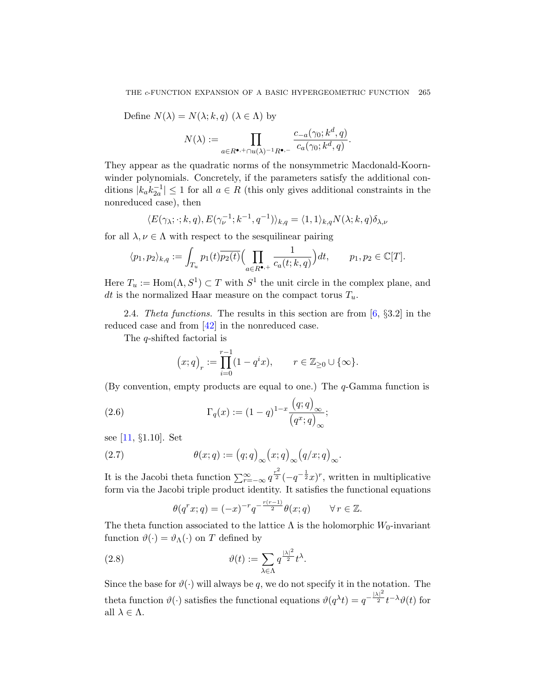Define  $N(\lambda) = N(\lambda; k, q)$   $(\lambda \in \Lambda)$  by

$$
N(\lambda):=\prod_{a\in R^{\bullet,+}\cap u(\lambda)^{-1}R^{\bullet,-}}\frac{c_{-a}(\gamma_0;k^d,q)}{c_a(\gamma_0;k^d,q)}.
$$

They appear as the quadratic norms of the nonsymmetric Macdonald-Koornwinder polynomials. Concretely, if the parameters satisfy the additional conditions  $|k_a k_{2a}^{-1}| \leq 1$  for all  $a \in R$  (this only gives additional constraints in the nonreduced case), then

$$
\langle E(\gamma_{\lambda}; \cdot; k, q), E(\gamma_{\nu}^{-1}; k^{-1}, q^{-1})\rangle_{k,q} = \langle 1, 1\rangle_{k,q} N(\lambda; k, q) \delta_{\lambda, \nu}
$$

for all  $\lambda, \nu \in \Lambda$  with respect to the sesqu[ili](#page-43-5)near pairing

$$
\langle p_1, p_2 \rangle_{k,q} := \int_{T_u} p_1(t) \overline{p_2(t)} \Big( \prod_{a \in R^{\bullet,+}} \frac{1}{c_a(t;k,q)} \Big) dt, \qquad p_1, p_2 \in \mathbb{C}[T].
$$

Here  $T_u := \text{Hom}(\Lambda, S^1) \subset T$  with  $S^1$  the unit circle in the complex plane, and dt is the normalized Haar measure on the compact torus  $T_u$ .

2.4. Theta functions. The results in this section are from  $[6, §3.2]$  in the reduced case and from [42] in the nonreduced case.

The q-shifted factorial is

$$
\left(x;q\right)_r:=\prod_{i=0}^{r-1}(1-q^ix),\qquad r\in\mathbb{Z}_{\geq 0}\cup\{\infty\}.
$$

<span id="page-12-1"></span>(By convention, empty products are equal to one.) The q-Gamma function is

(2.6) 
$$
\Gamma_q(x) := (1-q)^{1-x} \frac{\left(q;q\right)_{\infty}}{\left(q^x;q\right)_{\infty}};
$$

see [11, §1.10]. Set

(2.7) 
$$
\theta(x;q) := (q;q)_{\infty}(x;q)_{\infty}(q/x;q)_{\infty}.
$$

<span id="page-12-0"></span>It is the Jacobi theta function  $\sum_{r=-\infty}^{\infty} q^{\frac{r^2}{2}} (-q^{-\frac{1}{2}}x)^r$ , written in multiplicative form via the Jacobi triple product identity. It satisfies the functional equations

$$
\theta(q^r x; q) = (-x)^{-r} q^{-\frac{r(r-1)}{2}} \theta(x; q) \qquad \forall \, r \in \mathbb{Z}.
$$

The theta function associated to the lattice  $\Lambda$  is the holomorphic W<sub>0</sub>-invariant function  $\vartheta(\cdot) = \vartheta_{\Lambda}(\cdot)$  on T defined by

(2.8) 
$$
\vartheta(t) := \sum_{\lambda \in \Lambda} q^{\frac{|\lambda|^2}{2}} t^{\lambda}.
$$

Since the base for  $\vartheta(\cdot)$  will always be q, we do not specify it in the notation. The theta function  $\vartheta(\cdot)$  satisfies the functional equations  $\vartheta(q^{\lambda}t) = q^{-\frac{|\lambda|^2}{2}}t^{-\lambda}\vartheta(t)$  for all  $\lambda \in \Lambda$ .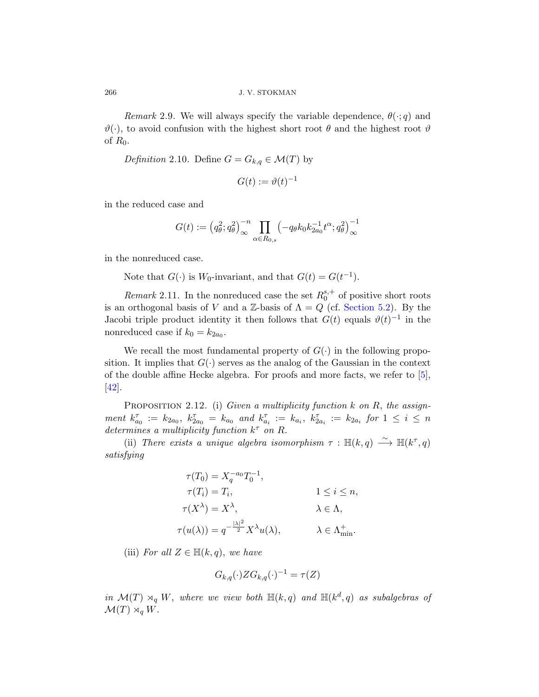Remark 2.9. We will always specify the variable dependence,  $\theta(\cdot; q)$  and  $\vartheta(\cdot)$ , to avoid confusion with the highest short root  $\theta$  and the highest root  $\vartheta$ of  $R_0$ .

Definition 2.10. Define  $G = G_{k,q} \in \mathcal{M}(T)$  by

$$
G(t) := \vartheta(t)^{-1}
$$

in the reduced case and

$$
G(t):=\left(q_\theta^2;q_\theta^2\right)_\infty^{-n}\prod_{\alpha\in R_{0,s}}\left(-q_\theta k_0k_{2a_0}^{-1}t^\alpha;q_\theta^2\right)_\infty^{-1}
$$

in the nonreduced case.

Note that  $G(\cdot)$  is  $W_0$ -invariant, and that  $G(t) = G(t^{-1})$ .

Remark 2.11. In the nonreduced case the set  $R_0^{s,+}$  $_0^{s,+}$  $_0^{s,+}$  $_0^{s,+}$  of positive short roots is an orthogonal basis of V and a Z-basis of  $\Lambda = Q$  (cf. Section 5.2). By the Jacobi triple product identity it then follows that  $G(t)$  equals  $\vartheta(t)^{-1}$  in the nonreduced case if  $k_0 = k_{2a_0}$ .

We recall the most fundamental property of  $G(\cdot)$  in the following proposition. It implies that  $G(\cdot)$  serves as the analog of the Gaussian in the context of the double affine Hecke algebra. For proofs and more facts, we refer to [5], [42].

PROPOSITION 2.12. (i) Given a multiplicity function  $k$  on  $R$ , the assignment  $k_{a_0}^{\tau} := k_{2a_0}, k_{2a_0}^{\tau} = k_{a_0}$  and  $k_{a_i}^{\tau} := k_{a_i}, k_{2a_i}^{\tau} := k_{2a_i}$  for  $1 \leq i \leq n$ determines a multiplicity function  $k^{\tau}$  on R.

(ii) There exists a unique algebra isomorphism  $\tau : \mathbb{H}(k,q) \longrightarrow \mathbb{H}(k^{\tau},q)$ satisfying

$$
\tau(T_0) = X_q^{-a_0} T_0^{-1},
$$
  
\n
$$
\tau(T_i) = T_i,
$$
  
\n
$$
\tau(X^{\lambda}) = X^{\lambda},
$$
  
\n
$$
\tau(u(\lambda)) = q^{-\frac{|\lambda|^2}{2}} X^{\lambda} u(\lambda),
$$
  
\n
$$
\lambda \in \Lambda_{\min}^+,
$$
  
\n
$$
\lambda \in \Lambda_{\min}^+.
$$

(iii) For all  $Z \in \mathbb{H}(k,q)$ , we have

$$
G_{k,q}(\cdot)ZG_{k,q}(\cdot)^{-1} = \tau(Z)
$$

in  $\mathcal{M}(T) \rtimes_q W$ , where we view both  $\mathbb{H}(k,q)$  and  $\mathbb{H}(k^d,q)$  as subalgebras of  $\mathcal{M}(T) \rtimes_q W$ .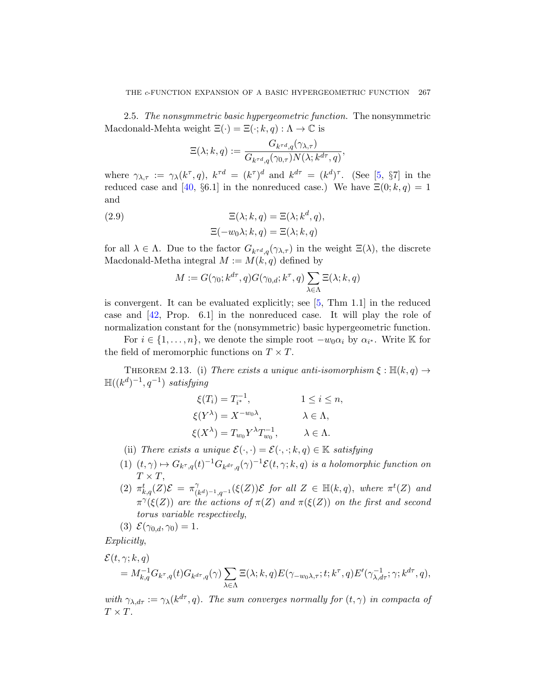<span id="page-14-1"></span>2.5. The nonsymmetric basic hypergeometric function. The nonsymmetric Macdonald-Mehta weight  $\Xi(\cdot) = \Xi(\cdot; k, q) : \Lambda \to \mathbb{C}$  is

$$
\Xi(\lambda;k,q):=\frac{G_{k^{\tau d},q}(\gamma_{\lambda,\tau})}{G_{k^{\tau d},q}(\gamma_{0,\tau})N(\lambda;k^{d\tau},q)},
$$

where  $\gamma_{\lambda,\tau} := \gamma_\lambda(k^\tau, q)$ ,  $k^{\tau d} = (k^\tau)^d$  and  $k^{d\tau} = (k^d)^\tau$ . (See [5, §7] in the reduced case and [40, §6.1] in the nonreduced case.) We have  $\Xi(0; k, q) = 1$ and

(2.9) 
$$
\Xi(\lambda; k, q) = \Xi(\lambda; k^d, q), \n\Xi(-w_0\lambda; k, q) = \Xi(\lambda; k, q)
$$

for all  $\lambda \in \Lambda$ . Due to the factor  $G_{k^{\tau d},q}(\gamma_{\lambda,\tau})$  in the weight  $\Xi(\lambda)$ , the discrete Macdonald-Metha integral  $M := M(k, q)$  defined by

$$
M:=G(\gamma_0; k^{d\tau},q)G(\gamma_{0,d}; k^\tau,q)\sum_{\lambda\in\Lambda}\Xi(\lambda;k,q)
$$

<span id="page-14-0"></span>is convergent. It can be evaluated explicitly; see [5, Thm 1.1] in the reduced case and [42, Prop. 6.1] in the nonreduced case. It will play the role of normalization constant for the (nonsymmetric) basic hypergeometric function.

For  $i \in \{1, \ldots, n\}$ , we denote the simple root  $-w_0\alpha_i$  by  $\alpha_{i^*}$ . Write K for the field of meromorphic functions on  $T \times T$ .

THEOREM 2.13. (i) There exists a unique anti-isomorphism  $\xi : \mathbb{H}(k,q) \to$  $\mathbb{H}((k^d)^{-1},q^{-1})$  satisfying

$$
\xi(T_i) = T_{i^*}^{-1}, \qquad 1 \le i \le n,
$$
  
\n
$$
\xi(Y^{\lambda}) = X^{-w_0\lambda}, \qquad \lambda \in \Lambda,
$$
  
\n
$$
\xi(X^{\lambda}) = T_{w_0} Y^{\lambda} T_{w_0}^{-1}, \qquad \lambda \in \Lambda.
$$

- (ii) There exists a unique  $\mathcal{E}(\cdot, \cdot) = \mathcal{E}(\cdot, \cdot; k, q) \in \mathbb{K}$  satisfying
- (1)  $(t, \gamma) \mapsto G_{k^{\tau}, q}(t)^{-1} G_{k^{d\tau}, q}(\gamma)^{-1} \mathcal{E}(t, \gamma; k, q)$  is a holomorphic function on  $T \times T$ ,
- (2)  $\pi_{k,q}^t(Z)\mathcal{E} = \pi_{(i)}^{\gamma}$  $\bigcup_{(k^d)^{-1},q^{-1}}^{\gamma}(\xi(Z))\mathcal{E}$  for all  $Z \in \mathbb{H}(k,q)$ , where  $\pi^t(Z)$  and  $\pi^{\gamma}(\xi(Z))$  are the actions of  $\pi(Z)$  and  $\pi(\xi(Z))$  on the first and second torus variable respectively,

$$
(3) \mathcal{E}(\gamma_{0,d}, \gamma_0) = 1.
$$

Explicitly,

$$
\mathcal{E}(t, \gamma; k, q) = M_{k,q}^{-1} G_{k^{\tau},q}(t) G_{k^{d\tau},q}(\gamma) \sum_{\lambda \in \Lambda} \Xi(\lambda; k, q) E(\gamma_{-w_0\lambda,\tau}; t; k^{\tau}, q) E'(\gamma_{\lambda,d\tau}^{-1}; \gamma; k^{d\tau}, q),
$$

with  $\gamma_{\lambda,d\tau} := \gamma_{\lambda}(k^{d\tau}, q)$ . The sum converges normally for  $(t, \gamma)$  in compacta of  $T \times T$ .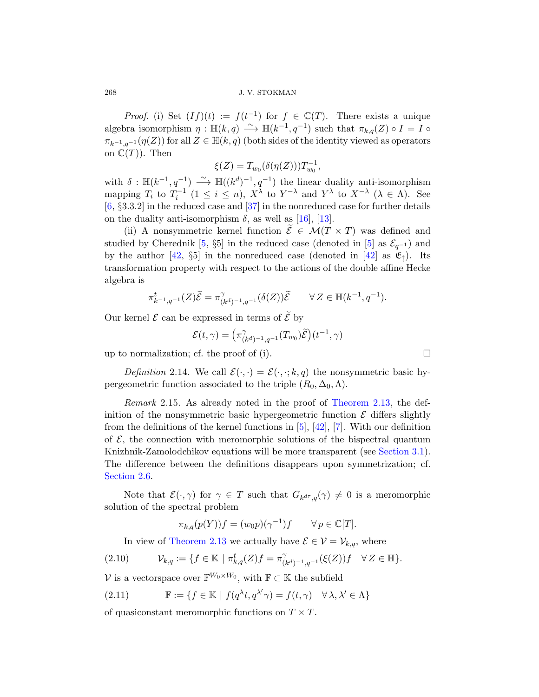*Proof.* (i) Set  $(If)(t) := f(t^{-1})$  for  $f \in \mathbb{C}(T)$ . There exists a unique algebra is[omo](#page-45-6)rphism  $\eta : \mathbb{H}(k,q) \longrightarrow \mathbb{H}(k^{-1},q^{-1})$  such that  $\pi_{k,q}(Z) \circ I = I \circ I$  $\pi_{k^{-1},g^{-1}}(\eta(Z))$  for all  $Z \in \mathbb{H}(k,q)$  (both sides of the identity viewed as operators on  $\mathbb{C}(T)$ . Then

$$
\xi(Z) = T_{w_0}(\delta(\eta(Z))) T_{w_0}^{-1},
$$

with  $\delta : \mathbb{H}(k^{-1}, q^{-1}) \longrightarrow \mathbb{H}((k^d)^{-1}, q^{-1})$  $\delta : \mathbb{H}(k^{-1}, q^{-1}) \longrightarrow \mathbb{H}((k^d)^{-1}, q^{-1})$  $\delta : \mathbb{H}(k^{-1}, q^{-1}) \longrightarrow \mathbb{H}((k^d)^{-1}, q^{-1})$  the linear duality anti-isomorphism mapping  $T_i$  to  $T_i^{-1}$   $(1 \le i \le n)$ ,  $X^{\lambda}$  to  $Y^{-\lambda}$  and  $Y^{\lambda}$  to  $X^{-\lambda}$   $(\lambda \in \Lambda)$ . See  $[6, §3.3.2]$  in the reduced case and  $[37]$  in the nonreduced case for further details on the duality anti-isomorphism  $\delta$ , as well as [16], [13].

(ii) A nonsymmetric kernel function  $\mathcal{E} \in \mathcal{M}(T \times T)$  was defined and studied by Cherednik [5, §5] in the reduced case (denoted in [5] as  $\mathcal{E}_{q^{-1}}$ ) and by the author [42, §5] in the nonreduced case (denoted in [42] as  $\mathfrak{E}_t$ ). Its transformation property with respect to the actions of the double affine Hecke algebra is

$$
\pi_{k^{-1},q^{-1}}^t(Z)\widetilde{\mathcal{E}} = \pi_{(k^d)^{-1},q^{-1}}^{\gamma}(\delta(Z))\widetilde{\mathcal{E}} \qquad \forall Z \in \mathbb{H}(k^{-1},q^{-1}).
$$

Our kernel  $\mathcal E$  can be expressed [in terms of](#page-14-0)  $\tilde{\mathcal E}$  by

$$
\mathcal{E}(t,\gamma) = \left(\pi^{\gamma}_{(k^d)^{-1},q^{-1}}(T_{w_0})\widetilde{\mathcal{E}}\right)(t^{-1},\gamma)
$$

up to normalization; cf[. t](#page-43-0)h[e pr](#page-46-0)o[of](#page-43-1) of (i).

Definition 2.14. We call  $\mathcal{E}(\cdot, \cdot) = \mathcal{E}(\cdot, \cdot; k, q)$  the nonsymmetric basic hypergeometric function associated to the triple  $(R_0, \Delta_0, \Lambda)$ .

Remark 2.15. As already noted in the proof of Theorem 2.13, the definition of the nonsymmetric basic hypergeometric function  $\mathcal E$  differs slightly from the definitions of the kernel functions in  $[5]$ ,  $[42]$ ,  $[7]$ . With our definition of  $\mathcal{E}$ , the connection with meromorphic solutions of the bispectral quantum Knizhnik-Zamolodchikov equations will be more transparent (see Section 3.1). [The d](#page-14-0)ifference between the definitions disappears upon symmetrization; cf. Section 2.6.

Note that  $\mathcal{E}(\cdot,\gamma)$  for  $\gamma \in T$  such that  $G_{k^{d\tau},q}(\gamma) \neq 0$  is a meromorphic solution of the spectral problem

$$
\pi_{k,q}(p(Y))f = (w_0p)(\gamma^{-1})f \qquad \forall p \in \mathbb{C}[T].
$$

In view of Theorem 2.13 we actually have  $\mathcal{E} \in \mathcal{V} = \mathcal{V}_{k,q}$ , where

$$
(2.10) \t\t\t V_{k,q} := \{ f \in \mathbb{K} \mid \pi_{k,q}^t(Z)f = \pi_{(k^d)^{-1},q^{-1}}^{\gamma}(\xi(Z))f \quad \forall Z \in \mathbb{H} \}.
$$

V is a vector space over  $\mathbb{F}^{W_0 \times W_0}$ , with  $\mathbb{F} \subset \mathbb{K}$  the subfield

(2.11) 
$$
\mathbb{F} := \{ f \in \mathbb{K} \mid f(q^{\lambda}t, q^{\lambda'}\gamma) = f(t, \gamma) \quad \forall \lambda, \lambda' \in \Lambda \}
$$

of quasiconstant meromorphic functions on  $T \times T$ .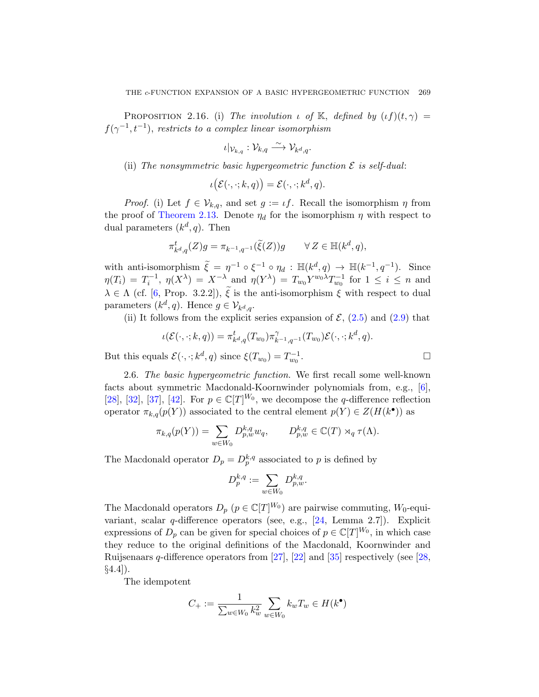<span id="page-16-0"></span>PROPOSITION 2.16. (i) The involution  $\iota$  of K, defined by  $(\iota f)(t, \gamma) =$  $f(\gamma^{-1}, t^{-1})$ , restricts to a complex linear isomorphism

$$
\iota|_{\mathcal{V}_{k,q}}: \mathcal{V}_{k,q} \stackrel{\sim}{\longrightarrow} \mathcal{V}_{k^d,q}.
$$

(ii) The nonsymmetric basic hypergeometric function  $\mathcal E$  is self-dual:

$$
\iota\big(\mathcal{E}(\cdot,\cdot;k,q)\big)=\mathcal{E}(\cdot,\cdot;k^d,q).
$$

*Proof.* (i) Let  $f \in V_{k,q}$ , and set  $g := \iota f$ . Recall the isomorphism  $\eta$  from the proof of Theorem 2.13. Denote  $\eta_d$  for the isomorphism  $\eta$  with respect to dual parameters  $(k^d, q)$ . Then

$$
\pi_{k^d,q}^t(Z)g = \pi_{k^{-1},q^{-1}}(\tilde{\xi}(Z))g \qquad \forall Z \in \mathbb{H}(k^d,q),
$$

with anti-isomorphism  $\tilde{\xi} = \eta^{-1} \circ \xi^{-1} \circ \eta_d : \mathbb{H}(k^d, q) \to \mathbb{H}(k^{-1}, q^{-1}).$  Since  $\eta(T_i) = T_i^{-1}, \ \eta(X^{\lambda}) = X^{-\lambda}$  and  $\eta(Y^{\lambda}) = T_{w_0}Y^{w_0\lambda}T_{w_0}^{-1}$  for  $1 \leq i \leq n$  and  $\lambda \in \Lambda$  (cf. [6, Prop. 3.2.2]),  $\tilde{\xi}$  is the anti-isomorphism  $\xi$  with respect to dual parameters  $(k^d, q)$ . Hence  $g \in \mathcal{V}_{k^d, q}$ .

(ii) It follows from the explicit series expansion [o](#page-43-5)f  $\mathcal{E}$ , (2.5) and (2.9) that

$$
\iota(\mathcal{E}(\cdot,\cdot;k,q)) = \pi_{k^d,q}^t(T_{w_0})\pi_{k^{-1},q^{-1}}^{\gamma}(T_{w_0})\mathcal{E}(\cdot,\cdot;k^d,q).
$$
  
als  $\mathcal{E}(\cdot,\cdot;k^d,q)$  since  $\xi(T_{w_0}) = T_{w_0}^{-1}$ .

But this equals  $\mathcal{E}(\cdot, \cdot; k^d, q)$  since  $\xi(T_{w_0}) = T_{w_0}^{-1}$ 

2.6. The basic hypergeometric function. We first recall some well-known facts about symmetric Macdonald-Koornwinder polynomials from, e.g., [6], [28], [32], [37], [42]. For  $p \in \mathbb{C}[T]^{W_0}$ , we decompose the q-difference reflection operator  $\pi_{k,q}(p(Y))$  associated to the central element  $p(Y) \in Z(H(k^{\bullet}))$  as

$$
\pi_{k,q}(p(Y)) = \sum_{w \in W_0} D_{p,w}^{k,q} w_q, \qquad D_{p,w}^{k,q} \in \mathbb{C}(T) \rtimes_q \tau(\Lambda).
$$

The Macdonald operator  $D_p = D_p^{k,q}$  associated to p is defined by

$$
D_p^{k,q} := \sum_{w \in W_0} D_{p,w}^{k,q}.
$$

The Macdonald operators  $D_p$   $(p \in \mathbb{C}[T]^{W_0})$  are pairwise commuting,  $W_0$ -equivariant, scalar q-difference operators (see, e.g., [24, Lemma 2.7]). Explicit expressions of  $D_p$  can be given for special choices of  $p \in \mathbb{C}[T]^{W_0}$ , in which case they reduce to the original definitions of the Macdonald, Koornwinder and Ruijsenaars q-difference operators from [27], [22] and [35] respectively (see [28,  $\S4.4$ ].

The idempotent

$$
C_+ := \frac{1}{\sum_{w \in W_0} k_w^2} \sum_{w \in W_0} k_w T_w \in H(k^{\bullet})
$$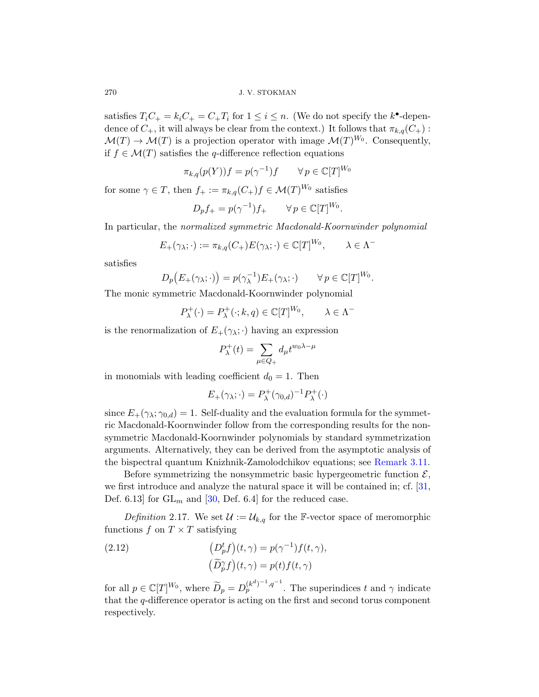satisfies  $T_iC_+ = k_iC_+ = C_+T_i$  for  $1 \leq i \leq n$ . (We do not specify the  $k^{\bullet}$ -dependence of  $C_+$ , it will always be clear from the context.) It follows that  $\pi_{k,q}(C_+)$ :  $\mathcal{M}(T) \to \mathcal{M}(T)$  is a projection operator with image  $\mathcal{M}(T)^{W_0}$ . Consequently, if  $f \in \mathcal{M}(T)$  satisfies the q-difference reflection equations

$$
\pi_{k,q}(p(Y))f = p(\gamma^{-1})f \qquad \forall \, p \in \mathbb{C}[T]^{W_0}
$$

for some  $\gamma \in T$ , then  $f_+ := \pi_{k,q}(C_+) f \in \mathcal{M}(T)^{W_0}$  satisfies

$$
D_p f_+ = p(\gamma^{-1}) f_+ \qquad \forall \, p \in \mathbb{C}[T]^{W_0}.
$$

In particular, the normalized symmetric Macdonald-Koornwinder polynomial

$$
E_{+}(\gamma_{\lambda};\cdot) := \pi_{k,q}(C_{+})E(\gamma_{\lambda};\cdot) \in \mathbb{C}[T]^{W_{0}}, \qquad \lambda \in \Lambda^{-}
$$

satisfies

$$
D_p(E_+(\gamma_{\lambda};\cdot)) = p(\gamma_{\lambda}^{-1})E_+(\gamma_{\lambda};\cdot) \qquad \forall p \in \mathbb{C}[T]^{W_0}.
$$

The monic symmetric Macdonald-Koornwinder polynomial

$$
P_{\lambda}^{+}(\cdot) = P_{\lambda}^{+}(\cdot; k, q) \in \mathbb{C}[T]^{W_0}, \qquad \lambda \in \Lambda^{-}
$$

is the renormalization of  $E_+(\gamma_\lambda; \cdot)$  having an expression

$$
P_{\lambda}^{+}(t) = \sum_{\mu \in Q_{+}} d_{\mu} t^{w_{0}\lambda - \mu}
$$

in monomials with leading coefficient  $d_0 = 1$ . Then

$$
E_{+}(\gamma_{\lambda};\cdot) = P_{\lambda}^{+}(\gamma_{0,d})^{-1}P_{\lambda}^{+}(\cdot)
$$

since  $E_+(\gamma_\lambda; \gamma_{0,d}) = 1$ . Self-duality and the evaluati[on f](#page-45-1)ormula for the symmetr[ic M](#page-45-2)acdonald-Koornwinder follow from the corresponding results for the nonsymmetric Macdonald-Koornwinder polynomials by standard symmetrization arguments. Alternatively, they can be derived from the asymptotic analysis of the bispectral quantum Knizhnik-Zamolodchikov equations; see Remark 3.11.

<span id="page-17-0"></span>Before symmetrizing the nonsymmetric basic hypergeometric function  $\mathcal{E},$ we first introduce and analyze the natural space it will be contained in; cf. [31, Def. 6.13 for  $GL_m$  and [30, Def. 6.4] for the reduced case.

Definition 2.17. We set  $\mathcal{U} := \mathcal{U}_{k,q}$  for the F-vector space of meromorphic functions  $f$  on  $T \times T$  satisfying

(2.12) 
$$
\left(D_p^t f\right)(t,\gamma) = p(\gamma^{-1})f(t,\gamma),
$$

$$
\left(\widetilde{D}_p^{\gamma} f\right)(t,\gamma) = p(t)f(t,\gamma)
$$

for all  $p \in \mathbb{C}[T]^{W_0}$ , where  $\widetilde{D}_p = D_p^{(k^d)^{-1}, q^{-1}}$ . The superindices t and  $\gamma$  indicate that the q-difference operator is acting on the first and second torus component respectively.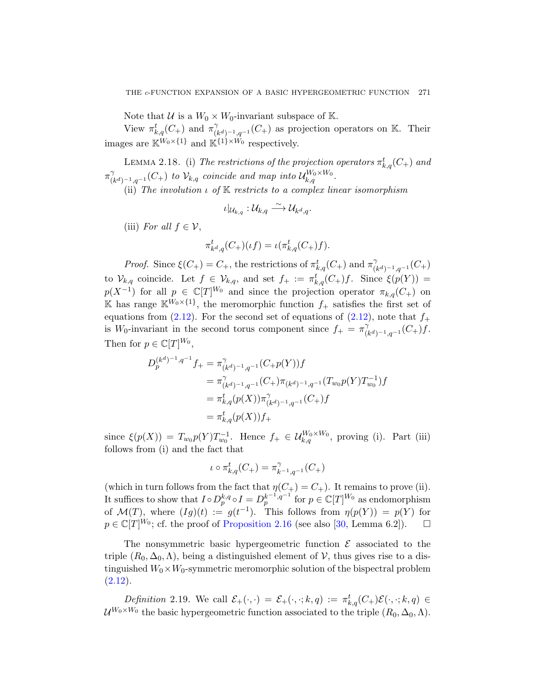Note that U is a  $W_0 \times W_0$ -invariant subspace of K.

<span id="page-18-0"></span>View  $\pi_{k,q}^t(C_+)$  and  $\pi_{(k,q)}^{\gamma}$  $\chi^{\gamma}_{(k^d)^{-1},q^{-1}}(C_+)$  as projection operators on K. Their images are  $\mathbb{K}^{W_0\times\{1\}}$  and  $\mathbb{K}^{\{1\}\times W_0}$  respectively.

LEMMA 2.18. (i) The restrictions of the projection operators  $\pi_{k,q}^t(C_+)$  and  $\pi^{\gamma}_{\alpha}$  $\bigcap_{(k^d)^{-1},q^{-1}}^{\gamma}(C_+)$  to  $\mathcal{V}_{k,q}$  coincide and map into  $\mathcal{U}_{k,q}^{W_0\times W_0}$ .

(ii) The involution  $\iota$  of  $K$  restricts to a complex linear isomorphism

$$
\iota|_{\mathcal{U}_{k,q}}:\mathcal{U}_{k,q}\stackrel{\sim}{\longrightarrow}\mathcal{U}_{k^d,q}.
$$

(iii) For all  $f \in \mathcal{V}$ ,

$$
\pi_{k^d,q}^t(C_+)(\iota f) = \iota(\pi_{k,q}^t(C_+)f).
$$

*Proof.* Since  $\xi(C_+) = C_+$ , the restrictions of  $\pi_{k,q}^t(C_+)$  and  $\pi_{(k,q)}^{\gamma}$  $\gamma_{(k^d)^{-1},q^{-1}}(C_+)$ to  $\mathcal{V}_{k,q}$  coincide. Let  $f \in \mathcal{V}_{k,q}$ , and set  $f_+ := \pi_{k,q}^t(C_+)f$ . Since  $\xi(p(Y)) =$  $p(X^{-1})$  for all  $p \in \mathbb{C}[T]^{W_0}$  and since the projection operator  $\pi_{k,q}(C_+)$  on K has range  $\mathbb{K}^{W_0\times\{1\}}$ , the meromorphic function  $f_+$  satisfies the first set of equations from (2.12). For the second set of equations of (2.12), note that  $f_+$ is W<sub>0</sub>-invariant in the second torus component since  $f_+ = \pi_0^{\gamma}$  $\gamma_{(k^d)^{-1},q^{-1}}(C_+)f.$ Then for  $p \in \mathbb{C}[T]^{W_0}$ ,

$$
D_p^{(k^d)^{-1}, q^{-1}} f_+ = \pi_{(k^d)^{-1}, q^{-1}}^{\gamma} (C_+ p(Y)) f
$$
  
\n
$$
= \pi_{(k^d)^{-1}, q^{-1}}^{\gamma} (C_+) \pi_{(k^d)^{-1}, q^{-1}} (T_{w_0} p(Y) T_{w_0}^{-1}) f
$$
  
\n
$$
= \pi_{k, q}^t (p(X)) \pi_{(k^d)^{-1}, q^{-1}}^{\gamma} (C_+) f
$$
  
\n
$$
= \pi_{k, q}^t (p(X)) f_+
$$

since  $\xi(p(X)) = T_{w_0}p(Y)T_{w_0}^{-1}$ . Hence  $f_+ \in \mathcal{U}_{k,q}^{W_0 \times W_0}$ , proving (i). Part (iii) follo[ws from \(i\) and th](#page-16-0)e fact th[at](#page-45-2)

$$
\iota\circ\pi_{k,q}^t(C_+)=\pi_{k^{-1},q^{-1}}^\gamma(C_+)
$$

(which in turn follows from the fact that  $\eta(C_+) = C_+$ ). It remains to prove (ii). It suffices to show that  $I \circ D_p^{k,q} \circ I = D_p^{k-1,q-1}$  for  $p \in \mathbb{C}[T]^{W_0}$  as endomorphism of  $\mathcal{M}(T)$ , where  $(Ig)(t) := g(t^{-1})$ . This follows from  $\eta(p(Y)) = p(Y)$  for  $p \in \mathbb{C}[T]^{W_0}$ ; cf. the proof of Proposition 2.16 (see also [30, Lemma 6.2]).  $\Box$ 

The nonsymmetric basic hypergeometric function  $\mathcal E$  associated to the triple  $(R_0, \Delta_0, \Lambda)$ , being a distinguished element of  $V$ , thus gives rise to a distinguished  $W_0 \times W_0$ -symmetric meromorphic solution of the bispectral problem  $(2.12).$ 

Definition 2.19. We call  $\mathcal{E}_+(\cdot,\cdot) = \mathcal{E}_+(\cdot,\cdot;k,q) := \pi_{k,q}^t(C_+) \mathcal{E}(\cdot,\cdot;k,q) \in$  $\mathcal{U}^{W_0 \times W_0}$  the basic hypergeometric function associated to the triple  $(R_0, \Delta_0, \Lambda)$ .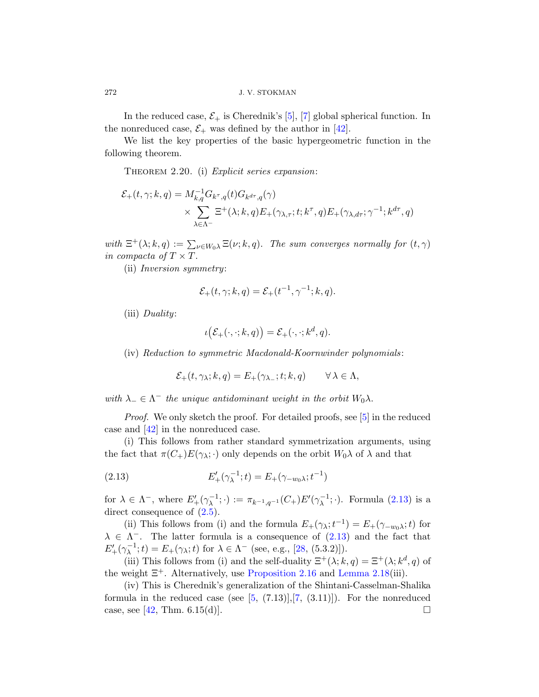In the reduced case,  $\mathcal{E}_+$  is Cherednik's [5], [7] global spherical function. In the nonreduced case,  $\mathcal{E}_+$  was defined by the author in [42].

We list the key properties of the basic hypergeometric function in the following theorem.

THEOREM 2.20. (i) Explicit series expansion:

$$
\mathcal{E}_{+}(t,\gamma;k,q) = M_{k,q}^{-1}G_{k^{\tau},q}(t)G_{k^{d\tau},q}(\gamma)
$$
  
 
$$
\times \sum_{\lambda \in \Lambda^{-}} \Xi^{+}(\lambda;k,q)E_{+}(\gamma_{\lambda,\tau};t;k^{\tau},q)E_{+}(\gamma_{\lambda,d\tau};\gamma^{-1};k^{d\tau},q)
$$

with  $\Xi^+(\lambda; k, q) := \sum_{\nu \in W_0\lambda} \Xi(\nu; k, q)$ . The sum converges normally for  $(t, \gamma)$ in compacta of  $T \times T$ .

(ii) Inversion symmetry:

$$
\mathcal{E}_+(t,\gamma;k,q) = \mathcal{E}_+(t^{-1},\gamma^{-1};k,q).
$$

(iii) Duality:

$$
\iota\big(\mathcal{E}_+(\cdot,\cdot;k,q)\big)=\mathcal{E}_+(\cdot,\cdot;k^d,q).
$$

(iv) Reduction to symmetric Macdonald-Koornwinder polynomials :

$$
\mathcal{E}_+(t,\gamma_\lambda;k,q)=E_+(\gamma_{\lambda_-};t;k,q)\qquad\forall\,\lambda\in\Lambda,
$$

<span id="page-19-0"></span>with  $\lambda_-\in\Lambda^-$  the unique antidominant weight in the orbit  $W_0\lambda$ .

Proof. We only sketch the proof. For det[ailed](#page-19-0) proofs, see [5] in the reduced [case](#page-11-0) and [42] in the nonreduced case.

(i) This follows from rather standard symmetrization arguments, using the fact that  $\pi(C_+)E(\gamma_{\lambda};\cdot)$  o[nly de](#page-19-0)pends on the orbit  $W_0\lambda$  of  $\lambda$  and that

(2.13) 
$$
E'_{+}(\gamma_{\lambda}^{-1};t) = E_{+}(\gamma_{-w_{0}\lambda};t^{-1})
$$

for  $\lambda \in \Lambda^-$ [, where](#page-16-0)  $E'_+(\gamma_\lambda^{-1};\cdot) := \pi_{k^{-1},q^{-1}}(C_+)E'(\gamma_\lambda^{-1};\cdot)$  $E'_+(\gamma_\lambda^{-1};\cdot) := \pi_{k^{-1},q^{-1}}(C_+)E'(\gamma_\lambda^{-1};\cdot)$  $E'_+(\gamma_\lambda^{-1};\cdot) := \pi_{k^{-1},q^{-1}}(C_+)E'(\gamma_\lambda^{-1};\cdot)$ . Formula (2.13) is a direct consequence of  $(2.5)$ .

(ii) Th[is](#page-43-0)follows f[ro](#page-43-1)m (i) and the formula  $E_+(\gamma_\lambda;t^{-1}) = E_+(\gamma_{-w_0\lambda};t)$  for  $\lambda \in \Lambda^{-}$ . The latter formula is a consequence of (2.13) and the fact that  $E'_{+}(\gamma_{\lambda}^{-1};t) = E_{+}(\gamma_{\lambda};t)$  for  $\lambda \in \Lambda^{-}$  (see, e.g., [28, (5.3.2)]).

(iii) This follows from (i) and the self-duality  $\Xi^+(\lambda; k, q) = \Xi^+(\lambda; k^d, q)$  of the weight  $\Xi^+$ . Alternatively, use Proposition 2.16 and Lemma 2.18(iii).

(iv) This is Cherednik's generalization of the Shintani-Casselman-Shalika formula in the reduced case (see  $[5, (7.13)], [7, (3.11)]$ ). For the nonreduced case, see [42, Thm. 6.15(d)].

<span id="page-19-1"></span>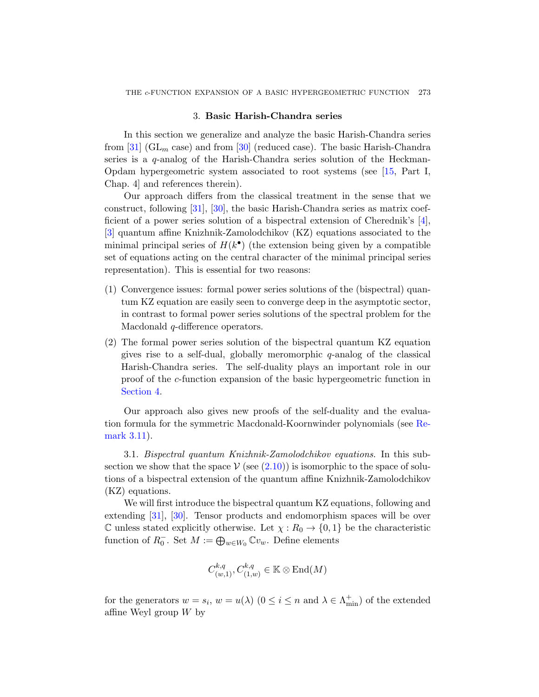## 3. Basic Harish-Chandra series

<span id="page-20-0"></span>[I](#page-45-2)n this section we generalize and analyze the basic Harish-Chandra series from [31] ( $GL_m$  case) and from [30] (reduced case). [Th](#page-43-7)e basic Harish-Chandra series is a q-analog of the Harish-Chandra series solution of the Heckman-Opdam hypergeometric system associated to root systems (see [15, Part I, Chap. 4] and references therein).

Our approach differs from the classical treatment in the sense that we construct, following [31], [30], the basic Harish-Chandra series as matrix coefficient of a power series solution of a bispectral extension of Cherednik's [4], [3] quantum affine Knizhnik-Zamolodchikov (KZ) equations associated to the minimal principal series of  $H(k^{\bullet})$  (the extension being given by a compatible set of equations acting on the central character of the minimal principal series representation). This is essential for two reasons:

- (1) Convergence issues: formal power series solutions of the (bispectral) quantum KZ equation are easily seen to converge deep in the asymptotic sector, in contrast to formal power series solutions of the spectral problem for the Macdonald *q*-difference operators.
- <span id="page-20-1"></span>(2) The formal power series solution of the bispec[tral](#page-27-0) quantum KZ equation gives rise to a self-dual, globally meromorphic  $q$ -analog of the classical Harish-Chandra series. The self-duality plays an important role in our proof of the c-function expansion of the basic hypergeometric function in Section 4.

Our approach also gives new proofs of the self-duality and the evaluation formula for the symmetric Macdonald-Koornwinder polynomials (see Remark 3.11).

3.1. Bispectral quantum Knizhnik-Zamolodchikov equations. In this subsection we show that the space  $V$  (see (2.10)) is isomorphic to the space of solutions of a bispectral extension of the quantum affine Knizhnik-Zamolodchikov (KZ) equations.

We will first introduce the bispectral quantum KZ equations, following and extending [31], [30]. Tensor products and endomorphism spaces will be over C unless stated explicitly otherwise. Let  $\chi: R_0 \to \{0, 1\}$  be the characteristic function of  $R_0^-$ . Set  $M := \bigoplus_{w \in W_0} \mathbb{C}v_w$ . Define elements

$$
C^{k,q}_{(w,1)}, C^{k,q}_{(1,w)} \in \mathbb{K} \otimes \text{End}(M)
$$

for the generators  $w = s_i$ ,  $w = u(\lambda)$   $(0 \le i \le n$  and  $\lambda \in \Lambda_{\min}^+)$  of the extended affine Weyl group  $W$  by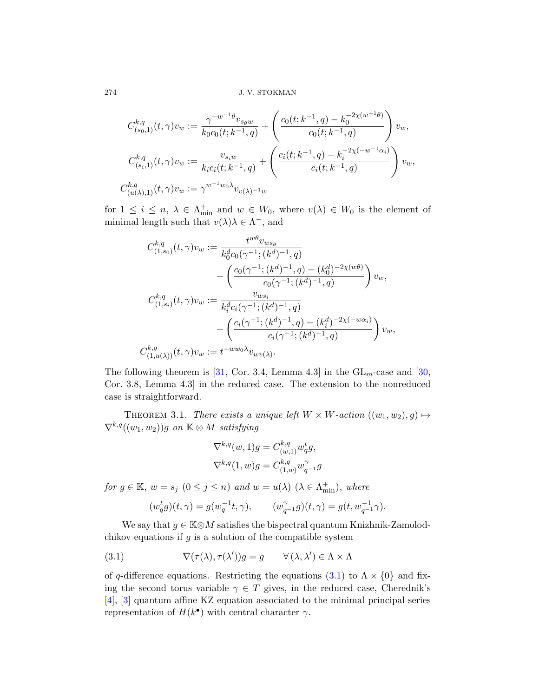$$
C_{(s_0,1)}^{k,q}(t,\gamma)v_w := \frac{\gamma^{-w^{-1}\theta}v_{s_{\theta}w}}{k_0c_0(t;k^{-1},q)} + \left(\frac{c_0(t;k^{-1},q) - k_0^{-2\chi(w^{-1}\theta)}}{c_0(t;k^{-1},q)}\right)v_w,
$$
  

$$
C_{(s_i,1)}^{k,q}(t,\gamma)v_w := \frac{v_{s_iw}}{k_ic_i(t;k^{-1},q)} + \left(\frac{c_i(t;k^{-1},q) - k_i^{-2\chi(-w^{-1}\alpha_i)}}{c_i(t;k^{-1},q)}\right)v_w,
$$
  

$$
C_{(u(\lambda),1)}^{k,q}(t,\gamma)v_w := \gamma^{w^{-1}w_0\lambda}v_{v(\lambda)^{-1}w}
$$

for  $1 \leq i \leq n$ ,  $\lambda \in \Lambda^+_{\text{min}}$  and  $w \in W_0$ , where  $v(\lambda) \in W_0$  is the element of minimal length such that  $v(\lambda)\lambda \in \Lambda^-$ , and

$$
C_{(1,s_0)}^{k,q}(t,\gamma)v_w := \frac{t^{w\theta}v_{ws_{\theta}}}{k_0^d c_0(\gamma^{-1};(k^d)^{-1},q)} + \left(\frac{c_0(\gamma^{-1};(k^d)^{-1},q) - (k_0^d)^{-2\chi(w\theta)}}{c_0(\gamma^{-1};(k^d)^{-1},q)}\right)v_w,
$$
  

$$
C_{(1,s_i)}^{k,q}(t,\gamma)v_w := \frac{v_{ws_i}}{k_i^d c_i(\gamma^{-1};(k^d)^{-1},q)} + \left(\frac{c_i(\gamma^{-1};(k^d)^{-1},q) - (k_i^d)^{-2\chi(-w\alpha_i)}}{c_i(\gamma^{-1};(k^d)^{-1},q)}\right)v_w,
$$
  

$$
C_{(1,u(\lambda))}^{k,q}(t,\gamma)v_w := t^{-ww_0\lambda}v_{wv(\lambda)}.
$$

The following theorem is [31, Cor. 3.4, Lemma 4.3] in the  $GL_m$ -case and [30, Cor. 3.8, Lemma 4.3] in the reduced case. The extension to the nonreduced case is straightforward.

THEOREM 3.1. There exists a unique left  $W \times W$ -action  $((w_1, w_2), g) \mapsto$  $\nabla^{k,q}((w_1,w_2))g$  on  $\mathbb{K} \otimes M$  satisfying

$$
\nabla^{k,q}(w,1)g = C^{k,q}_{(w,1)} w_q^t g,
$$
  

$$
\nabla^{k,q}(1,w)g = C^{k,q}_{(1,w)} w_{q^{-1}}^{\gamma} g
$$

<span id="page-21-0"></span>for  $g \in \mathbb{K}$ ,  $w = s_j \ (0 \le j \le n)$  and  $w = u(\lambda) \ (\lambda \in \Lambda_{\min}^+)$ , where

$$
(w_q^tg)(t,\gamma) = g(w_q^{-1}t,\gamma), \qquad (w_{q^{-1}}^\gamma g)(t,\gamma) = g(t,w_{q^{-1}}^{-1}\gamma).
$$

We say that  $g \in \mathbb{K} \otimes M$  satisfies the bispectral quantum Knizhnik-Zamolodchikov equations if  $g$  is a solution of the compatible system

(3.1) 
$$
\nabla(\tau(\lambda), \tau(\lambda'))g = g \qquad \forall (\lambda, \lambda') \in \Lambda \times \Lambda
$$

of q-difference equations. Restricting the equations (3.1) to  $\Lambda \times \{0\}$  and fixing the second torus variable  $\gamma \in T$  gives, in the reduced case, Cherednik's [4], [3] quantum affine KZ equation associated to the minimal principal series representation of  $H(k^{\bullet})$  with central character  $\gamma$ .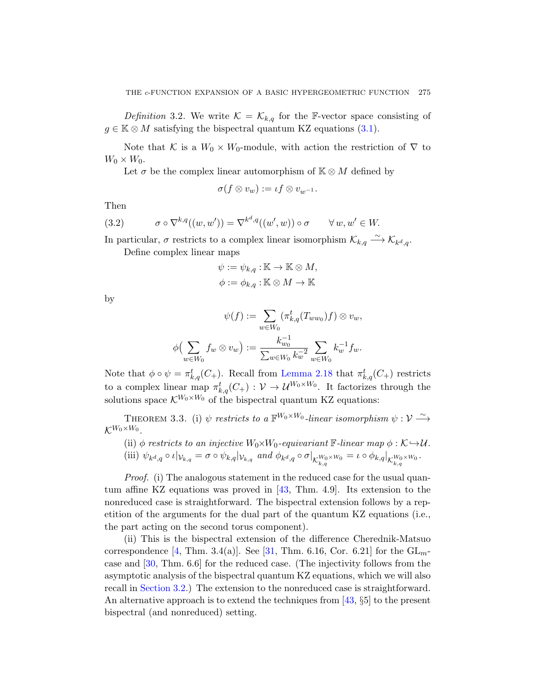Definition 3.2. We write  $\mathcal{K} = \mathcal{K}_{k,q}$  for the F-vector space consisting of  $g \in \mathbb{K} \otimes M$  satisfying the bispectral quantum KZ equations (3.1).

Note that K is a  $W_0 \times W_0$ -module, with action the restriction of  $\nabla$  to  $W_0 \times W_0$ .

Let  $\sigma$  be the complex linear automorphism of  $K \otimes M$  defined by

$$
\sigma(f \otimes v_w) := \iota f \otimes v_{w^{-1}}.
$$

Then

(3.2) 
$$
\sigma \circ \nabla^{k,q}((w,w')) = \nabla^{k^d,q}((w',w)) \circ \sigma \qquad \forall w, w' \in W.
$$

In particular,  $\sigma$  restricts to a complex linear isomorphism  $\mathcal{K}_{k,q} \stackrel{\sim}{\longrightarrow} \mathcal{K}_{k^d,q}$ .

Define complex linear maps

$$
\psi := \psi_{k,q} : \mathbb{K} \to \mathbb{K} \otimes M,
$$
  

$$
\phi := \phi_{k,q} : \mathbb{K} \otimes M \to \mathbb{K}
$$

by

$$
\psi(f) := \sum_{w \in W_0} (\pi_{k,q}^t(T_{ww_0})f) \otimes v_w,
$$
  

$$
\phi\left(\sum_{w \in W_0} f_w \otimes v_w\right) := \frac{k_{w_0}^{-1}}{\sum_{w \in W_0} k_w^{-2}} \sum_{w \in W_0} k_w^{-1} f_w.
$$

<span id="page-22-0"></span>Note that  $\phi \circ \psi = \pi_{k,q}^t(C_+)$ . Recall from Lemma 2.18 that  $\pi_{k,q}^t(C_+)$  restricts to a complex linear map  $\pi_{k,q}^t(C_+) : \mathcal{V} \to \mathcal{U}^{W_0 \times W_0}$ . It factorizes through the solutions space  $\mathcal{K}^{W_0\times W_0}$  of the bispectral quantum KZ equations:

THEOREM [3.](#page-46-1)3. (i)  $\psi$  restricts to a  $\mathbb{F}^{W_0 \times W_0}$ -linear isomorphism  $\psi : \mathcal{V} \stackrel{\sim}{\longrightarrow}$  $\mathcal{K}^{W_0\times W_0}.$ 

(ii) 
$$
\phi
$$
 restricts to an injective  $W_0 \times W_0$ -equivariant F-linear map  $\phi : \mathcal{K} \hookrightarrow \mathcal{U}$ .  
(iii)  $\psi_{k^d,q} \circ \iota|_{\mathcal{V}_{k,q}} = \sigma \circ \psi_{k,q}|_{\mathcal{V}_{k,q}}$  and  $\phi_{k^d,q} \circ \sigma|_{\mathcal{K}_{k,q}^{W_0 \times W_0}} = \iota \circ \phi_{k,q}|_{\mathcal{K}_{k,q}^{W_0 \times W_0}}.$ 

*Proof.* (i) [The](#page-45-1) analogous statement in the reduced case for the usual quantum affine KZ equations was proved in [43, Thm. 4.9]. Its extension to the nonreduced case is straightforward. The bispectral extension follows by a repetition of the arguments for the dual part of the quantum KZ equations (i.e., the part acting on the second tor[us c](#page-46-1)omponent).

(ii) This is the bispectral extension of the difference Cherednik-Matsuo correspondence [4, Thm. 3.4(a)]. See [31, Thm. 6.16, Cor. 6.21] for the  $GL_m$ case and [30, Thm. 6.6] for the reduced case. (The injectivity follows from the asymptotic analysis of the bispectral quantum KZ equations, which we will also recall in Section 3.2.) The extension to the nonreduced case is straightforward. An alternative approach is to extend the techniques from [43, §5] to the present bispectral (and nonreduced) setting.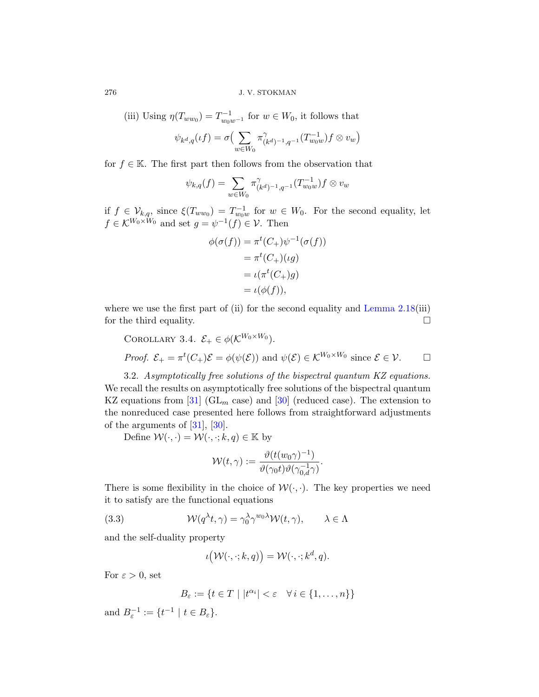(iii) Using  $\eta(T_{ww_0}) = T_{w_0w^{-1}}^{-1}$  for  $w \in W_0$ , it follows that

$$
\psi_{k^d,q}(\iota f) = \sigma \Big( \sum_{w \in W_0} \pi^{\gamma}_{(k^d)^{-1},q^{-1}} (T_{w_0w}^{-1}) f \otimes v_w \Big)
$$

for  $f \in \mathbb{K}$ . The first part then follows from the observation that

$$
\psi_{k,q}(f) = \sum_{w \in W_0} \pi^{\gamma}_{(k^d)^{-1}, q^{-1}}(T_{w_0w}^{-1}) f \otimes v_w
$$

<span id="page-23-0"></span>if  $f \in \mathcal{V}_{k,q}$ , since  $\xi(T_{ww_0}) = T_{w_0w}^{-1}$  for  $w \in W_0$ . For the second equality, let  $f \in \mathcal{K}^{W_0 \times W_0}$  and set  $g = \psi^{-1}(f) \in \mathcal{V}$ . [Then](#page-18-0)

$$
\phi(\sigma(f)) = \pi^t(C_+) \psi^{-1}(\sigma(f))
$$
  
=  $\pi^t(C_+)(\iota g)$   
=  $\iota(\pi^t(C_+)g)$   
=  $\iota(\phi(f)),$ 

where we use the first part of (ii) for the second equality and Lemma 2.18(iii) for the third equa[lity](#page-45-2).

COROLLARY 3.4. 
$$
\mathcal{E}_+ \in \phi(\mathcal{K}^{W_0 \times W_0})
$$
.  
\n*Proof.*  $\mathcal{E}_+ = \pi^t(C_+) \mathcal{E} = \phi(\psi(\mathcal{E}))$  and  $\psi(\mathcal{E}) \in \mathcal{K}^{W_0 \times W_0}$  since  $\mathcal{E} \in \mathcal{V}$ .  $\square$ 

3.2. Asymptotically free solutions of the bispectral quantum KZ equations. We recall the results on asymptotically free solutions of the bispectral quantum KZ equations from [31] ( $GL_m$  case) and [30] (reduced case). The extension to the nonreduced case presented here follows from straightforward adjustments of the arguments of  $[31]$ ,  $[30]$ .

<span id="page-23-1"></span>Define  $\mathcal{W}(\cdot, \cdot) = \mathcal{W}(\cdot, \cdot; k, q) \in \mathbb{K}$  by

$$
\mathcal{W}(t,\gamma) := \frac{\vartheta(t(w_0\gamma)^{-1})}{\vartheta(\gamma_0 t)\vartheta(\gamma_{0,d}^{-1}\gamma)}.
$$

There is some flexibility in the choice of  $W(\cdot, \cdot)$ . The key properties we need it to satisfy are the functional equations

(3.3) 
$$
\mathcal{W}(q^{\lambda}t, \gamma) = \gamma_0^{\lambda} \gamma^{w_0 \lambda} \mathcal{W}(t, \gamma), \qquad \lambda \in \Lambda
$$

and the self-duality property

$$
\iota\big(\mathcal{W}(\cdot,\cdot;k,q)\big)=\mathcal{W}(\cdot,\cdot;k^d,q).
$$

For  $\varepsilon > 0$ , set

$$
B_{\varepsilon} := \{ t \in T \mid |t^{\alpha_i}| < \varepsilon \quad \forall \, i \in \{1, \dots, n\} \}
$$

and  $B_{\varepsilon}^{-1} := \{ t^{-1} \mid t \in B_{\varepsilon} \}.$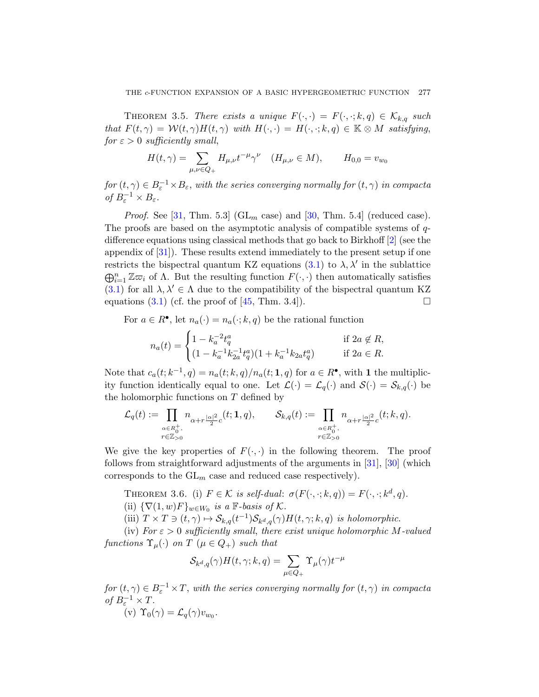THEOREM 3.5. There exists a unique  $F(\cdot, \cdot) = F(\cdot, \cdot; k, q) \in \mathcal{K}_{k,q}$  such that  $F(t, \gamma) = \mathcal{W}(t, \gamma)H(t, \gamma)$  with  $H(\cdot, \cdot) = H(\cdot, \cdot; k, q) \in \mathbb{K} \otimes M$  satisfying, for  $\varepsilon > 0$  sufficiently sm[all](#page-45-2),

$$
H(t,\gamma) = \sum_{\mu,\nu \in Q_+} H_{\mu,\nu} t^{-\mu} \gamma^{\nu} \quad (H_{\mu,\nu} \in M), \qquad H_{0,0} = v_{w_0}
$$

 $for (t, \gamma) \in B_\varepsilon^{-1} \times B_\varepsilon$ , wit[h the](#page-21-0) series converging normally for  $(t, \gamma)$  in compacta of  $B_{\varepsilon}^{-1} \times B_{\varepsilon}$ .

*Proof.* See [31, Thm. 5.3] ( $GL_m$  case) and [30, Thm. 5.4] (reduced case). The proo[fs a](#page-46-2)re based on the asymptotic analysis of compatible systems of qdifference equations using classical methods that go back to Birkhoff [2] (see the appendix of [31]). These results extend immediately to the present setup if one restricts the bispectral quantum KZ equations  $(3.1)$  to  $\lambda$ ,  $\lambda'$  in the sublattice  $\bigoplus_{i=1}^n \mathbb{Z}\overline{\omega}_i$  of  $\Lambda$ . But the resulting function  $F(\cdot, \cdot)$  then automatically satisfies (3.1) for all  $\lambda, \lambda' \in \Lambda$  due to the compatibility of the bispectral quantum KZ equations (3.1) (cf. the proof of [45, Thm. 3.4]).

For  $a \in R^{\bullet}$ , let  $n_a(\cdot) = n_a(\cdot; k, q)$  be the rational function

$$
n_a(t) = \begin{cases} 1 - k_a^{-2} t_q^a & \text{if } 2a \notin R, \\ (1 - k_a^{-1} k_{2a}^{-1} t_q^a)(1 + k_a^{-1} k_{2a} t_q^a) & \text{if } 2a \in R. \end{cases}
$$

Note that  $c_a(t; k^{-1}, q) = n_a(t; k, q)/n_a(t; 1, q)$  for  $a \in R^{\bullet}$ , with 1 the multiplic-ity function identically equal to one. [Let](#page-45-1)  $\mathcal{L}(\cdot) = \mathcal{L}_q(\cdot)$  $\mathcal{L}(\cdot) = \mathcal{L}_q(\cdot)$  $\mathcal{L}(\cdot) = \mathcal{L}_q(\cdot)$  and  $\mathcal{S}(\cdot) = \mathcal{S}_{k,q}(\cdot)$  be the holomorphic functions on  $T$  defined by

$$
\mathcal{L}_q(t):=\prod_{\substack{\alpha\in R_0^+,\\r\in\mathbb{Z}_{>0}}}n_{\alpha+r\frac{|\alpha|^2}{2}c}(t;1,q),\qquad \mathcal{S}_{k,q}(t):=\prod_{\substack{\alpha\in R_0^+,\\r\in\mathbb{Z}_{>0}}}n_{\alpha+r\frac{|\alpha|^2}{2}c}(t;k,q).
$$

<span id="page-24-0"></span>We give the key properties of  $F(\cdot, \cdot)$  in the following theorem. The proof follows from straightforward adjustments of the arguments in [31], [30] (which corresponds to the  $GL_m$  case and reduced case respectively).

THEOREM 3.6. (i)  $F \in \mathcal{K}$  is self-dual:  $\sigma(F(\cdot, \cdot; k, q)) = F(\cdot, \cdot; k^d, q)$ . (ii)  $\{\nabla(1,w)F\}_{w\in W_0}$  is a F-basis of K.

(iii)  $T \times T \ni (t, \gamma) \mapsto \mathcal{S}_{k,q}(t^{-1}) \mathcal{S}_{k^d,q}(\gamma) H(t, \gamma; k, q)$  is holomorphic.

(iv) For  $\varepsilon > 0$  sufficiently small, there exist unique holomorphic M-valued functions  $\Upsilon_{\mu}(\cdot)$  on T  $(\mu \in Q_+)$  such that

$$
\mathcal{S}_{k^d,q}(\gamma)H(t,\gamma;k,q)=\sum_{\mu\in Q_+}\Upsilon_\mu(\gamma)t^{-\mu}
$$

 $for (t, \gamma) \in B_\varepsilon^{-1} \times T$ , with the series converging normally for  $(t, \gamma)$  in compacta of  $B_{\varepsilon}^{-1} \times T$ .

$$
(v) \Upsilon_0(\gamma) = \mathcal{L}_q(\gamma)v_{w_0}.
$$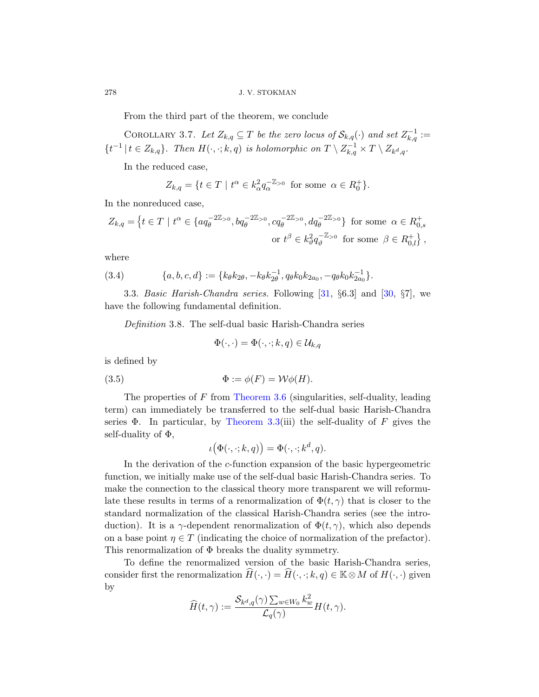From the third part of the theorem, we conclude

COROLLARY 3.7. Let  $Z_{k,q} \subseteq T$  be the zero locus of  $\mathcal{S}_{k,q}(\cdot)$  and set  $Z_{k,q}^{-1} :=$  $\{t^{-1} \mid t \in Z_{k,q}\}.$  Then  $H(\cdot, \cdot; k, q)$  is holomorphic on  $T \setminus Z_{k,q}^{-1} \times T \setminus Z_{k^d,q}.$ 

In the reduced case,

$$
Z_{k,q} = \{ t \in T \mid t^{\alpha} \in k_{\alpha}^2 q_{\alpha}^{-\mathbb{Z}_{>0}} \text{ for some } \alpha \in R_0^+ \}.
$$

<span id="page-25-2"></span><span id="page-25-0"></span>In the nonreduced case,

$$
Z_{k,q} = \left\{ t \in T \mid t^{\alpha} \in \{ a q_{\theta}^{-2\mathbb{Z}_{>0}}, b q_{\theta}^{-2\mathbb{Z}_{>0}}, c q_{\theta}^{-2\mathbb{Z}_{>0}}, d q_{\theta}^{-2\mathbb{Z}_{>0}} \right\} \text{ for some } \alpha \in R_{0,s}^{+}
$$
  
or  $t^{\beta} \in k_{\vartheta}^{2} q_{\vartheta}^{-\mathbb{Z}_{>0}} \text{ for some } \beta \in R_{0,l}^{+} \right\},$ 

<span id="page-25-1"></span>where

(3.4) 
$$
\{a, b, c, d\} := \{k_{\theta}k_{2\theta}, -k_{\theta}k_{2\theta}^{-1}, q_{\theta}k_{0}k_{2a_{0}}, -q_{\theta}k_{0}k_{2a_{0}}^{-1}\}.
$$

3.3. Basic Harish-Chandra series. Following  $[31, \S6.3]$  and  $[30, \S7]$ , we have the following fundamental definition.

De[finition](#page-24-0) 3.8. The self-dual basic Harish-Chandra series

$$
\Phi(\cdot,\cdot)=\Phi(\cdot,\cdot;k,q)\in \mathcal{U}_{k,q}
$$

is defined by

(3.5) 
$$
\Phi := \phi(F) = \mathcal{W}\phi(H).
$$

The properties of F from Theorem 3.6 (singularities, self-duality, leading term) can immediately be transferred to the self-dual basic Harish-Chandra series  $\Phi$ . In particular, by Theorem 3.3(iii) the self-duality of F gives the self-duality of  $\Phi$ ,

$$
\iota(\Phi(\cdot,\cdot;k,q)) = \Phi(\cdot,\cdot;k^d,q).
$$

In the derivation of the c-function expansion of the basic hypergeometric function, we initially make use of the self-dual basic Harish-Chandra series. To make the connection to the classical theory more transparent we will reformulate these results in terms of a renormalization of  $\Phi(t, \gamma)$  that is closer to the standard normalization of the classical Harish-Chandra series (see the introduction). It is a  $\gamma$ -dependent renormalization of  $\Phi(t, \gamma)$ , which also depends on a base point  $\eta \in T$  (indicating the choice of normalization of the prefactor). This renormalization of Φ breaks the duality symmetry.

To define the renormalized version of the basic Harish-Chandra series, consider first the renormalization  $\widehat{H}(\cdot,\cdot) = \widehat{H}(\cdot,\cdot;k,q) \in \mathbb{K} \otimes M$  of  $H(\cdot,\cdot)$  given by

$$
\widehat{H}(t,\gamma) := \frac{\mathcal{S}_{k^d,q}(\gamma) \sum_{w \in W_0} k_w^2}{\mathcal{L}_q(\gamma)} H(t,\gamma).
$$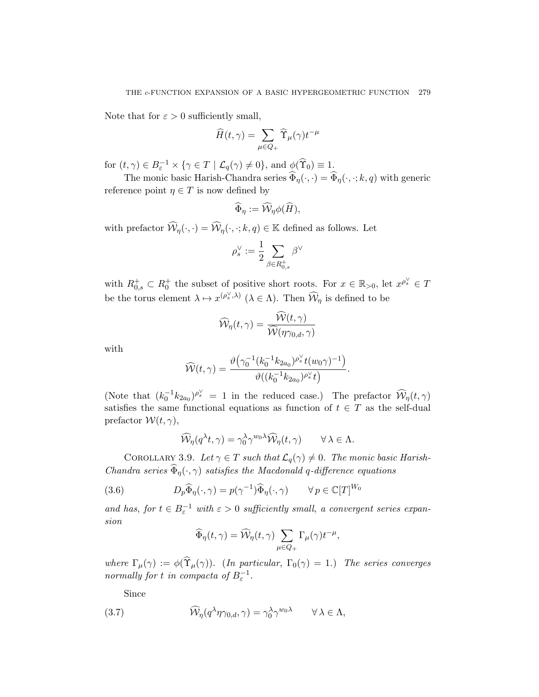Note that for  $\varepsilon > 0$  sufficiently small,

$$
\widehat{H}(t,\gamma) = \sum_{\mu \in Q_+} \widehat{\Upsilon}_{\mu}(\gamma) t^{-\mu}
$$

for  $(t, \gamma) \in B_{\varepsilon}^{-1} \times \{ \gamma \in T \mid \mathcal{L}_q(\gamma) \neq 0 \}$ , and  $\phi(\widehat{\Upsilon}_0) \equiv 1$ .

The monic basic Harish-Chandra series  $\widehat{\Phi}_{\eta}(\cdot,\cdot) = \widehat{\Phi}_{\eta}(\cdot,\cdot;k,q)$  with generic reference point  $\eta \in T$  is now defined by

$$
\widehat{\Phi}_{\eta} := \widehat{\mathcal{W}}_{\eta} \phi(\widehat{H}),
$$

with prefactor  $\widehat{\mathcal{W}}_n(\cdot,\cdot) = \widehat{\mathcal{W}}_n(\cdot,\cdot;k,q) \in \mathbb{K}$  defined as follows. Let

$$
\rho_s^\vee:=\frac{1}{2}\sum_{\beta\in R_{0,s}^+}\beta^\vee
$$

with  $R_{0,s}^+ \subset R_0^+$  the subset of positive short roots. For  $x \in \mathbb{R}_{>0}$ , let  $x^{\rho_s^{\vee}} \in T$ be the torus element  $\lambda \mapsto x^{(\rho_s^{\vee}, \lambda)}$  ( $\lambda \in \Lambda$ ). Then  $\widehat{\mathcal{W}}_{\eta}$  is defined to be

$$
\widehat{\mathcal{W}}_{\eta}(t,\gamma) = \frac{\mathcal{W}(t,\gamma)}{\widehat{\mathcal{W}}(\eta\gamma_{0,d},\gamma)}
$$

with

$$
\widehat{\mathcal{W}}(t,\gamma) = \frac{\vartheta\left(\gamma_0^{-1}(k_0^{-1}k_{2a_0})^{\rho_s^{\vee}}t(w_0\gamma)^{-1}\right)}{\vartheta\left((k_0^{-1}k_{2a_0})^{\rho_s^{\vee}}t\right)}.
$$

(Note that  $(k_0^{-1}k_{2a_0})^{\rho_s^{\vee}} = 1$  in the reduced case.) The prefactor  $\widehat{\mathcal{W}}_{\eta}(t,\gamma)$ satisfies the same functional equations as function of  $t \in T$  as the self-dual prefactor  $W(t, \gamma)$ ,

$$
\widehat{\mathcal{W}}_{\eta}(q^{\lambda}t,\gamma)=\gamma_0^{\lambda}\gamma^{w_0\lambda}\widehat{\mathcal{W}}_{\eta}(t,\gamma)\qquad\forall\,\lambda\in\Lambda.
$$

COROLLARY 3.9. Let  $\gamma \in T$  such that  $\mathcal{L}_q(\gamma) \neq 0$ . The monic basic Harish-Chandra series  $\widehat{\Phi}_{\eta}(\cdot,\gamma)$  satisfies the Macdonald q-difference equations

(3.6) 
$$
D_p \widehat{\Phi}_{\eta}(\cdot, \gamma) = p(\gamma^{-1}) \widehat{\Phi}_{\eta}(\cdot, \gamma) \qquad \forall p \in \mathbb{C}[T]^{W_0}
$$

and has, for  $t \in B_{\varepsilon}^{-1}$  with  $\varepsilon > 0$  sufficiently small, a convergent series expansion

$$
\widehat{\Phi}_{\eta}(t,\gamma) = \widehat{\mathcal{W}}_{\eta}(t,\gamma) \sum_{\mu \in Q_+} \Gamma_{\mu}(\gamma) t^{-\mu},
$$

where  $\Gamma_{\mu}(\gamma) := \phi(\widehat{\Upsilon}_{\mu}(\gamma))$ . (In particular,  $\Gamma_{0}(\gamma) = 1$ .) The series converges normally for t in compacta of  $B_{\varepsilon}^{-1}$ .

<span id="page-26-0"></span>Since

(3.7) 
$$
\widehat{\mathcal{W}}_{\eta}(q^{\lambda}\eta\gamma_{0,d},\gamma)=\gamma_0^{\lambda}\gamma^{w_0\lambda}\qquad\forall\,\lambda\in\Lambda,
$$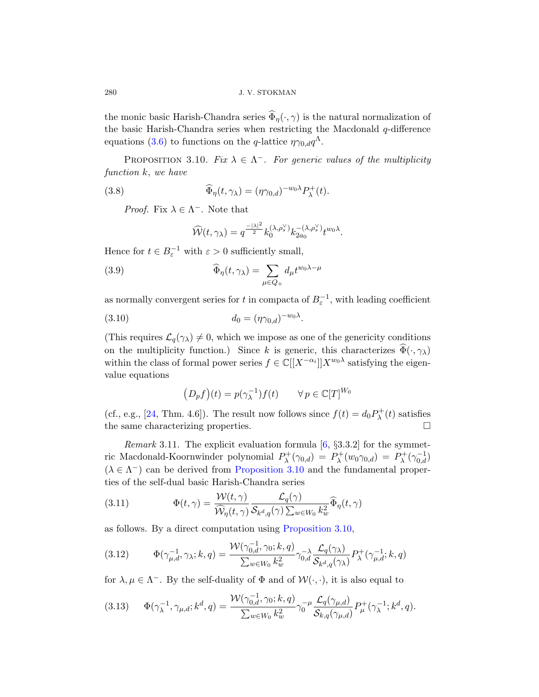<span id="page-27-1"></span>the monic basic Harish-Chandra series  $\widehat{\Phi}_{n}(\cdot,\gamma)$  is the natural normalization of the basic Harish-Chandra series when restricting the Macdonald  $q$ -difference equations (3.6) to functions on the q-lattice  $\eta \gamma_{0,d} q^{\Lambda}$ .

PROPOSITION 3.10. Fix  $\lambda \in \Lambda^-$ . For generic values of the multiplicity function k, we have

(3.8) 
$$
\widehat{\Phi}_{\eta}(t,\gamma_{\lambda}) = (\eta\gamma_{0,d})^{-w_0\lambda}P_{\lambda}^+(t).
$$

*Proof.* Fix  $\lambda \in \Lambda^-$ . Note that

$$
\widehat{\mathcal{W}}(t,\gamma_{\lambda})=q^{\frac{-|\lambda|^2}{2}}k_0^{(\lambda,\rho_s^{\vee})}k_{2a_0}^{-(\lambda,\rho_s^{\vee})}t^{w_0\lambda}.
$$

Hence for  $t \in B_{\varepsilon}^{-1}$  with  $\varepsilon > 0$  sufficiently small,

(3.9) 
$$
\widehat{\Phi}_{\eta}(t,\gamma_{\lambda}) = \sum_{\mu \in Q_{+}} d_{\mu} t^{w_{0}\lambda - \mu}
$$

as normally convergent series for t in compacta of  $B_{\varepsilon}^{-1}$ , with leading coefficient

.

(3.10) 
$$
d_0 = (\eta \gamma_{0,d})^{-w_0 \lambda}
$$

<span id="page-27-0"></span>(This requires  $\mathcal{L}_q(\gamma_\lambda) \neq 0$ , which we impose as one of the genericity conditions on the multiplicity function.) Since k is generic, this characterizes  $\widehat{\Phi}(\cdot,\gamma_{\lambda})$ within the class of formal po[we](#page-43-5)r series  $f \in \mathbb{C}[[X^{-\alpha_i}]]X^{w_0\lambda}$  satisfying the eigenvalue equations

$$
(D_p f)(t) = p(\gamma_{\lambda}^{-1}) f(t) \qquad \forall p \in \mathbb{C}[T]^{W_0}
$$

<span id="page-27-2"></span>(cf., e.g., [24, Thm. 4.6]). The result now follows since  $f(t) = d_0 P_{\lambda}^+(t)$  satisfies the same characterizing properties.

Remark 3.11. The explicit evaluation formula  $[6, §3.3.2]$  for the symmetric Macdonald-Ko[ornwinder polynom](#page-27-1)ial  $P_{\lambda}^{+}(\gamma_{0,d}) = P_{\lambda}^{+}(w_0 \gamma_{0,d}) = P_{\lambda}^{+}(\gamma_{0,d}^{-1})$  $(\lambda \in \Lambda^{-})$  can be derived from Proposition 3.10 and the fundamental properties of the self-dual basic Harish-Chandra series

(3.11) 
$$
\Phi(t,\gamma) = \frac{\mathcal{W}(t,\gamma)}{\widehat{\mathcal{W}}_{\eta}(t,\gamma)} \frac{\mathcal{L}_q(\gamma)}{\mathcal{S}_{k^d,q}(\gamma) \sum_{w \in W_0} k_w^2} \widehat{\Phi}_{\eta}(t,\gamma)
$$

as follows. By a direct computation using Proposition 3.10,

(3.12) 
$$
\Phi(\gamma_{\mu,d}^{-1},\gamma_{\lambda};k,q) = \frac{\mathcal{W}(\gamma_{0,d}^{-1},\gamma_{0};k,q)}{\sum_{w \in W_0} k_w^2} \gamma_{0,d}^{-\lambda} \frac{\mathcal{L}_q(\gamma_{\lambda})}{\mathcal{S}_{k^d,q}(\gamma_{\lambda})} P_{\lambda}^{+}(\gamma_{\mu,d}^{-1};k,q)
$$

for  $\lambda, \mu \in \Lambda^-$ . By the self-duality of  $\Phi$  and of  $\mathcal{W}(\cdot, \cdot)$ , it is also equal to

$$
(3.13) \qquad \Phi(\gamma_{\lambda}^{-1}, \gamma_{\mu,d}; k^d, q) = \frac{\mathcal{W}(\gamma_{0,d}^{-1}, \gamma_0; k, q)}{\sum_{w \in W_0} k_w^2} \gamma_0^{-\mu} \frac{\mathcal{L}_q(\gamma_{\mu,d})}{\mathcal{S}_{k,q}(\gamma_{\mu,d})} P^+_{\mu}(\gamma_{\lambda}^{-1}; k^d, q).
$$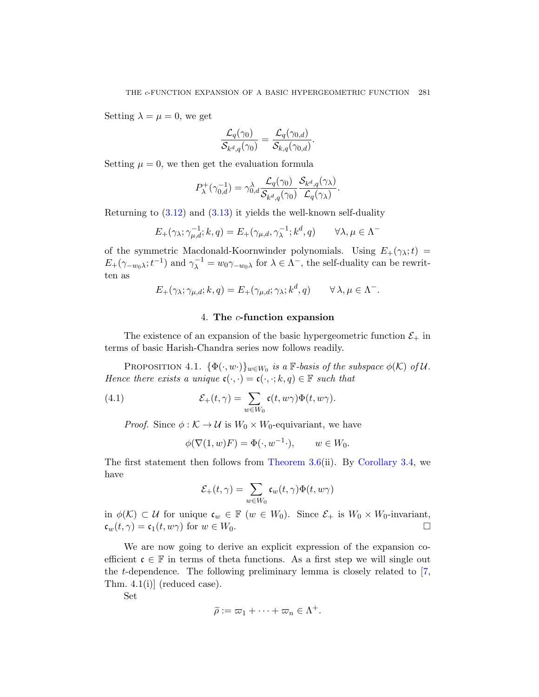Setting  $\lambda = \mu = 0$ , we get

$$
\frac{\mathcal{L}_q(\gamma_0)}{\mathcal{S}_{k^d,q}(\gamma_0)}=\frac{\mathcal{L}_q(\gamma_{0,d})}{\mathcal{S}_{k,q}(\gamma_{0,d})}.
$$

Setting  $\mu = 0$ , we then get the evaluation formula

$$
P_{\lambda}^{+}(\gamma_{0,d}^{-1}) = \gamma_{0,d}^{\lambda} \frac{\mathcal{L}_q(\gamma_0)}{\mathcal{S}_{k^d,q}(\gamma_0)} \frac{\mathcal{S}_{k^d,q}(\gamma_{\lambda})}{\mathcal{L}_q(\gamma_{\lambda})}.
$$

Returning to  $(3.12)$  and  $(3.13)$  it yields the well-known self-duality

$$
E_{+}(\gamma_{\lambda}; \gamma_{\mu,d}^{-1}; k, q) = E_{+}(\gamma_{\mu,d}, \gamma_{\lambda}^{-1}; k^d, q) \qquad \forall \lambda, \mu \in \Lambda^{-1}
$$

<span id="page-28-2"></span><span id="page-28-0"></span>of the symmetric Macdonald-Koornwinder polynomials. Using  $E_+(\gamma_\lambda;t)$  $E_+(\gamma_{-w_0\lambda};t^{-1})$  and  $\gamma_\lambda^{-1} = w_0\gamma_{-w_0\lambda}$  for  $\lambda \in \Lambda^-$ , the self-duality can be rewritten as

$$
E_{+}(\gamma_{\lambda}; \gamma_{\mu,d}; k, q) = E_{+}(\gamma_{\mu,d}; \gamma_{\lambda}; k^{d}, q) \qquad \forall \lambda, \mu \in \Lambda^{-}.
$$

## 4. The  $c$ -function expansion

<span id="page-28-1"></span>The existence of an expansion of the basic hypergeometric function  $\mathcal{E}_+$  in terms of basic Harish-Chandra series now follows readily.

PROPOSITION 4.1.  $\{\Phi(\cdot, w\cdot)\}_{w\in W_0}$  is a  $\mathbb{F}\text{-basis of the subspace } \phi(\mathcal{K})$  of U. Hence there exi[sts a unique](#page-24-0)  $\mathfrak{c}(\cdot, \cdot) = \mathfrak{c}(\cdot, \cdot; k, q) \in \mathbb{F}$  $\mathfrak{c}(\cdot, \cdot) = \mathfrak{c}(\cdot, \cdot; k, q) \in \mathbb{F}$  $\mathfrak{c}(\cdot, \cdot) = \mathfrak{c}(\cdot, \cdot; k, q) \in \mathbb{F}$  such that

(4.1) 
$$
\mathcal{E}_+(t,\gamma) = \sum_{w \in W_0} \mathfrak{c}(t,w\gamma)\Phi(t,w\gamma).
$$

*Proof.* Since  $\phi : \mathcal{K} \to \mathcal{U}$  is  $W_0 \times W_0$ -equivariant, we have

$$
\phi(\nabla(1, w)F) = \Phi(\cdot, w^{-1} \cdot), \qquad w \in W_0.
$$

The first statement then follows from Theorem 3.6(ii). By Corollary 3.4, we have

$$
\mathcal{E}_+(t,\gamma)=\sum_{w\in W_0}\mathfrak{c}_w(t,\gamma)\Phi(t,w\gamma)
$$

in  $\phi(\mathcal{K}) \subset \mathcal{U}$  for unique  $\mathfrak{c}_w \in \mathbb{F}$   $(w \in W_0)$ . Since  $\mathcal{E}_+$  is  $W_0 \times W_0$ -invariant,  $\mathfrak{c}_w(t,\gamma) = \mathfrak{c}_1(t,w\gamma)$  for  $w \in W_0$ .

We are now going to derive an explicit expression of the expansion coefficient  $\mathfrak{c} \in \mathbb{F}$  in terms of theta functions. As a first step we will single out the *t*-dependence. The following preliminary lemma is closely related to  $[7, 6]$ Thm. 4.1(i)] (reduced case).

Set

$$
\widetilde{\rho} := \varpi_1 + \cdots + \varpi_n \in \Lambda^+.
$$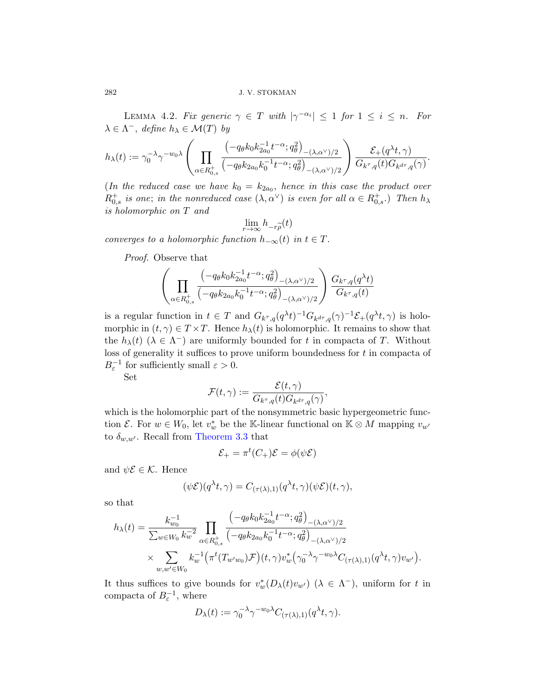LEMMA 4.2. Fix generic  $\gamma \in T$  with  $|\gamma^{-\alpha_i}| \leq 1$  for  $1 \leq i \leq n$ . For  $\lambda \in \Lambda^-$ , define  $h_{\lambda} \in \mathcal{M}(T)$  by

$$
h_\lambda(t):=\gamma_0^{-\lambda}\gamma^{-w_0\lambda}\left(\prod_{\alpha\in R_{0,s}^+}\frac{\left(-q_\theta k_0k_{2a_0}^{-1}t^{-\alpha};q_\theta^2\right)_{-(\lambda,\alpha^\vee)/2}}{\left(-q_\theta k_{2a_0}k_0^{-1}t^{-\alpha};q_\theta^2\right)_{-(\lambda,\alpha^\vee)/2}}\right)\frac{\mathcal{E}_+(q^\lambda t,\gamma)}{G_{k^\tau,q}(t)G_{k^{d\tau},q}(\gamma)}.
$$

(In the reduced case we have  $k_0 = k_{2a_0}$ , hence in this case the product over  $R_{0,s}^+$  is one; in the nonreduced case  $(\lambda, \alpha^{\vee})$  is even for all  $\alpha \in R_{0,s}^+$ .) Then  $h_{\lambda}$ is holomorphic on T and

$$
\lim_{r \to \infty} h_{-r\widetilde{\rho}}(t)
$$

converges to a holomorphic function  $h_{-\infty}(t)$  in  $t \in T$ .

Proof. Observe that

$$
\left(\prod_{\alpha\in R_{0,s}^+}\frac{\left(-q_\theta k_0k_{2a_0}^{-1}t^{-\alpha};q_\theta^2\right)_{-(\lambda,\alpha^\vee)/2}}{\left(-q_\theta k_{2a_0}k_0^{-1}t^{-\alpha};q_\theta^2\right)_{-(\lambda,\alpha^\vee)/2}}\right)\frac{G_{k^\tau,q}(q^\lambda t)}{G_{k^\tau,q}(t)}
$$

is a regular function in  $t \in T$  and  $G_{k^{\tau},q}(q^{\lambda}t)^{-1}G_{k^{d^{\tau}},q}(\gamma)^{-1}\mathcal{E}_{+}(q^{\lambda}t,\gamma)$  is holomorphic in  $(t, \gamma) \in T \times T$ . Hence  $h_{\lambda}(t)$  is holomorphic. It remains to show that the  $h_{\lambda}(t)$  ( $\lambda \in \Lambda^{-}$ ) are uniformly bounded for t in compacta of T. Without loss of generality it suffices to prove uniform boundedness for  $t$  in compacta of  $B_{\varepsilon}^{-1}$  [for suffi](#page-22-0)ciently small  $\varepsilon > 0$ .

Set

$$
\mathcal{F}(t,\gamma):=\frac{\mathcal{E}(t,\gamma)}{G_{k^{\tau},q}(t)G_{k^{d\tau},q}(\gamma)},
$$

which is the holomorphic part of the nonsymmetric basic hypergeometric function  $\mathcal{E}$ . For  $w \in W_0$ , let  $v_w^*$  be the K-linear functional on  $\mathbb{K} \otimes M$  mapping  $v_{w'}$ to  $\delta_{w,w'}$ . Recall from Theorem 3.3 that

$$
\mathcal{E}_{+} = \pi^{t}(C_{+})\mathcal{E} = \phi(\psi \mathcal{E})
$$

and  $\psi \mathcal{E} \in \mathcal{K}$ . Hence

$$
(\psi \mathcal{E})(q^{\lambda}t, \gamma) = C_{(\tau(\lambda),1)}(q^{\lambda}t, \gamma)(\psi \mathcal{E})(t, \gamma),
$$

so that

$$
h_{\lambda}(t) = \frac{k_{w_0}^{-1}}{\sum_{w \in W_0} k_w^{-2}} \prod_{\alpha \in R_{0,s}^+} \frac{\left(-q_{\theta} k_0 k_{2a_0}^{-1} t^{-\alpha}; q_{\theta}^2\right)_{-(\lambda, \alpha^{\vee})/2}}{\left(-q_{\theta} k_{2a_0} k_0^{-1} t^{-\alpha}; q_{\theta}^2\right)_{-(\lambda, \alpha^{\vee})/2}} \times \sum_{w, w' \in W_0} k_w^{-1} \left(\pi^t(T_{w'w_0}) \mathcal{F}\right)(t, \gamma) v_w^* \left(\gamma_0^{-\lambda} \gamma^{-w_0 \lambda} C_{(\tau(\lambda), 1)}(q^{\lambda} t, \gamma) v_{w'}\right).
$$

It thus suffices to give bounds for  $v_w^*(D_\lambda(t)v_{w'})$   $(\lambda \in \Lambda^-)$ , uniform for t in compacta of  $B_{\varepsilon}^{-1}$ , where

$$
D_{\lambda}(t) := \gamma_0^{-\lambda} \gamma^{-w_0 \lambda} C_{(\tau(\lambda),1)}(q^{\lambda} t, \gamma).
$$

<span id="page-29-0"></span>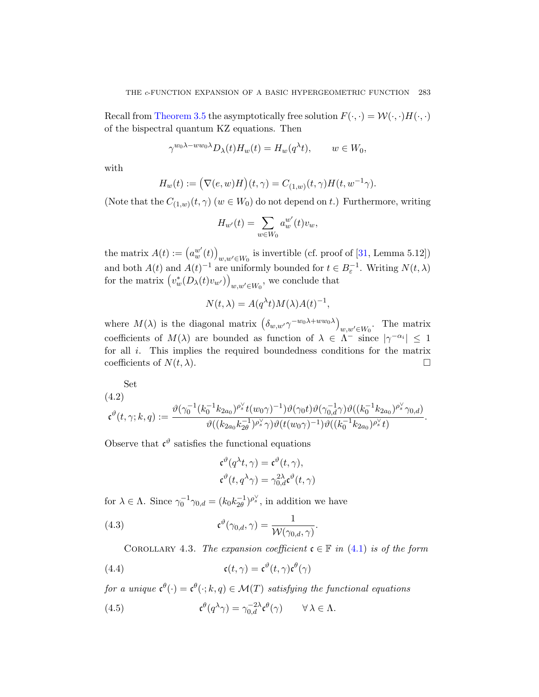Recall from Theorem 3.5 the asymptotically free solution  $F(\cdot, \cdot) = \mathcal{W}(\cdot, \cdot)H(\cdot, \cdot)$ of the bispectral quantum KZ equations. Then

$$
\gamma^{w_0 \lambda - w w_0 \lambda} D_{\lambda}(t) H_w(t) = H_w(q^{\lambda} t), \qquad w \in W_0,
$$

with

$$
H_w(t) := (\nabla(e, w)H)(t, \gamma) = C_{(1,w)}(t, \gamma)H(t, w^{-1}\gamma).
$$

(Note that the  $C_{(1,w)}(t,\gamma)$   $(w \in W_0)$  do not depend on t.) Furthermore, writing

$$
H_{w'}(t) = \sum_{w \in W_0} a_w^{w'}(t) v_w,
$$

the matrix  $A(t) := (a_w^{w'}(t))$  $w, w' \in W_0$  is invertible (cf. proof of [31, Lemma 5.12]) and both  $A(t)$  and  $A(t)^{-1}$  are uniformly bounded for  $t \in B_{\varepsilon}^{-1}$ . Writing  $N(t, \lambda)$ for the matrix  $(v_w^*(D_\lambda(t)v_{w'}))$  $w, w' \in W_0$ , we conclude that

$$
N(t,\lambda) = A(q^{\lambda}t)M(\lambda)A(t)^{-1},
$$

<span id="page-30-0"></span>where  $M(\lambda)$  is the diagonal matrix  $(\delta_{w,w'} \gamma^{-w_0 \lambda + w w_0 \lambda})$  $w, w' \in W_0$ . The matrix coefficients of  $M(\lambda)$  are bounded as function of  $\lambda \in \Lambda^-$  since  $|\gamma^{-\alpha_i}| \leq 1$ for all  $i$ . This implies the required boundedness conditions for the matrix coefficients of  $N(t, \lambda)$ .

Set

$$
(4.2) \t\t\t\mathfrak{c}^{\vartheta}(t,\gamma;k,q) := \frac{\vartheta(\gamma_0^{-1}(k_0^{-1}k_{2a_0})^{\rho_s^{\vee}}t(w_0\gamma)^{-1})\vartheta(\gamma_0t)\vartheta(\gamma_{0,d}^{-1}\gamma)\vartheta((k_0^{-1}k_{2a_0})^{\rho_s^{\vee}}\gamma_{0,d})}{\vartheta((k_{2a_0}k_{2\theta}^{-1})^{\rho_s^{\vee}}\gamma)\vartheta(t(w_0\gamma)^{-1})\vartheta((k_0^{-1}k_{2a_0})^{\rho_s^{\vee}}t)}.
$$

<span id="page-30-2"></span>Observe that  $\mathfrak{c}^{\vartheta}$  satisfies the functional equations

$$
\mathfrak{c}^{\vartheta}(q^{\lambda}t, \gamma) = \mathfrak{c}^{\vartheta}(t, \gamma),
$$
  

$$
\mathfrak{c}^{\vartheta}(t, q^{\lambda} \gamma) = \gamma_{0,d}^{2\lambda} \mathfrak{c}^{\vartheta}(t, \gamma)
$$

for  $\lambda \in \Lambda$ . Since  $\gamma_0^{-1} \gamma_{0,d} = (k_0 k_{2\theta}^{-1})^{\rho_s}$ , in addition we have

<span id="page-30-1"></span>(4.3) 
$$
\mathfrak{c}^{\vartheta}(\gamma_{0,d}, \gamma) = \frac{1}{\mathcal{W}(\gamma_{0,d}, \gamma)}.
$$

COROLLARY 4.3. The expansion coefficient  $\mathfrak{c} \in \mathbb{F}$  in (4.1) is of the form

(4.4) 
$$
\mathfrak{c}(t,\gamma) = \mathfrak{c}^{\vartheta}(t,\gamma)\mathfrak{c}^{\theta}(\gamma)
$$

for a unique  $\mathfrak{c}^{\theta}(\cdot) = \mathfrak{c}^{\theta}(\cdot; k, q) \in \mathcal{M}(T)$  satisfying the functional equations

(4.5) 
$$
\mathfrak{c}^{\theta}(q^{\lambda}\gamma) = \gamma_{0,d}^{-2\lambda}\mathfrak{c}^{\theta}(\gamma) \qquad \forall \lambda \in \Lambda.
$$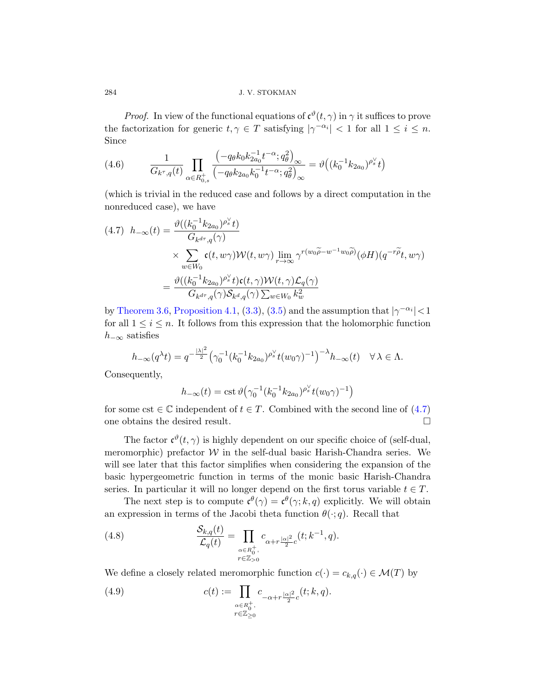*Proof.* In view of the functional equations of  $\mathfrak{c}^{\vartheta}(t, \gamma)$  in  $\gamma$  it suffices to prove the factorization for generic  $t, \gamma \in T$  satisfying  $|\gamma^{-\alpha_i}| < 1$  for all  $1 \le i \le n$ . Since

<span id="page-31-0"></span>(4.6) 
$$
\frac{1}{G_{k^{\tau},q}(t)} \prod_{\alpha \in R_{0,s}^{+}} \frac{\left(-q_{\theta}k_{0}k_{2a_{0}}^{-1}t^{-\alpha}; q_{\theta}^{2}\right)_{\infty}}{\left(-q_{\theta}k_{2a_{0}}k_{0}^{-1}t^{-\alpha}; q_{\theta}^{2}\right)_{\infty}} = \vartheta\left((k_{0}^{-1}k_{2a_{0}})^{\rho_{s}^{\vee}}t\right)
$$

(which is trivial in the reduced case and follows by a direct computation in the nonreduced case), we have

$$
(4.7) \quad h_{-\infty}(t) = \frac{\vartheta((k_0^{-1}k_{2a_0})^{\rho_s'}t)}{G_{k^{d\tau},q}(\gamma)}
$$
  
\$\times \sum\_{w \in W\_0} \mathfrak{c}(t, w\gamma) \mathcal{W}(t, w\gamma) \lim\_{r \to \infty} \gamma^{r(w\_0\widetilde{\rho} - w^{-1}w\_0\widetilde{\rho})}(\phi H)(q^{-r\widetilde{\rho}}t, w\gamma)\$  
= 
$$
\frac{\vartheta((k_0^{-1}k_{2a_0})^{\rho_s'}t)\mathfrak{c}(t, \gamma)\mathcal{W}(t, \gamma)\mathcal{L}_q(\gamma)}{G_{k^{d\tau},q}(\gamma)\mathcal{S}_{k^d,q}(\gamma)\sum_{w \in W_0} k_w^2}
$$

by Theorem 3.6, Proposition 4.1, (3.3), (3.5) and the assumption that  $|\gamma^{-\alpha_i}| < 1$ for all  $1 \leq i \leq n$ . It follows from this expression th[at th](#page-31-0)e holomorphic function  $h_{-\infty}$  satisfies

$$
h_{-\infty}(q^{\lambda}t) = q^{-\frac{|\lambda|^2}{2}} \left(\gamma_0^{-1} (k_0^{-1} k_{2a_0})^{\rho_s^{\vee}} t(w_0 \gamma)^{-1}\right)^{-\lambda} h_{-\infty}(t) \quad \forall \lambda \in \Lambda.
$$

Consequently,

$$
h_{-\infty}(t) = \text{cst}\,\vartheta\big(\gamma_0^{-1}(k_0^{-1}k_{2a_0})^{\rho_s^{\vee}}t(w_0\gamma)^{-1}\big)
$$

for some cst  $\in \mathbb{C}$  independent of  $t \in T$ . Combined with the second line of  $(4.7)$ one obtains the desired result.  $\hfill \square$ 

The factor  $\mathfrak{c}^{\vartheta}(t,\gamma)$  is highly dependent on our specific choice of (self-dual, meromorphic) prefactor  $W$  in the self-dual basic Harish-Chandra series. We will see later that this factor simplifies when considering the expansion of the basic hypergeometric function in terms of the monic basic Harish-Chandra series. In particular it will no longer depend on the first torus variable  $t \in T$ .

The next step is to compute  $\mathfrak{c}^{\theta}(\gamma) = \mathfrak{c}^{\theta}(\gamma; k, q)$  explicitly. We will obtain an expression in terms of the Jacobi theta function  $\theta(\cdot; q)$ . Recall that

(4.8) 
$$
\frac{\mathcal{S}_{k,q}(t)}{\mathcal{L}_q(t)} = \prod_{\substack{\alpha \in R_0^+, \\ r \in \mathbb{Z}_{>0}}} c_{\alpha + r \frac{|\alpha|^2}{2}c}(t; k^{-1}, q).
$$

We define a closely related meromorphic function  $c(\cdot) = c_{k,q}(\cdot) \in \mathcal{M}(T)$  by

(4.9) 
$$
c(t) := \prod_{\substack{\alpha \in R_0^+, \\ r \in \mathbb{Z}_{\geq 0}}} c_{-\alpha + r\frac{|\alpha|^2}{2}c}(t; k, q).
$$

<span id="page-31-1"></span>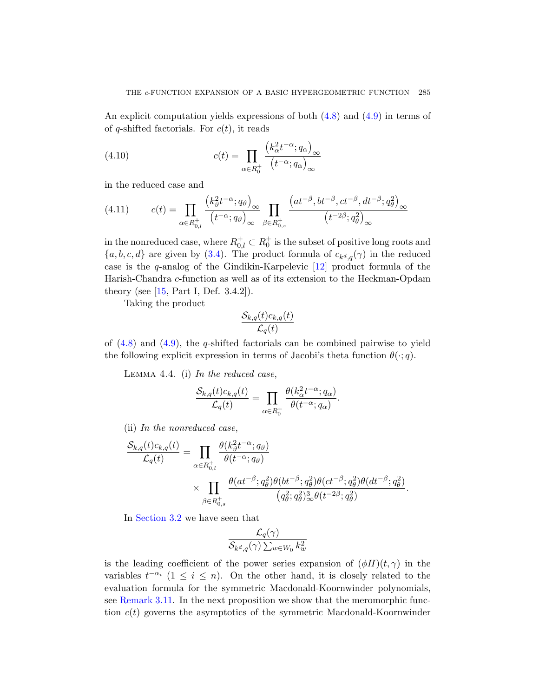<span id="page-32-0"></span>An explicit computation yields expressions of both (4.8) and (4.9) in terms of of q-shifted factorials. For  $c(t)$ , it reads

(4.10) 
$$
c(t) = \prod_{\alpha \in R_0^+} \frac{\left(k_\alpha^2 t^{-\alpha}; q_\alpha\right)_\infty}{\left(t^{-\alpha}; q_\alpha\right)_\infty}
$$

i[n th](#page-25-2)e reduced case and

(4.11) 
$$
c(t) = \prod_{\alpha \in R_{0,l}^+} \frac{\left(k_{\vartheta}^2 t^{-\alpha}; q_{\vartheta}\right)_{\infty}}{\left(t^{-\alpha}; q_{\vartheta}\right)_{\infty}} \prod_{\beta \in R_{0,s}^+} \frac{\left(at^{-\beta}, bt^{-\beta}, ct^{-\beta}, dt^{-\beta}; q_{\theta}^2\right)_{\infty}}{\left(t^{-2\beta}; q_{\theta}^2\right)_{\infty}}
$$

<span id="page-32-1"></span>in the nonreduced case, where  $R_{0,l}^+ \subset R_0^+$  is the subset of positive long roots and  ${a, b, c, d}$  are given by (3.4). The product formula of  $c_{k^d,q}(\gamma)$  in the reduced case is the q-analog of the Gindikin-Karpelevic [12] product formula of the Harish-Chandra c-function as well as of its extension to the Heckman-Opdam theory (see  $[15, Part I, Def. 3.4.2]$ ).

Taking the product

$$
\frac{\mathcal{S}_{k,q}(t)c_{k,q}(t)}{\mathcal{L}_q(t)}
$$

of  $(4.8)$  and  $(4.9)$ , the q-shifted factorials can be combined pairwise to yield the following explicit expression in terms of Jacobi's theta function  $\theta(\cdot; q)$ .

LEMMA 4.4. (i) In the reduced case,

$$
\frac{\mathcal{S}_{k,q}(t)c_{k,q}(t)}{\mathcal{L}_q(t)} = \prod_{\alpha \in R_0^+} \frac{\theta(k_\alpha^2 t^{-\alpha}; q_\alpha)}{\theta(t^{-\alpha}; q_\alpha)}.
$$

(ii) In the nonreduced case,

$$
\frac{\mathcal{S}_{k,q}(t)c_{k,q}(t)}{\mathcal{L}_q(t)} = \prod_{\alpha \in R_{0,l}^+} \frac{\theta(k_{\vartheta}^2 t^{-\alpha}; q_{\vartheta})}{\theta(t^{-\alpha}; q_{\vartheta})}
$$

$$
\times \prod_{\beta \in R_{0,s}^+} \frac{\theta(at^{-\beta}; q_{\theta}^2)\theta(bt^{-\beta}; q_{\theta}^2)\theta(ct^{-\beta}; q_{\theta}^2)\theta(dt^{-\beta}; q_{\theta}^2)}{(q_{\theta}^2; q_{\theta}^2)^3_{\infty}\theta(t^{-2\beta}; q_{\theta}^2)}.
$$

In Section 3.2 we have seen that

$$
\frac{\mathcal{L}_q(\gamma)}{\mathcal{S}_{k^d,q}(\gamma)\sum_{w\in W_0}k_w^2}
$$

is the leading coefficient of the power series expansion of  $(\phi H)(t, \gamma)$  in the variables  $t^{-\alpha_i}$  (1  $\leq i \leq n$ ). On the other hand, it is closely related to the evaluation formula for the symmetric Macdonald-Koornwinder polynomials, see Remark 3.11. In the next proposition we show that the meromorphic function  $c(t)$  governs the asymptotics of the symmetric Macdonald-Koornwinder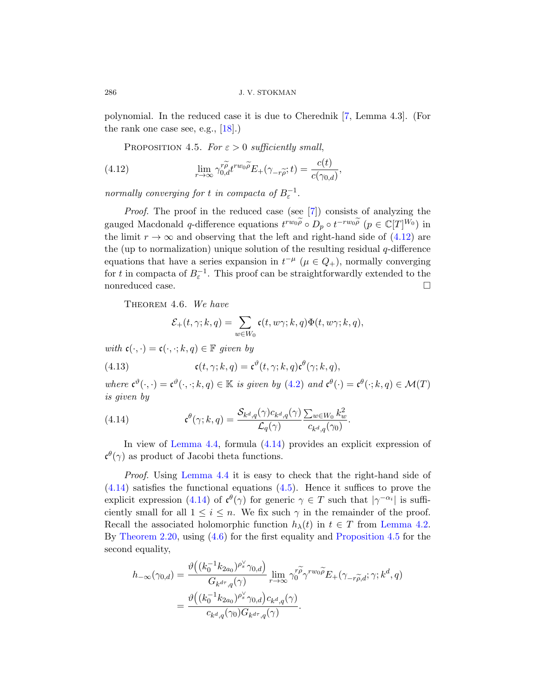polynomial. In the reduced case it is due to Cherednik [7, Lemma 4.3]. (For the rank one case see, e.g[.,](#page-43-1)  $[18]$ .)

PROPOSITION 4.5. For  $\varepsilon > 0$  sufficiently small,

(4.12) 
$$
\lim_{r \to \infty} \gamma_{0,d}^{r\widetilde{\rho}} t^{rw_0 \widetilde{\rho}} E_+(\gamma_{-r\widetilde{\rho}}; t) = \frac{c(t)}{c(\gamma_{0,d})},
$$

normally converging for t in compacta of  $B_{\varepsilon}^{-1}$ .

Proof. The proof in the reduced case (see [7]) consists of analyzing the gauged Macdonald q-difference equations  $t^{rw_0\widetilde{\rho}} \circ D_p \circ t^{-rw_0\widetilde{\rho}}$   $(p \in \mathbb{C}[T]^{W_0})$  in the limit  $r \to \infty$  and observing that the left and right-hand side of (4.12) are the (up to normalization) unique solution of the resulting residual  $q$ -difference equations that have a series expansion in  $t^{-\mu}$  ( $\mu \in Q_+$ ), normally converging for t in compacta of  $B_{\varepsilon}^{-1}$ . This proof can be straightforwardly extended to the nonreduced case.

THEOREM 4.6. [We](#page-30-0) have

$$
\mathcal{E}_+(t,\gamma; k,q)=\sum_{w\in W_0}\mathfrak{c}(t,w\gamma; k,q)\Phi(t,w\gamma; k,q),
$$

<span id="page-33-2"></span>with  $\mathfrak{c}(\cdot, \cdot) = \mathfrak{c}(\cdot, \cdot; k, q) \in \mathbb{F}$  given by

(4.13) 
$$
\mathfrak{c}(t,\gamma;k,q)=\mathfrak{c}^{\vartheta}(t,\gamma;k,q)\mathfrak{c}^{\theta}(\gamma;k,q),
$$

where  $\mathfrak{c}^{\vartheta}(\cdot,\cdot)=\mathfrak{c}^{\vartheta}(\cdot,\cdot;k,q)\in\mathbb{K}$  is given by (4.2) and  $\mathfrak{c}^{\theta}(\cdot)=\mathfrak{c}^{\theta}(\cdot;k,q)\in\mathcal{M}(T)$ [is given](#page-32-1) by

(4.14) 
$$
\mathfrak{c}^{\theta}(\gamma;k,q) = \frac{\mathcal{S}_{k^d,q}(\gamma)c_{k^d,q}(\gamma)}{\mathcal{L}_q(\gamma)} \frac{\sum_{w \in W_0} k_w^2}{c_{k^d,q}(\gamma_0)}.
$$

In view of Lemma 4.4, formula (4.14[\) provides a](#page-29-0)n explicit expression of  $\mathfrak{c}^{\theta}(\gamma)$  $\mathfrak{c}^{\theta}(\gamma)$  as product of Jacobi thet[a functions.](#page-33-0)

Proof. Using Lemma 4.4 it is easy to check that the right-hand side of  $(4.14)$  satisfies the functional equations  $(4.5)$ . Hence it suffices to prove the explicit expression (4.14) of  $\mathfrak{c}^{\theta}(\gamma)$  for generic  $\gamma \in T$  such that  $|\gamma^{-\alpha_i}|$  is sufficiently small for all  $1 \leq i \leq n$ . We fix such  $\gamma$  in the remainder of the proof. Recall the associated holomorphic function  $h_{\lambda}(t)$  in  $t \in T$  from Lemma 4.2. By Theorem 2.20, using (4.6) for the first equality and Proposition 4.5 for the second equality,

$$
h_{-\infty}(\gamma_{0,d}) = \frac{\vartheta\left((k_0^{-1}k_{2a_0})^{\rho_s^{\vee}}\gamma_{0,d}\right)}{G_{k^{d\tau},q}(\gamma)}\lim_{r\to\infty}\gamma_0^{r\widetilde{\rho}}\gamma^{rw_0\widetilde{\rho}}E_+(\gamma_{-r\widetilde{\rho},d};\gamma;k^d,q)
$$
  
= 
$$
\frac{\vartheta\left((k_0^{-1}k_{2a_0})^{\rho_s^{\vee}}\gamma_{0,d}\right)c_{k^d,q}(\gamma)}{c_{k^d,q}(\gamma_0)G_{k^{d\tau},q}(\gamma)}.
$$

<span id="page-33-1"></span><span id="page-33-0"></span>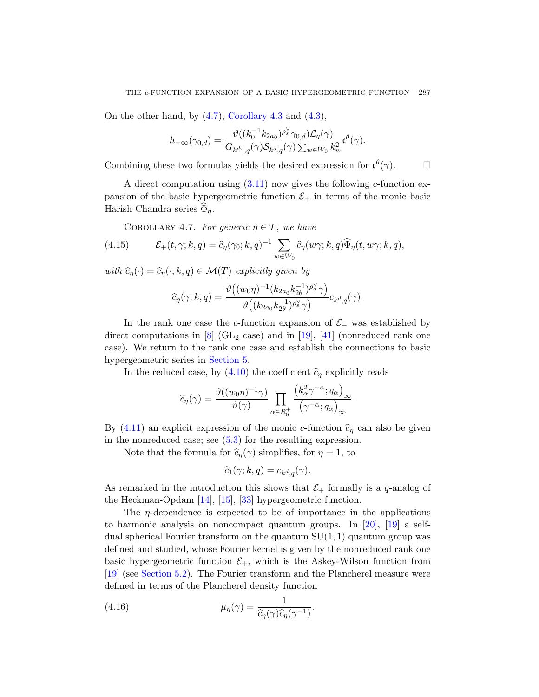On the ot[her ha](#page-27-2)nd, by  $(4.7)$ , Corollary 4.3 and  $(4.3)$ ,

$$
h_{-\infty}(\gamma_{0,d})=\frac{\vartheta((k_0^{-1}k_{2a_0})^{\rho_s^{\vee}}\gamma_{0,d})\mathcal{L}_q(\gamma)}{G_{k^{d\tau},q}(\gamma)\mathcal{S}_{k^d,q}(\gamma)\sum_{w\in W_0}k_w^2}\mathfrak{c}^{\theta}(\gamma).
$$

<span id="page-34-0"></span>Combining these two formulas yields the desired expression for  $\mathfrak{c}^{\theta}(\gamma)$ .

A direct computation using  $(3.11)$  now gives the following c-function expansion of the basic hypergeometric function  $\mathcal{E}_+$  in terms of the monic basic Harish-Chandra series  $\Phi_n$ .

COROLLARY 4.7. For generic  $\eta \in T$ , we have

(4.15) 
$$
\mathcal{E}_+(t,\gamma;k,q) = \widehat{c}_{\eta}(\gamma_0;k,q)^{-1} \sum_{w \in W_0} \widehat{c}_{\eta}(w\gamma;k,q) \widehat{\Phi}_{\eta}(t,w\gamma;k,q),
$$

with  $\widehat{c}_\eta(\cdot) = \widehat{c}_\eta(\cdot; k, q) \in \mathcal{M}(T)$  explicitly given [b](#page-35-1)y

$$
\widehat{c}_\eta(\gamma;k,q) = \frac{\vartheta\big((w_0\eta)^{-1}(k_{2a_0}k_{2\theta}^{-1})^{\rho_s^\vee}\gamma\big)}{\vartheta\big((k_{2a_0}k_{2\theta}^{-1})^{\rho_s^\vee}\gamma\big)}c_{k^d,q}(\gamma).
$$

In the rank one case the c-function expansion of  $\mathcal{E}_+$  was established by direct computations in  $[8]$  (GL<sub>2</sub> case) and in [19], [41] (nonreduced rank one case). We return to the rank one case and establish the connections to basic hyper[geo](#page-37-0)metric series in Section 5.

In the reduced case, by (4.10) the coefficient  $\hat{c}_\eta$  explicitly reads

$$
\widehat{c}_{\eta}(\gamma) = \frac{\vartheta((w_0\eta)^{-1}\gamma)}{\vartheta(\gamma)} \prod_{\alpha \in R_0^+} \frac{\left(k_{\alpha}^2 \gamma^{-\alpha}; q_{\alpha}\right)_{\infty}}{\left(\gamma^{-\alpha}; q_{\alpha}\right)_{\infty}}.
$$

[By](#page-44-0) [\(4.1](#page-44-7)1[\) an](#page-45-8) explicit expression of the monic c-function  $\hat{c}_\eta$  can also be given in the nonreduced case; see  $(5.3)$  for the resulting expression.

Note that the formula for  $\hat{c}_n(\gamma)$  si[mpl](#page-44-2)ifi[es,](#page-44-8) for  $\eta = 1$ , to

$$
\widehat{c}_1(\gamma; k, q) = c_{k^d, q}(\gamma).
$$

As remarked in the introduction this shows that  $\mathcal{E}_+$  formally is a q-analog of the Heckman-Opdam [14], [15], [33] hypergeometric function.

The  $\eta$ -dependence is expected to be of importance in the applications to harmonic analysis on noncompact quantum groups. In [20], [19] a selfdual spherical Fourier transform on the quantum  $SU(1, 1)$  quantum group was defined and studied, whose Fourier kernel is given by the nonreduced rank one basic hypergeometric function  $\mathcal{E}_+$ , which is the Askey-Wilson function from [19] (see Section 5.2). The Fourier transform and the Plancherel measure were defined in terms of the Plancherel density function

(4.16) 
$$
\mu_{\eta}(\gamma) = \frac{1}{\widehat{c}_{\eta}(\gamma)\widehat{c}_{\eta}(\gamma^{-1})}.
$$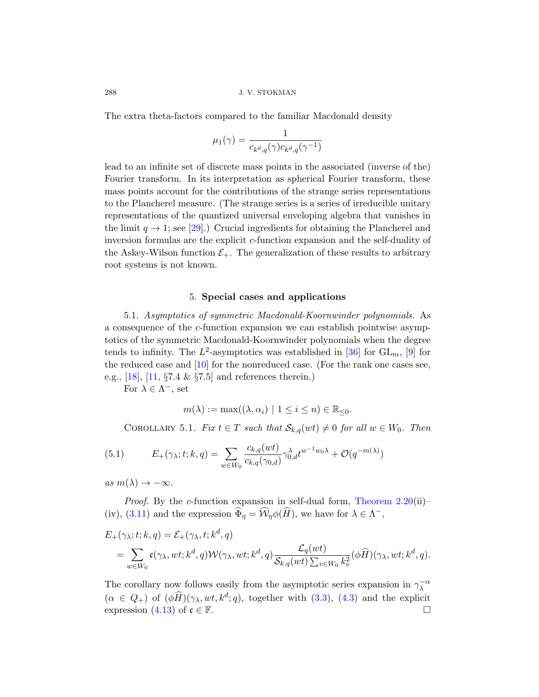The extra theta-factors compared to the familiar Macdonald density

$$
\mu_1(\gamma)=\frac{1}{c_{k^d,q}(\gamma)c_{k^d,q}(\gamma^{-1})}
$$

<span id="page-35-1"></span><span id="page-35-0"></span>lead to an infinite set of discrete mass points in the associated (inverse of the) Fourier transform. In its interpretation as spherical Fourier transform, these mass points account for the contributions of the strange series representations to the Plancherel measure. (The strange series is a series of irreducible unitary representations of the quantized universal enveloping algebra that vanishes in the limit  $q \to 1$ ; see [29].) Crucial ingredients for obtaining the Plancherel and inversion formulas are the explicit c-function expansion and the self-duality of the Askey-Wilson function  $\mathcal{E}_+$ . The generalization of these results to arbitrary root systems is not known.

#### 5. Special cases and applications

5.1. Asymptotics of symmetric Macdonald-Koornwinder polynomials. As a consequence of the c-function expansion we can establish pointwise asymptotics of the symmetric Macdonald-Koornwinder polynomials when the degree tends to infinity. The  $L^2$ -asymptotics was established in [36] for  $GL_m$ , [9] for the reduced case and  $[10]$  for the nonreduced case. (For the rank one cases see, e.g., [18], [11, §7.4 & §7.5] and references therein.)

For  $\lambda \in \Lambda^-,$  set

$$
m(\lambda) := \max((\lambda, \alpha_i) \mid 1 \le i \le n) \in \mathbb{R}_{\le 0}.
$$

COROLLARY 5.1. Fix  $t \in T$  su[ch that](#page-19-1)  $\mathcal{S}_{k,q}(wt) \neq 0$  for all  $w \in W_0$ . Then

(5.1) 
$$
E_{+}(\gamma_{\lambda}; t; k, q) = \sum_{w \in W_{0}} \frac{c_{k,q}(wt)}{c_{k,q}(\gamma_{0,d})} \gamma_{0,d}^{\lambda} t^{w^{-1}w_{0}\lambda} + \mathcal{O}(q^{-m(\lambda)})
$$

as  $m(\lambda) \rightarrow -\infty$ .

*Proof.* By the *c*-function expansion in self-dual form, Theorem  $2.20(ii)$ – (iv), (3.11) and the expres[sion](#page-23-1)  $\widehat{\Phi}_{\eta} = \widehat{\mathcal{W}}_{\eta} \phi(\widehat{H})$  $\widehat{\Phi}_{\eta} = \widehat{\mathcal{W}}_{\eta} \phi(\widehat{H})$  $\widehat{\Phi}_{\eta} = \widehat{\mathcal{W}}_{\eta} \phi(\widehat{H})$ , we have for  $\lambda \in \Lambda^{-}$ ,

$$
E_{+}(\gamma_{\lambda}; t; k, q) = \mathcal{E}_{+}(\gamma_{\lambda}, t; k^{d}, q)
$$
  
= 
$$
\sum_{w \in W_{0}} \mathfrak{c}(\gamma_{\lambda}, wt; k^{d}, q) \mathcal{W}(\gamma_{\lambda}, wt; k^{d}, q) \frac{\mathcal{L}_{q}(wt)}{\mathcal{S}_{k,q}(wt) \sum_{v \in W_{0}} k_{v}^{2}} (\phi \widehat{H})(\gamma_{\lambda}, wt; k^{d}, q).
$$

The corollary now follows easily from the asymptotic series expansion in  $\gamma_\lambda^{-\alpha}$  $(\alpha \in Q_+)$  of  $(\phi \widehat{H})(\gamma_{\lambda}, wt, k^d; q)$ , together with  $(3.3)$ ,  $(4.3)$  and the explicit expression (4.13) of  $\mathfrak{c} \in \mathbb{F}$ .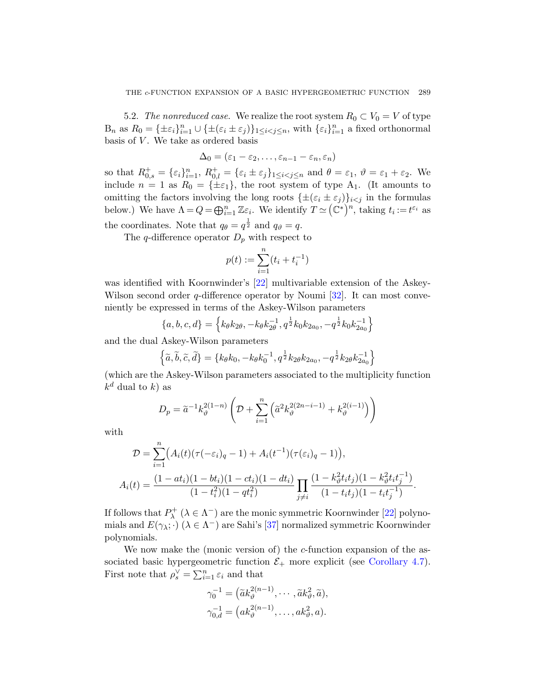<span id="page-36-0"></span>5.2. The nonreduced case. We realize the root system  $R_0 \subset V_0 = V$  of type  $B_n$  as  $R_0 = {\pm \varepsilon_i}_{i=1}^n \cup {\pm (\varepsilon_i \pm \varepsilon_j)}_{1 \leq i < j \leq n}$ , with  ${\varepsilon_i}_{i=1}^n$  a fixed orthonormal basis of  $V$ . We take as ordered basis

$$
\Delta_0=(\varepsilon_1-\varepsilon_2,\ldots,\varepsilon_{n-1}-\varepsilon_n,\varepsilon_n)
$$

so that  $R_{0,s}^+ = \{\varepsilon_i\}_{i=1}^n$ ,  $R_{0,l}^+ = \{\varepsilon_i \pm \varepsilon_j\}_{1 \le i < j \le n}$  and  $\theta = \varepsilon_1$ ,  $\vartheta = \varepsilon_1 + \varepsilon_2$ . We include  $n = 1$  as  $R_0 = {\pm \varepsilon_1}$ , the root system of type  $A_1$ . (It amounts to omitting the factors involving the long roots  $\{\pm(\varepsilon_i \pm \varepsilon_j)\}_{i \lt j}$  in the formulas below.) We [hav](#page-44-9)e  $\Lambda = Q = \bigoplus_{i=1}^n \mathbb{Z} \varepsilon_i$ . We identify  $T \simeq (\mathbb{C}^*)^n$ , taking  $t_i := t^{\varepsilon_i}$  as the coordinates. Note that  $q_{\theta} = q^{\frac{1}{2}}$  $q_{\theta} = q^{\frac{1}{2}}$  and  $q_{\theta} = q$ .

The *q*-difference operator  $D_p$  with respect to

$$
p(t) := \sum_{i=1}^{n} (t_i + t_i^{-1})
$$

was identified with Koornwinder's [22] multivariable extension of the Askey-Wilson second order  $q$ -difference operator by Noumi [32]. It can most conveniently be expressed in terms of the Askey-Wilson parameters

$$
\{a, b, c, d\} = \left\{ k_{\theta} k_{2\theta}, -k_{\theta} k_{2\theta}^{-1}, q^{\frac{1}{2}} k_0 k_{2a_0}, -q^{\frac{1}{2}} k_0 k_{2a_0}^{-1} \right\}
$$

and the dual Askey-Wilson parameters

$$
\left\{\tilde{a}, \tilde{b}, \tilde{c}, \tilde{d}\right\} = \left\{k_{\theta}k_{0}, -k_{\theta}k_{0}^{-1}, q^{\frac{1}{2}}k_{2\theta}k_{2a_{0}}, -q^{\frac{1}{2}}k_{2\theta}k_{2a_{0}}^{-1}\right\}
$$

(which are the Askey-Wilson parameters associated to the multiplicity function  $k^d$  dual to k) as

$$
D_p = \widetilde{a}^{-1} k_{\vartheta}^{2(1-n)} \left( \mathcal{D} + \sum_{i=1}^n \left( \widetilde{a}^2 k_{\vartheta}^{2(2n-i-1)} + k_{\vartheta}^{2(i-1)} \right) \right)
$$

with

$$
\mathcal{D} = \sum_{i=1}^{n} \left( A_i(t) (\tau(-\varepsilon_i)_q - 1) + A_i(t^{-1}) (\tau(\varepsilon_i)_q - 1) \right),
$$
  

$$
A_i(t) = \frac{(1 - at_i)(1 - bt_i)(1 - ct_i)(1 - dt_i)}{(1 - t_i^2)(1 - qt_i^2)} \prod_{j \neq i} \frac{(1 - k_y^2 t_i t_j)(1 - k_y^2 t_i t_j^{-1})}{(1 - t_i t_j)(1 - t_i t_j^{-1})}.
$$

If follows that  $P^+_{\lambda}$  ( $\lambda \in \Lambda^-$ ) are the monic symmetric Koornwinder [22] polynomials and  $E(\gamma_{\lambda};\cdot)$  ( $\lambda \in \Lambda^{-}$ ) are Sahi's [37] normalized symmetric Koornwinder polynomials.

We now make the (monic version of) the c-function expansion of the associated basic hypergeometric function  $\mathcal{E}_+$  more explicit (see Corollary 4.7). First note that  $\rho_s^{\vee} = \sum_{i=1}^n \varepsilon_i$  and that

$$
\gamma_0^{-1} = \left(\tilde{a}k_{\vartheta}^{2(n-1)}, \cdots, \tilde{a}k_{\vartheta}^{2}, \tilde{a}\right),
$$
  

$$
\gamma_{0,d}^{-1} = \left(ak_{\vartheta}^{2(n-1)}, \cdots, ak_{\vartheta}^{2}, a\right).
$$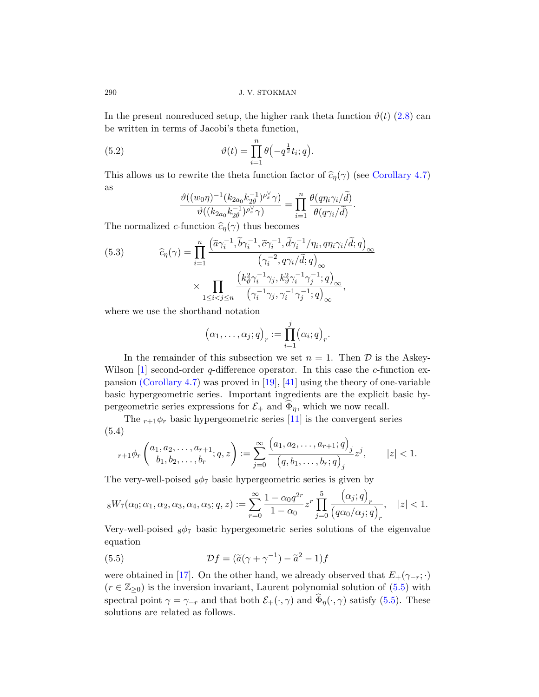In the present nonreduced setup, the higher rank theta function  $\vartheta(t)$  (2.8) can be written in terms of Jacobi's theta function,

.

(5.2) 
$$
\vartheta(t) = \prod_{i=1}^{n} \theta(-q^{\frac{1}{2}}t_i; q)
$$

<span id="page-37-0"></span>This allows us to rewrite the theta function factor of  $\hat{c}_{\eta}(\gamma)$  (see Corollary 4.7) as

$$
\frac{\vartheta((w_0\eta)^{-1}(k_{2a_0}k_{2\theta}^{-1})^{\rho_s^{\vee}}\gamma)}{\vartheta((k_{2a_0}k_{2\theta}^{-1})^{\rho_s^{\vee}}\gamma)}=\prod_{i=1}^n\frac{\theta(q\eta_i\gamma_i/\tilde{d})}{\theta(q\gamma_i/\tilde{d})}.
$$

The normalized c-function  $\widehat{c}_{\eta}(\gamma)$  thus becomes

(5.3) 
$$
\widehat{c}_{\eta}(\gamma) = \prod_{i=1}^{n} \frac{\left(\widetilde{a}\gamma_{i}^{-1}, \widetilde{b}\gamma_{i}^{-1}, \widetilde{c}\gamma_{i}^{-1}, \widetilde{d}\gamma_{i}^{-1}/\eta_{i}, q\eta_{i}\gamma_{i}/\widetilde{d}; q\right)_{\infty}}{\left(\gamma_{i}^{-2}, q\gamma_{i}/\widetilde{d}; q\right)_{\infty}} \times \prod_{1 \leq i < j \leq n} \frac{\left(k_{\vartheta}^{2}\gamma_{i}^{-1}\gamma_{j}, k_{\vartheta}^{2}\gamma_{i}^{-1}\gamma_{j}^{-1}; q\right)_{\infty}}{\left(\gamma_{i}^{-1}\gamma_{j}, \gamma_{i}^{-1}\gamma_{j}^{-1}; q\right)_{\infty}},
$$

where we uset[he](#page-44-8) s[hort](#page-46-4)hand notation

$$
(\alpha_1,\ldots,\alpha_j;q)_r:=\prod_{i=1}^j(\alpha_i;q)_r.
$$

In the remainder of this subsection we set  $n = 1$ . Then D is the Askey-Wilson  $[1]$  second-order q-difference operator. In this case the c-function expansion (Corollary 4.7) was proved in [19], [41] using the theory of one-variable basic hypergeometric series. Important ingredients are the explicit basic hypergeometric series expressions for  $\mathcal{E}_+$  and  $\Phi_{\eta}$ , which we now recall.

The  $r+1\phi_r$  basic hypergeometric series [11] is the convergent series (5.4)

$$
{}_{r+1}\phi_r\left(\begin{matrix} a_1, a_2, \dots, a_{r+1} \\ b_1, b_2, \dots, b_r \end{matrix}; q, z\right) := \sum_{j=0}^{\infty} \frac{\left(a_1, a_2, \dots, a_{r+1}; q\right)_j}{\left(q, b_1, \dots, b_r; q\right)_j} z^j, \qquad |z| < 1.
$$

<span id="page-37-1"></span>The very-well-poised  $_8\phi_7$  basic hypergeometric series is given by

$$
{}_{8}W_{7}(\alpha_{0};\alpha_{1},\alpha_{2},\alpha_{3},\alpha_{4},\alpha_{5};q,z) := \sum_{r=0}^{\infty} \frac{1 - \alpha_{0}q^{2r}}{1 - \alpha_{0}} z^{r} \prod_{j=0}^{5} \frac{(\alpha_{j};q)_{r}}{(q\alpha_{0}/\alpha_{j};q)_{r}}, \quad |z| < 1.
$$

Very-well-poised  $8\phi$ <sup>7</sup> basic hypergeometri[c ser](#page-37-1)ies solutions of the eigenvalue equation

(5.5) 
$$
\mathcal{D}f = (\tilde{a}(\gamma + \gamma^{-1}) - \tilde{a}^2 - 1)f
$$

were obtained in [17]. On the other hand, we already observed that  $E_{+}(\gamma_{-r};\cdot)$  $(r \in \mathbb{Z}_{\geq 0})$  is the inversion invariant, Laurent polynomial solution of  $(5.5)$  with spectral point  $\gamma = \gamma_{-r}$  and that both  $\mathcal{E}_+(\cdot, \gamma)$  and  $\widehat{\Phi}_{\eta}(\cdot, \gamma)$  satisfy (5.5). These solutions are related as follows.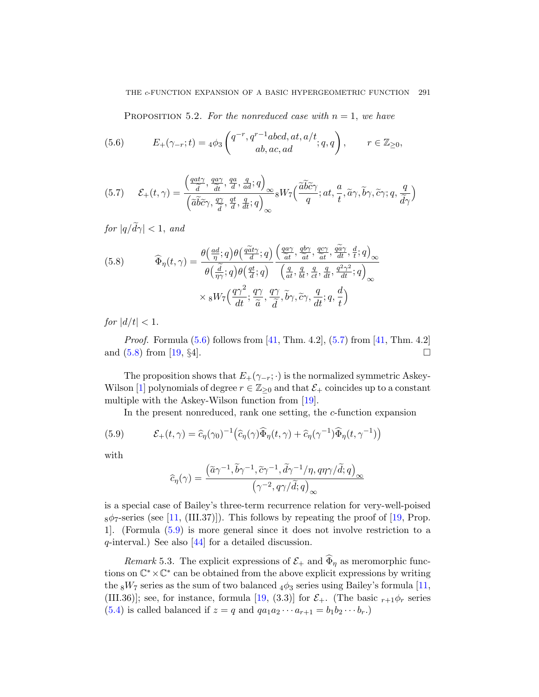<span id="page-38-0"></span>PROPOSITION 5.2. For the nonreduced case with  $n = 1$ , we have

<span id="page-38-1"></span>(5.6) 
$$
E_{+}(\gamma_{-r};t) = 4\phi_3 \begin{pmatrix} q^{-r}, q^{r-1}abcd, at, a/t \\ ab, ac, ad \end{pmatrix}; q, q \Bigg), \qquad r \in \mathbb{Z}_{\geq 0},
$$

(5.7) 
$$
\mathcal{E}_{+}(t,\gamma) = \frac{\left(\frac{qat\gamma}{\widetilde{d}},\frac{q\alpha\gamma}{\widetilde{d}},\frac{qa}{d},\frac{q}{d},q\right)_{\infty}}{\left(\widetilde{a}\widetilde{b}\widetilde{c}\gamma,\frac{q\gamma}{\widetilde{d}},\frac{qt}{d},\frac{q}{d};q\right)_{\infty}}{}_8W_7\left(\frac{\widetilde{a}\widetilde{b}\widetilde{c}\gamma}{q};at,\frac{a}{t},\widetilde{a}\gamma,\widetilde{b}\gamma,\widetilde{c}\gamma;q,\frac{q}{\widetilde{d}\gamma}\right)
$$

for  $|q/\tilde{d}\gamma| < 1$ , and

(5.8) 
$$
\widehat{\Phi}_{\eta}(t,\gamma) = \frac{\theta\left(\frac{ad}{\eta};q\right)\theta\left(\frac{q\widetilde{a}t\gamma}{d};q\right)}{\theta\left(\frac{\widetilde{d}}{\eta\gamma};q\right)\theta\left(\frac{qt}{d};q\right)} \frac{\left(\frac{q\alpha\gamma}{\widetilde{a}t},\frac{q\flat\gamma}{\widetilde{a}t},\frac{q\sigma\gamma}{d}+\frac{d}{d}t;\dot{q}\right)_{\infty}}{\left(\frac{q}{at},\frac{q}{bt},\frac{q}{ct},\frac{q}{dt},\frac{q^2\gamma^2}{d};\dot{q}\right)_{\infty}} \times {}_{8}W_{7}\left(\frac{q\gamma^2}{dt};\frac{q\gamma}{\widetilde{a}},\frac{q\gamma}{\widetilde{d}},\widetilde{b}\gamma,\widetilde{c}\gamma,\frac{q}{dt};q,\frac{d}{t}\right)
$$

for  $|d/t| < 1$ .

*Proof.* Formula  $(5.6)$  follows from [41, Thm. 4.2],  $(5.7)$  from [41, Thm. 4.2] and  $(5.8)$  from [19, §4].

The proposition shows that  $E_+(\gamma_{-r};\cdot)$  is the normalized symmetric Askey-Wilson [1] polynomials of degree  $r \in \mathbb{Z}_{\geq 0}$  and that  $\mathcal{E}_+$  coincides up to a constant multiple with the Askey-Wilson function from [19].

In the present nonreduced, rank one setting, the c-function expansion

(5.9) 
$$
\mathcal{E}_+(t,\gamma) = \widehat{c}_{\eta}(\gamma_0)^{-1} \left( \widehat{c}_{\eta}(\gamma) \widehat{\Phi}_{\eta}(t,\gamma) + \widehat{c}_{\eta}(\gamma^{-1}) \widehat{\Phi}_{\eta}(t,\gamma^{-1}) \right)
$$

with

$$
\widehat{c}_{\eta}(\gamma) = \frac{\left(\widetilde{a}\gamma^{-1}, \widetilde{b}\gamma^{-1}, \widetilde{c}\gamma^{-1}, \widetilde{d}\gamma^{-1}/\eta, q\eta\gamma/\widetilde{d}; q\right)_{\infty}}{\left(\gamma^{-2}, q\gamma/\widetilde{d}; q\right)_{\infty}}
$$

is a special case of Bailey's three-term recurrence r[elat](#page-43-4)ion for very-well-poised  $8\phi$ <sub>7</sub>-series (se[e \[1](#page-44-8)1, (III.37)]). This follows by repeating the proof of [19, Prop. 1]. (Formula (5.9) is more general since it does not involve restriction to a q-interval.) See also [44] for a detailed discussion.

Remark 5.3. The explicit expressions of  $\mathcal{E}_+$  and  $\widehat{\Phi}_\eta$  as meromorphic functions on  $\mathbb{C}^* \times \mathbb{C}^*$  can be obtained from the above explicit expressions by writing the  $8W_7$  series as the sum of two balanced  $4\phi_3$  series using Bailey's formula [11, (III.36)]; see, for instance, formula [19, (3.3)] for  $\mathcal{E}_{+}$ . (The basic  $r_{+1}\phi_{r}$  series (5.4) is called balanced if  $z = q$  and  $qa_1a_2\cdots a_{r+1} = b_1b_2\cdots b_r$ .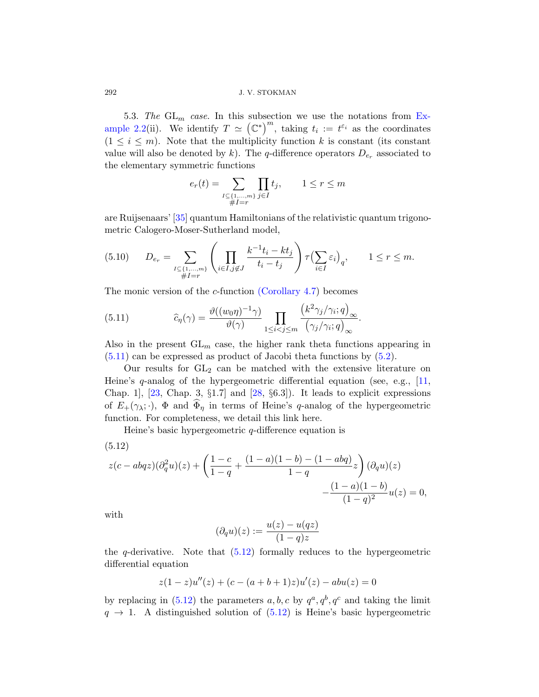5.3. The  $GL_m$  case. In this subsection we use the notations from Example 2.2(ii). We identify  $T \simeq (\mathbb{C}^*)^m$ , taking  $t_i := t^{\varepsilon_i}$  as the coordinates  $(1 \leq i \leq m)$ . Note that the multiplicity function k is constant (its constant value will also be denoted by k). The q-difference operators  $D_{e_r}$  associated to the elementary symmetric functions

$$
e_r(t) = \sum_{\substack{I \subseteq \{1,\dots,m\} \\ \#I=r}} \prod_{j \in I} t_j, \qquad 1 \le r \le m
$$

are Ruijsena[ars' \[35\] quantum](#page-34-0) Hamiltonians of the relativistic quantum trigonometric Calogero-Moser-Sutherland model,

$$
(5.10) \t D_{e_r} = \sum_{\substack{I \subseteq \{1,\ldots,m\} \\ \#I=r}} \left( \prod_{i \in I, j \notin J} \frac{k^{-1}t_i - kt_j}{t_i - t_j} \right) \tau \left( \sum_{i \in I} \varepsilon_i \right)_q, \t 1 \le r \le m.
$$

The monic version of the c-function (Corollary 4.7) becomes

(5.11) 
$$
\widehat{c}_{\eta}(\gamma) = \frac{\vartheta((w_0\eta)^{-1}\gamma)}{\vartheta(\gamma)} \prod_{1 \leq i < j \leq m} \frac{\left(k^2\gamma_j/\gamma_i; q\right)_{\infty}}{\left(\gamma_j/\gamma_i; q\right)_{\infty}}.
$$

Also in the present  $GL_m$  case, the higher rank theta functions appearing in (5.11) can be expressed as product of Jacobi theta functions by (5.2).

<span id="page-39-0"></span>Our results for  $GL_2$  can be matched with the extensive literature on Heine's  $q$ -analog of the hypergeometric differential equation (see, e.g., [11, Chap. 1],  $[23,$  Chap. 3,  $\S1.7$  and  $[28, §6.3]$ . It leads to explicit expressions of  $E_+(\gamma_\lambda;\cdot)$ ,  $\Phi$  and  $\widehat{\Phi}_{\eta}$  in terms of Heine's q-analog of the hypergeometric function. For completeness, we detail this link here.

Heine's basic hypergeometric  $q$ -difference equation is

$$
(5.12)
$$

$$
z(c - abqz)(\partial_q^2 u)(z) + \left(\frac{1-c}{1-q} + \frac{(1-a)(1-b) - (1-abq)}{1-q}z\right)(\partial_q u)(z) - \frac{(1-a)(1-b)}{(1-q)^2}u(z) = 0,
$$

with

$$
(\partial_q u)(z) := \frac{u(z) - u(qz)}{(1-q)z}
$$

the  $q$ -derivative. Note that  $(5.12)$  formally reduces to the hypergeometric differential equation

$$
z(1-z)u''(z) + (c - (a+b+1)z)u'(z) - abu(z) = 0
$$

by replacing in (5.12) the parameters  $a, b, c$  by  $q^a, q^b, q^c$  and taking the limit  $q \rightarrow 1$ . A distinguished solution of  $(5.12)$  is Heine's basic hypergeometric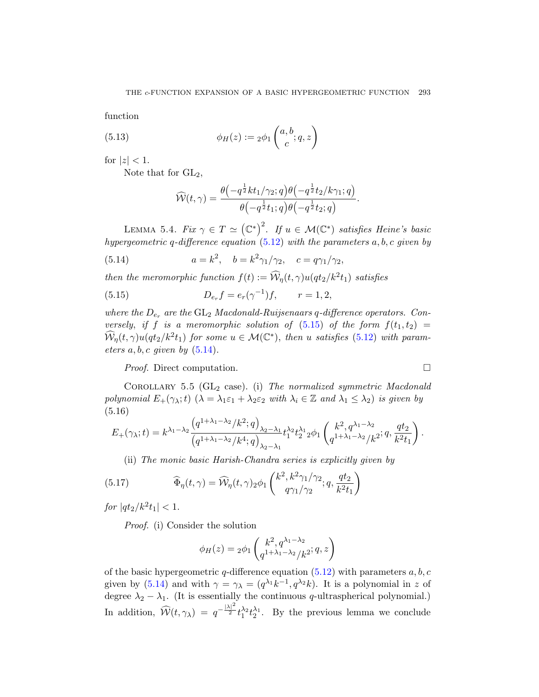function

<span id="page-40-2"></span>(5.13) 
$$
\phi_H(z) := 2\phi_1\begin{pmatrix} a, b \\ c \end{pmatrix}; q, z
$$

<span id="page-40-1"></span>for  $|z| < 1$ .

Note that for  $GL_2$ ,

$$
\widehat{\mathcal{W}}(t,\gamma)=\frac{\theta\left(-q^{\frac{1}{2}}kt_1/\gamma_2;q\right)\theta\left(-q^{\frac{1}{2}}t_2/k\gamma_1;q\right)}{\theta\left(-q^{\frac{1}{2}}t_1;q\right)\theta\left(-q^{\frac{1}{2}}t_2;q\right)}.
$$

<span id="page-40-0"></span>LEMMA 5.4. Fix  $\gamma \in T \simeq (\mathbb{C}^*)^2$ . If  $u \in \mathcal{M}(\mathbb{C}^*)$  satisfies Heine's basic hypergeometric q-differe[nce e](#page-40-0)quation  $(5.12)$  with the parameters  $a, b, c$  given by

(5.14) 
$$
a = k^2, \quad b = k^2 \gamma_1/\gamma_2, \quad c = q \gamma_1/\gamma_2,
$$

[the](#page-40-1)n the meromorphic function  $f(t) := \widehat{W}_{\eta}(t, \gamma) u(qt_2/k^2 t_1)$  satisfies

(5.15) 
$$
D_{e_r}f = e_r(\gamma^{-1})f, \qquad r = 1, 2,
$$

where the  $D_{e_r}$  are the  $GL_2$  Macdonald-Ruijsenaars q-difference operators. Conversely, if f is a meromorphic solution of  $(5.15)$  of the form  $f(t_1, t_2)$  =  $\widehat{\mathcal{W}}_{\eta}(t,\gamma)u(qt_2/k^2t_1)$  for some  $u \in \mathcal{M}(\mathbb{C}^*)$ , then u satisfies (5.12) with parameters  $a, b, c$  given by  $(5.14)$ .

Proof. Direct computation.

<span id="page-40-3"></span>COROLLARY 5.5 ( $GL_2$  case). (i) The normalized symmetric Macdonald polynomial  $E_+(\gamma_\lambda;t)$   $(\lambda = \lambda_1\varepsilon_1 + \lambda_2\varepsilon_2$  with  $\lambda_i \in \mathbb{Z}$  and  $\lambda_1 \leq \lambda_2$ ) is given by (5.16)

$$
E_{+}(\gamma_{\lambda};t) = k^{\lambda_1-\lambda_2} \frac{\left(q^{1+\lambda_1-\lambda_2}/k^2;q\right)_{\lambda_2-\lambda_1}}{\left(q^{1+\lambda_1-\lambda_2}/k^4;q\right)_{\lambda_2-\lambda_1}} t_1^{\lambda_2} t_2^{\lambda_1} 2\phi_1 \left(\frac{k^2,q^{\lambda_1-\lambda_2}}{q^{1+\lambda_1-\lambda_2}/k^2};q,\frac{qt_2}{k^2t_1}\right).
$$

(ii) The monic basic Harish-Chandra series is explicitly given by

(5.17) 
$$
\widehat{\Phi}_{\eta}(t,\gamma) = \widehat{\mathcal{W}}_{\eta}(t,\gamma)_{2} \phi_{1}\left(\frac{k^{2},k^{2}\gamma_{1}/\gamma_{2}}{q\gamma_{1}/\gamma_{2}};q,\frac{qt_{2}}{k^{2}t_{1}}\right)
$$

for  $|qt_2/k^2t_1| < 1$ .

Proof. (i) Consider the solution

$$
\phi_H(z) = 2\phi_1 \begin{pmatrix} k^2, q^{\lambda_1 - \lambda_2} \\ q^{1 + \lambda_1 - \lambda_2} / k^2 \end{pmatrix}
$$

of the basic hypergeometric q-difference equation  $(5.12)$  with parameters  $a, b, c$ given by (5.14) and with  $\gamma = \gamma_{\lambda} = (q^{\lambda_1}k^{-1}, q^{\lambda_2}k)$ . It is a polynomial in z of degree  $\lambda_2 - \lambda_1$ . (It is essentially the continuous q-ultraspherical polynomial.) In addition,  $\widehat{\mathcal{W}}(t,\gamma_{\lambda}) = q^{-\frac{|\lambda|^2}{2}} t_1^{\lambda_2} t_2^{\lambda_1}$ . By the previous lemma we conclude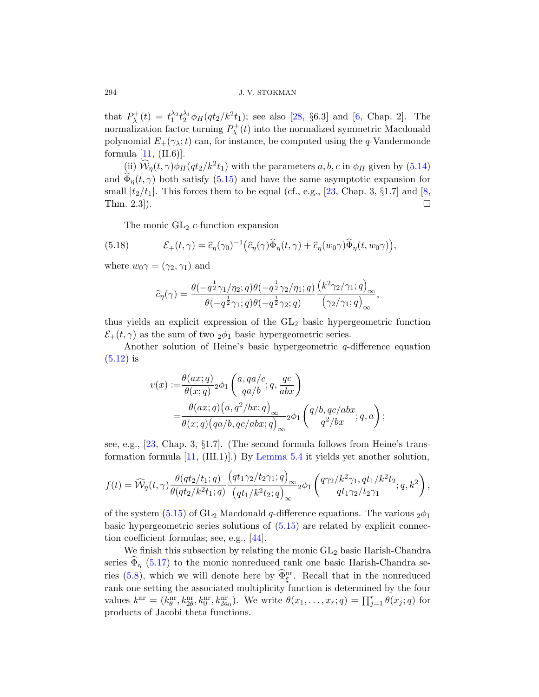that  $P_{\lambda}^{+}(t) = t_1^{\lambda_2} t_2^{\lambda_1} \phi_H(q t_2 / k^2 t_1)$  $P_{\lambda}^{+}(t) = t_1^{\lambda_2} t_2^{\lambda_1} \phi_H(q t_2 / k^2 t_1)$  $P_{\lambda}^{+}(t) = t_1^{\lambda_2} t_2^{\lambda_1} \phi_H(q t_2 / k^2 t_1)$ ; see also [28, §6.[3\]](#page-43-9) and [6, Chap. 2]. The normalization factor turning  $P_{\lambda}^{+}(t)$  into the normalized symmetric Macdonald polynomial  $E_+(\gamma_\lambda;t)$  can, for instance, be computed using the q-Vandermonde formula  $[11, (II.6)].$ 

(ii)  $\widehat{W}_{\eta}(t,\gamma)\phi_H(qt_2/k^2t_1)$  with the parameters  $a, b, c$  in  $\phi_H$  given by (5.14) and  $\widehat{\Phi}_{n}(t,\gamma)$  both satisfy (5.15) and have the same asymptotic expansion for small  $|t_2/t_1|$ . This forces them to be equal (cf., e.g., [23, Chap. 3, §1.7] and [8, Thm. 2.3]).

The monic  $GL_2$  c-function expansion

(5.18) 
$$
\mathcal{E}_+(t,\gamma) = \widehat{c}_{\eta}(\gamma_0)^{-1} \big( \widehat{c}_{\eta}(\gamma) \widehat{\Phi}_{\eta}(t,\gamma) + \widehat{c}_{\eta}(w_0 \gamma) \widehat{\Phi}_{\eta}(t,w_0 \gamma) \big),
$$

where  $w_0\gamma = (\gamma_2, \gamma_1)$  and

$$
\widehat{c}_{\eta}(\gamma)=\frac{\theta(-q^{\frac{1}{2}}\gamma_1/\eta_2;q)\theta(-q^{\frac{1}{2}}\gamma_2/\eta_1;q)}{\theta(-q^{\frac{1}{2}}\gamma_1;q)\theta(-q^{\frac{1}{2}}\gamma_2;q)}\frac{\left(k^2\gamma_2/\gamma_1;q\right)_{\infty}}{\left(\gamma_2/\gamma_1;q\right)_{\infty}},
$$

thus yields an explicit expression of the  $GL_2$  basic hypergeometric function  $\mathcal{E}_+(t,\gamma)$  as the sum of two  $_2\phi_1$  basic hypergeometric series.

Another solution of Heine's basic hypergeometric  $q$ -difference equation  $(5.12)$  is

$$
v(x) := \frac{\theta(ax;q)}{\theta(x;q)} 2\phi_1\left(\frac{a,qa/c}{qa/b};q,\frac{qc}{abx}\right)
$$
  
= 
$$
\frac{\theta(ax;q)(a,q^2/bx;q)}{\theta(x;q)(qa/b,qc/abx;q)} 2\phi_1\left(\frac{q/b,qc/abx}{q^2/bx};q,a\right);
$$

see, e.g., [23, Cha[p. 3,](#page-40-0) §1.7]. (The second formula follows from Heine's transformationf[orm](#page-46-5)ula [11, (III.1)].) By Lemma 5.4 it yields yet another solution,

$$
f(t) = \widehat{\mathcal{W}}_{\eta}(t,\gamma) \frac{\theta(qt_2/t_1;q)}{\theta(qt_2/k^2t_1;q)} \frac{\left(qt_1\gamma_2/t_2\gamma_1;q\right)_{\infty}}{\left(qt_1/k^2t_2;q\right)_{\infty}} 2\phi_1\left(\frac{q\gamma_2/k^2\gamma_1,qt_1/k^2t_2}{qt_1\gamma_2/t_2\gamma_1};q,k^2\right),
$$

of the system (5.15) of  $GL_2$  Macdonald q-difference equations. The various  $_2\phi_1$ basic hypergeometric series solutions of  $(5.15)$  are related by explicit connection coefficient formulas; see, e.g., [44].

We finish this subsection by relating the monic  $GL_2$  basic Harish-Chandra series  $\Phi_n$  (5.17) to the monic nonreduced rank one basic Harish-Chandra series (5.8), which we will denote here by  $\widehat{\Phi}_{\xi}^{\text{nr}}$ . Recall that in the nonreduced rank one setting the associated multiplicity function is determined by the four values  $k^{\text{nr}} = (k^{\text{nr}}_{\theta}, k^{\text{nr}}_{2\theta}, k^{\text{nr}}_{0}, k^{\text{nr}}_{2a_0}).$  We write  $\theta(x_1, \ldots, x_r; q) = \prod_{j=1}^r \theta(x_j; q)$  for products of Jacobi theta functions.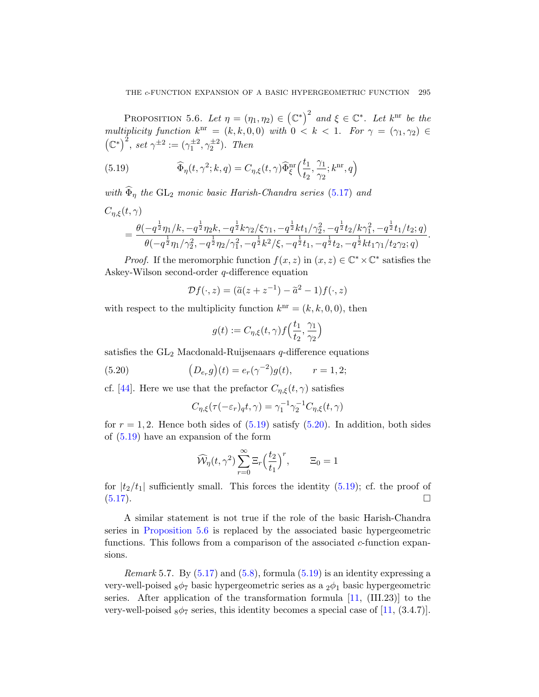<span id="page-42-0"></span>PROPOSITION 5.6. Let  $\eta = (\eta_1, \eta_2) \in (\mathbb{C}^*)^2$  $\eta = (\eta_1, \eta_2) \in (\mathbb{C}^*)^2$  $\eta = (\eta_1, \eta_2) \in (\mathbb{C}^*)^2$  and  $\xi \in \mathbb{C}^*$ . Let  $k^{\text{nr}}$  be the multiplicity function  $k^{\text{nr}} = (k, k, 0, 0)$  with  $0 < k < 1$ . For  $\gamma = (\gamma_1, \gamma_2) \in$  $(\mathbb{C}^*)^2$ , set  $\gamma^{\pm 2} := (\gamma_1^{\pm 2}, \gamma_2^{\pm 2})$ . Then

(5.19) 
$$
\widehat{\Phi}_{\eta}(t,\gamma^2;k,q) = C_{\eta,\xi}(t,\gamma)\widehat{\Phi}_{\xi}^{\rm nr}\left(\frac{t_1}{t_2},\frac{\gamma_1}{\gamma_2};k^{\rm nr},q\right)
$$

with  $\widehat{\Phi}_{\eta}$  the GL<sub>2</sub> monic basic Harish-Chandra series (5.17) and  $C_{\eta,\xi}(t,\gamma)$ 

$$
=\frac{\theta(-q^{\frac{1}{2}}\eta_1/k,-q^{\frac{1}{2}}\eta_2k,-q^{\frac{1}{2}}k\gamma_2/\xi\gamma_1,-q^{\frac{1}{2}}kt_1/\gamma_2^2,-q^{\frac{1}{2}}t_2/k\gamma_1^2,-q^{\frac{1}{2}}t_1/t_2;q)}{\theta(-q^{\frac{1}{2}}\eta_1/\gamma_2^2,-q^{\frac{1}{2}}\eta_2/\gamma_1^2,-q^{\frac{1}{2}}k^2/\xi,-q^{\frac{1}{2}}t_1,-q^{\frac{1}{2}}t_2,-q^{\frac{1}{2}}kt_1\gamma_1/t_2\gamma_2;q)}.
$$

*Proof.* If the meromorphic function  $f(x, z)$  in  $(x, z) \in \mathbb{C}^* \times \mathbb{C}^*$  satisfies the Askey-Wilson second-order q-difference equation

$$
\mathcal{D}f(\cdot,z) = (\tilde{a}(z+z^{-1}) - \tilde{a}^2 - 1)f(\cdot,z)
$$

<span id="page-42-1"></span>with respect to the multiplicity function  $k^{\text{nr}} = (k, k, 0, 0)$ , then

$$
g(t):=C_{\eta,\xi}(t,\gamma)\boldsymbol{f}\Big(\frac{t_1}{t_2},\frac{\gamma_1}{\gamma_2}\Big)
$$

satisfies the  $GL_2$  Macdo[nald-R](#page-42-1)uijsenaars q-difference equations

(5.20) 
$$
(D_{e_r}g)(t) = e_r(\gamma^{-2})g(t), \qquad r = 1, 2;
$$

cf. [44]. Here we use that the prefactor  $C_{\eta,\xi}(t,\gamma)$  satisfies

$$
C_{\eta,\xi}(\tau(-\varepsilon_r)_qt,\gamma)=\gamma_1^{-1}\gamma_2^{-1}C_{\eta,\xi}(t,\gamma)
$$

for  $r = 1, 2$ . Hence both sides of  $(5.19)$  satisfy  $(5.20)$ . In addition, both sides of (5.19) have an expansion of the form

$$
\widehat{\mathcal{W}}_{\eta}(t, \gamma^2) \sum_{r=0}^{\infty} \Xi_r \left(\frac{t_2}{t_1}\right)^r, \qquad \Xi_0 = 1
$$

for  $|t_2/t_1|$  sufficiently small. This forces the identity (5.19); cf. the proof of  $(5.17).$  $(5.17).$ 

A similar statement is not tr[ue i](#page-43-4)f the role of the basic Harish-Chandra series in Proposition 5.6 is replaced by t[he a](#page-43-4)ssociated basic hypergeometric functions. This follows from a comparison of the associated  $c$ -function expansions.

*Remark* 5.7. By  $(5.17)$  and  $(5.8)$ , formula  $(5.19)$  is an identity expressing a very-well-poised  $8\phi$ 7 basic hypergeometric series as a  $2\phi_1$  basic hypergeometric series. After application of the transformation formula  $[11, (III.23)]$  to the very-well-poised  $_8\phi_7$  series, this identity becomes a special case of [11, (3.4.7)].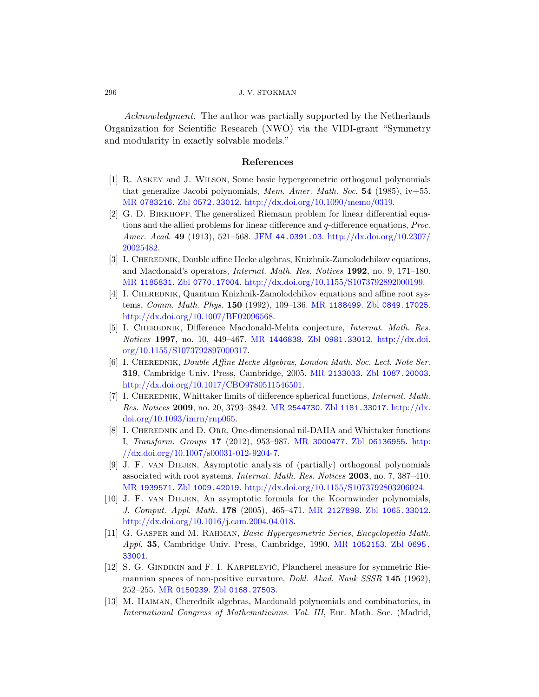<span id="page-43-8"></span><span id="page-43-2"></span>Acknowledgment. The author was partially supported by the Netherlands [Organizat](http://www.zentralblatt-math.org/zmath/en/search/?q=an:0572.33012)[ion for Scientific Research \(NWO\)](http://dx.doi.org/10.1090/memo/0319) via the VIDI-grant "Symmetry and modularity in exactly solvable models."

## [References](http://dx.doi.org/10.2307/20025482)

- <span id="page-43-3"></span>[1] R. Askey and J. Wilson, Some basic hypergeometric orthogonal polynomials that generalize Jacobi polynomials, Mem. Amer. Math. Soc. 54 (1985),  $iv+55$ . [MR](http://www.zentralblatt-math.org/zmath/en/search/?q=an:0770.17004) 0783216. Zbl 0572.33012. [http://dx.doi.org/10.1](http://dx.doi.org/10.1155/S1073792892000199)090/memo/0319.
- <span id="page-43-7"></span>[2] G. D. BIRKHOFF, The generalized Riemann problem for linear differential equations and the allied pro[blems for linear](http://www.ams.org/mathscinet-getitem?mr=1188499) [difference and](http://www.zentralblatt-math.org/zmath/en/search/?q=an:0849.17025) q-difference equations, Proc. [Amer](http://dx.doi.org/10.1007/BF02096568). Acad. 49 (1913), 521–568. JFM 44.0391.03. http://dx.doi.org/10.2307/ 20025482.
- <span id="page-43-0"></span>[3] I. CHEREDNIK[, Doubl](http://www.ams.org/mathscinet-getitem?mr=1446838)e [affine Hecke algeb](http://www.zentralblatt-math.org/zmath/en/search/?q=an:0981.33012)[ras, Knizhnik-Z](http://dx.doi.org/10.1155/S1073792897000317)amolodchikov equations, [and Ma](http://dx.doi.org/10.1155/S1073792897000317)cdonald's operators, Internat. Math. Res. Notices 1992, no. 9, 171–180. MR 1185831. Zbl 0770.17004. http://dx.doi.org/10.1155/S1073792892000199.
- <span id="page-43-5"></span>[4] I. CHEREDNIK, Quantu[m Knizhnik-Z](http://www.ams.org/mathscinet-getitem?mr=2133033)[amolodchikov equ](http://www.zentralblatt-math.org/zmath/en/search/?q=an:1087.20003)ations and affine root systems, [Comm](http://dx.doi.org/10.1017/CBO9780511546501). Math. Phys. 150 (1992), 109–136. MR 1188499. Zbl 0849.17025. http://dx.doi.org/10.1007/BF02096568.
- <span id="page-43-1"></span>[5] I. CHEREDNIK[, Difference](http://www.ams.org/mathscinet-getitem?mr=2544730) [Macdonald-Meh](http://www.zentralblatt-math.org/zmath/en/search/?q=an:1181.33017)[ta conjectu](http://dx.doi.org/10.1093/imrn/rnp065)re, *Internat. Math. Res.* [Noti](http://dx.doi.org/10.1093/imrn/rnp065)ces 1997, no. 10, 449–467. MR 1446838. Zbl 0981.33012. http://dx.doi. org/10.1155/S1073792897000317.
- <span id="page-43-9"></span>[6] I. CHEREDNIK, Do[uble Affine Hec](http://www.ams.org/mathscinet-getitem?mr=3000477)[ke Algebras](http://www.zentralblatt-math.org/zmath/en/search/?q=an:06136955), Lon[don M](http://dx.doi.org/10.1007/s00031-012-9204-7)ath. Soc. Lect. Note Ser. 319[, Cambridg](http://dx.doi.org/10.1007/s00031-012-9204-7)e Univ. Press, Cambridge, 2005. MR 2133033. Zbl 1087.20003. http://dx.doi.org/10.1017/CBO9780511546501.
- [7] I. CHEREDNIK, Whittaker limits of difference spherical functions, *Internat. Math.* [Res](http://www.zentralblatt-math.org/zmath/en/search/?q=an:1009.42019). Notices 2009[, no. 20, 3793–3842.](http://dx.doi.org/10.1155/S1073792803206024) MR 2544730. Zbl 1181.33017. http://dx. doi.org/10.1093/imrn/rnp065.
- [8] I. CHEREDNIK and D. ORR[, One-dim](http://www.ams.org/mathscinet-getitem?mr=2127898)[ensional nil-DAHA](http://www.zentralblatt-math.org/zmath/en/search/?q=an:1065.33012) and Whittaker functions I, [Transform](http://dx.doi.org/10.1016/j.cam.2004.04.018). Groups 17 (2012), 953–987. MR 3000477. Zbl 06136955. http:  $\frac{\gamma}{\rm d}x \cdot \text{doi.org}/10.1007 \cdot \text{s}00031 - 012 - 9204 - 7.$
- <span id="page-43-4"></span>[9] J. F. van Diejen, Asympt[otic analysis o](http://www.ams.org/mathscinet-getitem?mr=1052153)f [\(partially\)](http://www.zentralblatt-math.org/zmath/en/search/?q=an:0695.33001) orthogonal polynomials associated with root systems, Internat. Math. Res. Notices 2003, no. 7, 387–410. MR 1939571. Zbl 1009.42019. http://dx.doi.org/10.1155/S1073792803206024.
- [10] J. F. van Diejen, An asymptotic formula for the Koornwinder polynomials, J. [Comput](http://www.zentralblatt-math.org/zmath/en/search/?q=an:0168.27503). Appl. Math. 178 (2005), 465–471. MR 2127898. Zbl 1065.33012. http://dx.doi.org/10.1016/j.cam.2004.04.018.
- <span id="page-43-6"></span>[11] G. GASPER and M. RAHMAN, Basic Hypergeometric Series, Encyclopedia Math. Appl. 35, Cambridge Univ. Press, Cambridge, 1990. MR 1052153. Zbl 0695. 33001.
- [12] S. G. GINDIKIN and F. I. KARPELEVIČ, Plancherel measure for symmetric Riemannian spaces of non-positive curvature, *Dokl. Akad. Nauk SSSR* 145 (1962), 252–255. MR 0150239. Zbl 0168.27503.
- [13] M. Haiman, Cherednik algebras, Macdonald polynomials and combinatorics, in International Congress of Mathematicians. Vol. III, Eur. Math. Soc. (Madrid,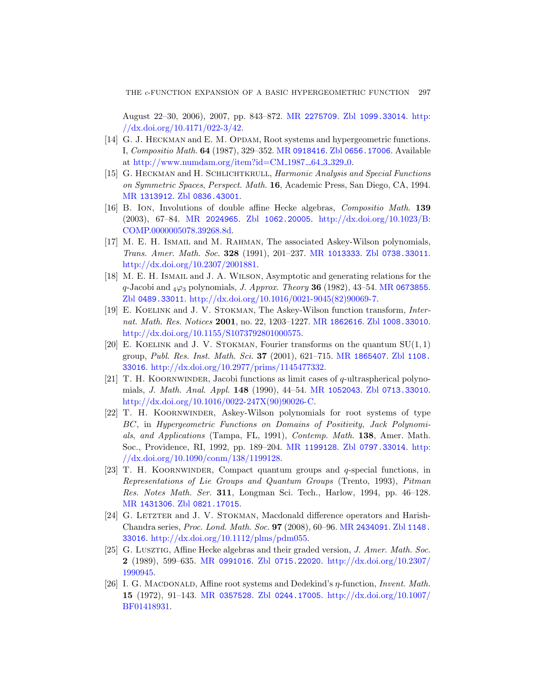[Augus](http://www.zentralblatt-math.org/zmath/en/search/?q=an:0836.43001)t 22–30, 2006), 2007, pp. 843–872. MR 2275709. Zbl 1099.33014. http: //dx.doi.org/10.4171/022-3/42.

- <span id="page-44-7"></span><span id="page-44-5"></span><span id="page-44-0"></span>[\[14\]](http://www.ams.org/mathscinet-getitem?mr=2024965) G. J. HECKMAN and E. M. OPDAM[, Root systems and h](http://dx.doi.org/10.1023/B:COMP.0000005078.39268.8d)ypergeometric functions. [I,](http://dx.doi.org/10.1023/B:COMP.0000005078.39268.8d) Compositio Math. 64 (1987), 329–352. MR 0918416. Zbl 0656.17006. Available at http://www.numdam.org/item?id=CM\_1987\_64\_3\_329\_0.
- [15] G. HECKMAN and H. SCHLICHTKRULL, [Harmonic Analy](http://www.zentralblatt-math.org/zmath/en/search/?q=an:0738.33011)sis and Special Functions [on Symme](http://dx.doi.org/10.2307/2001881)tric Spaces, Perspect. Math. 16, Academic Press, San Diego, CA, 1994. MR 1313912. Zbl 0836.43001.
- [16] B. Ion, Involutions of double affine H[ecke algebras](http://www.ams.org/mathscinet-getitem?mr=0673855), Compositio Math. 139 [\(2003\), 67–84.](http://dx.doi.org/10.1016/0021-9045(82)90069-7) MR 2024965. Zbl 1062.20005. http://dx.doi.org/10.1023/B: COMP.0000005078.39268.8d.
- <span id="page-44-8"></span>[17] M. E. H. ISMAIL and M. RAHMAN, [The associated A](http://www.zentralblatt-math.org/zmath/en/search/?q=an:1008.33010)skey-Wilson polynomials, [Trans](http://dx.doi.org/10.1155/S1073792801000575). Amer. Math. Soc. 328 (1991), 201–237. MR 1013333. Zbl 0738.33011. http://dx.doi.org/10.2307/2001881.
- <span id="page-44-2"></span>[18] M. E. H. Ismail and J. A. Wilson[, Asymp](http://www.ams.org/mathscinet-getitem?mr=1865407)[totic and ge](http://www.zentralblatt-math.org/zmath/en/search/?q=an:1108.33016)nerating relations for the q[-Jacobi and](http://dx.doi.org/10.2977/prims/1145477332)  $_4\varphi_3$  polynomials, *J. Approx. Theory* **36** (1982), 43–54. MR 0673855. Zbl 0489.33011. http://dx.doi.org/10.1016/0021-9045(82)90069-7.
- <span id="page-44-1"></span>[19] E. Koelink and J. V. [Stokman](http://www.ams.org/mathscinet-getitem?mr=1052043), T[he Askey-Wilson f](http://www.zentralblatt-math.org/zmath/en/search/?q=an:0713.33010)unction transform, Internat. Math. Res. [Notices](http://dx.doi.org/10.1016/0022-247X(90)90026-C) 2001, no. 22, 1203–1227. MR 1862616. Zbl 1008.33010. http://dx.doi.org/10.1155/S1073792801000575.
- <span id="page-44-9"></span>[20] E. KOELINK and J. V. STOKMAN, Fourier transforms on the quantum  $SU(1,1)$ group, Publ. Res. Inst. Math. Sci. 37 (2001), 621–715. MR 1865407. Zbl 1108. 33016. http://dx[.doi.org/10.297](http://www.ams.org/mathscinet-getitem?mr=1199128)[7/prims/1145477](http://www.zentralblatt-math.org/zmath/en/search/?q=an:0797.33014)[332.](http://dx.doi.org/10.1090/conm/138/1199128)
- <span id="page-44-10"></span>[21] T. H. KOORNWINDER, Jacobi functions as limit cases of  $q$ -ultraspherical polynomials, J. Math. Anal. Appl. 148 (1990), 44–54. MR 1052043. Zbl 0713.33010. http://dx.doi.org/10.1016/0022-247X(90)90026-C.
- <span id="page-44-6"></span>[22] T. H. Koornwinder, Askey-Wilson polynomials for root systems of type [BC](http://www.zentralblatt-math.org/zmath/en/search/?q=an:0821.17015), in Hypergeometric Functions on Domains of Positivity, Jack Polynomials, and Applications (Tampa, FL, 1991), Contemp. Math. 138, Amer. Math. Soc., Providence, RI, 1992, p[p. 189–204.](http://www.ams.org/mathscinet-getitem?mr=2434091) MR [1199128](http://www.zentralblatt-math.org/zmath/en/search/?q=an:1148.33016). Zbl 0797.33014. http: [//dx.doi.org/10.1090/co](http://dx.doi.org/10.1112/plms/pdm055)nm/138/1199128.
- <span id="page-44-4"></span>[23] T. H. KOORNWINDER, Compact quantum groups and  $q$ -special functions, in [Represen](http://www.ams.org/mathscinet-getitem?mr=0991016)t[ations of Lie Gr](http://www.zentralblatt-math.org/zmath/en/search/?q=an:0715.22020)[oups and Quantum Groups](http://dx.doi.org/10.2307/1990945) (Trento, 1993), Pitman Res. Notes Math. Ser. 311, Longman Sci. Tech., Harlow, 1994, pp. 46–128. MR 1431306. Zbl 0821.17015.
- <span id="page-44-3"></span>[24] G. LETZTER and J. V. STOKMAN[, Macdonald differen](http://dx.doi.org/10.1007/BF01418931)ce operators and Harish-Chandra series, Proc. Lond. Math. Soc. 97 (2008), 60–96. MR 2434091. Zbl 1148. 33016. http://dx.doi.org/10.1112/plms/pdm055.
- [25] G. Lusztig, Affine Hecke algebras and their graded version, J. Amer. Math. Soc. 2 (1989), 599–635. MR 0991016. Zbl 0715.22020. http://dx.doi.org/10.2307/ 1990945.
- [26] I. G. MACDONALD, Affine root systems and Dedekind's  $\eta$ -function, Invent. Math. 15 (1972), 91–143. MR 0357528. Zbl 0244.17005. http://dx.doi.org/10.1007/ BF01418931.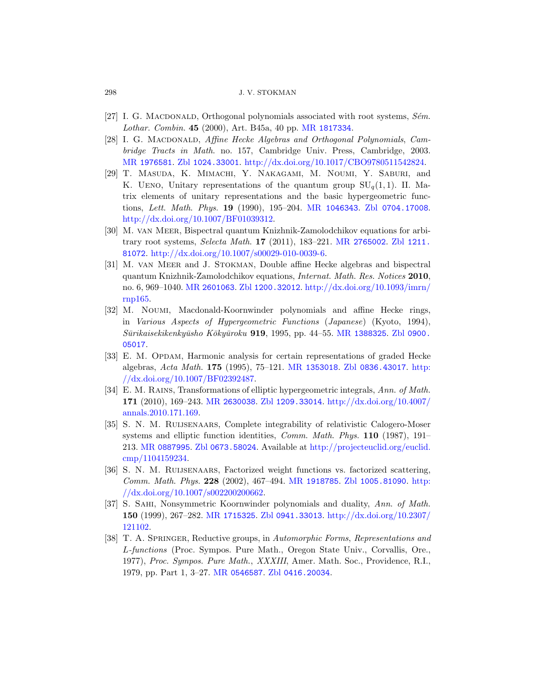- <span id="page-45-4"></span>[27] I. G. MACDONALD, Orthogonal polynomials associated with root systems,  $Sém$ . Lothar. Combin. 45 ([2000\), Art. B45](http://www.ams.org/mathscinet-getitem?mr=1046343)[a, 40 pp.](http://www.zentralblatt-math.org/zmath/en/search/?q=an:0704.17008) MR 1817334.
- <span id="page-45-2"></span>[28] I. G. MACDONALD, Affine Hecke Algebras and Orthogonal Polynomials, Cambridge Tracts in Math. no. 157, Cambridge Univ. Press, Cambridge, 2003. MR 1976581. Zbl 1024.33001. [http://dx.do](http://www.ams.org/mathscinet-getitem?mr=2765002)[i.org/10.10](http://www.zentralblatt-math.org/zmath/en/search/?q=an:1211.81072)17/CBO9780511542824.
- <span id="page-45-1"></span>[29] [T. Masuda](http://dx.doi.org/10.1007/s00029-010-0039-6), K. Mimachi, Y. Nakagami, M. Noumi, Y. Saburi, and K. UENO, Unitary representations of the quantum group  $SU_q(1,1)$ . II. Matrix elements of unitary representations and the basic hypergeometric func[tions](http://www.ams.org/mathscinet-getitem?mr=2601063), Lett. [Math](http://www.zentralblatt-math.org/zmath/en/search/?q=an:1200.32012). Phys. 19 [\(1990\), 195–204.](http://dx.doi.org/10.1093/imrn/rnp165) MR 1046343. Zbl 0704.17008. http://dx.doi.org/10.1007/BF01039312.
- <span id="page-45-5"></span>[30] M. van Meer, Bispectral quantum Knizhnik-Zamolodchikov equations for arbitrary root systems, Selecta Math. 17 (2011), 183–221. MR 2765002. Zbl 1211. 81072. http://dx.doi.org/10.1[007/s00029-01](http://www.ams.org/mathscinet-getitem?mr=1388325)[0-0039-6.](http://www.zentralblatt-math.org/zmath/en/search/?q=an:0900.05017)
- <span id="page-45-8"></span>[31] M. van Meer and J. Stokman, Double affine Hecke algebras and bispectral quantum Knizhnik-Zamolodchikov equations, Internat. Math. Res. Notices 2010, no. 6, 969–1040. MR [2601063](http://www.ams.org/mathscinet-getitem?mr=1353018). Zbl [1200.32012](http://www.zentralblatt-math.org/zmath/en/search/?q=an:0836.43017). ht[tp://d](http://dx.doi.org/10.1007/BF02392487)x.doi.org/10.1093/imrn/ [rnp165.](http://dx.doi.org/10.1007/BF02392487)
- <span id="page-45-0"></span>[32] M. Noumi, Macdonald-Koornwinder polynomials and affine Hecke rings, in [Variou](http://www.ams.org/mathscinet-getitem?mr=2630038)[s Aspects of Hy](http://www.zentralblatt-math.org/zmath/en/search/?q=an:1209.33014)[pergeometric Functions](http://dx.doi.org/10.4007/annals.2010.171.169) (Japanese) (Kyoto, 1994), Sūrikaisekikenkyūsho Kōkyūroku 919, 1995, pp. 44–55. MR 1388325. Zbl 0900. 05017.
- <span id="page-45-7"></span>[33] E. M. Opdam, Harmonic analysis for certain representations of graded Hecke [algebras,](http://www.zentralblatt-math.org/zmath/en/search/?q=an:0673.58024) Acta Math. 175 [\(1995\), 75–121.](http://projecteuclid.org/euclid.cmp/1104159234) MR 1353018. Zbl 0836.43017. http: //dx.doi.org/10.1007/BF02392487.
- [34] E. M. Rains, Transformations of elliptic hypergeometric integrals, Ann. of Math. 171 (2010), 169–243. MR [26300](http://www.ams.org/mathscinet-getitem?mr=1918785)38. Zbl [1209.330](http://www.zentralblatt-math.org/zmath/en/search/?q=an:1005.81090)[14](http://dx.doi.org/10.1007/s002200200662). http://dx.doi.org/10.4007/ [annals.2010.](http://dx.doi.org/10.1007/s002200200662)171.169.
- <span id="page-45-6"></span>[35] S. N. M. Ruijsenaars, Complete integrability of relativistic Calogero-Moser [systems a](http://www.ams.org/mathscinet-getitem?mr=1715325)[nd elliptic functio](http://www.zentralblatt-math.org/zmath/en/search/?q=an:0941.33013)[n identities,](http://dx.doi.org/10.2307/121102) *Comm. Math. Phys.* **110** (1987), 191– 213. MR 0887995. Zbl 0673.58024. Available at http://projecteuclid.org/euclid. cmp/1104159234.
- <span id="page-45-3"></span>[36] S. N. M. Ruijsenaars, Factorized weight functions vs. factorized scattering, Comm. Math. Phys. 228 (2002), 467–494. MR 1918785. Zbl 1005.81090. http: [//dx.doi.org](http://www.ams.org/mathscinet-getitem?mr=0546587)[/10.1007/s002200](http://www.zentralblatt-math.org/zmath/en/search/?q=an:0416.20034)200662.
- [37] S. Sahi, Nonsymmetric Koornwinder polynomials and duality, Ann. of Math. 150 (1999), 267–282. MR 1715325. Zbl 0941.33013. http://dx.doi.org/10.2307/ 121102.
- [38] T. A. Springer, Reductive groups, in Automorphic Forms, Representations and L-functions (Proc. Sympos. Pure Math., Oregon State Univ., Corvallis, Ore., 1977), Proc. Sympos. Pure Math., XXXIII, Amer. Math. Soc., Providence, R.I., 1979, pp. Part 1, 3–27. MR 0546587. Zbl 0416.20034.